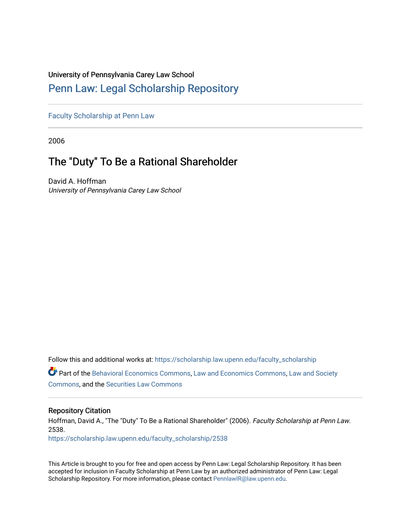## University of Pennsylvania Carey Law School

# [Penn Law: Legal Scholarship Repository](https://scholarship.law.upenn.edu/)

[Faculty Scholarship at Penn Law](https://scholarship.law.upenn.edu/faculty_scholarship)

2006

# The "Duty" To Be a Rational Shareholder

David A. Hoffman University of Pennsylvania Carey Law School

Follow this and additional works at: [https://scholarship.law.upenn.edu/faculty\\_scholarship](https://scholarship.law.upenn.edu/faculty_scholarship?utm_source=scholarship.law.upenn.edu%2Ffaculty_scholarship%2F2538&utm_medium=PDF&utm_campaign=PDFCoverPages) 

Part of the [Behavioral Economics Commons](http://network.bepress.com/hgg/discipline/341?utm_source=scholarship.law.upenn.edu%2Ffaculty_scholarship%2F2538&utm_medium=PDF&utm_campaign=PDFCoverPages), [Law and Economics Commons](http://network.bepress.com/hgg/discipline/612?utm_source=scholarship.law.upenn.edu%2Ffaculty_scholarship%2F2538&utm_medium=PDF&utm_campaign=PDFCoverPages), [Law and Society](http://network.bepress.com/hgg/discipline/853?utm_source=scholarship.law.upenn.edu%2Ffaculty_scholarship%2F2538&utm_medium=PDF&utm_campaign=PDFCoverPages) [Commons](http://network.bepress.com/hgg/discipline/853?utm_source=scholarship.law.upenn.edu%2Ffaculty_scholarship%2F2538&utm_medium=PDF&utm_campaign=PDFCoverPages), and the [Securities Law Commons](http://network.bepress.com/hgg/discipline/619?utm_source=scholarship.law.upenn.edu%2Ffaculty_scholarship%2F2538&utm_medium=PDF&utm_campaign=PDFCoverPages) 

## Repository Citation

Hoffman, David A., "The "Duty" To Be a Rational Shareholder" (2006). Faculty Scholarship at Penn Law. 2538.

[https://scholarship.law.upenn.edu/faculty\\_scholarship/2538](https://scholarship.law.upenn.edu/faculty_scholarship/2538?utm_source=scholarship.law.upenn.edu%2Ffaculty_scholarship%2F2538&utm_medium=PDF&utm_campaign=PDFCoverPages)

This Article is brought to you for free and open access by Penn Law: Legal Scholarship Repository. It has been accepted for inclusion in Faculty Scholarship at Penn Law by an authorized administrator of Penn Law: Legal Scholarship Repository. For more information, please contact [PennlawIR@law.upenn.edu.](mailto:PennlawIR@law.upenn.edu)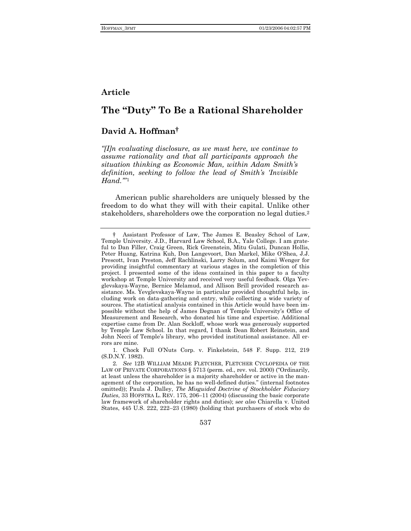## Article

## The "Duty" To Be a Rational Shareholder

## David A. Hoffman<sup>†</sup>

"[I]n evaluating disclosure, as we must here, we continue to assume rationality and that all participants approach the situation thinking as Economic Man, within Adam Smith's definition, seeking to follow the lead of Smith's 'Invisible  $Hand.$ "1

American public shareholders are uniquely blessed by the freedom to do what they will with their capital. Unlike other stakeholders, shareholders owe the corporation no legal duties.<sup>2</sup>

537

Assistant Professor of Law, The James E. Beasley School of Law, Temple University. J.D., Harvard Law School, B.A., Yale College. I am grateful to Dan Filler, Craig Green, Rick Greenstein, Mitu Gulati, Duncan Hollis, Peter Huang, Katrina Kuh, Don Langevoort, Dan Markel, Mike O'Shea, J.J. Prescott, Ivan Preston, Jeff Rachlinski, Larry Solum, and Kaimi Wenger for providing insightful commentary at various stages in the completion of this project. I presented some of the ideas contained in this paper to a faculty workshop at Temple University and received very useful feedback. Olga Yevglevskaya-Wayne, Bernice Melamud, and Allison Brill provided research assistance. Ms. Yevglevskaya-Wayne in particular provided thoughtful help, including work on data-gathering and entry, while collecting a wide variety of sources. The statistical analysis contained in this Article would have been impossible without the help of James Degnan of Temple University's Office of Measurement and Research, who donated his time and expertise. Additional expertise came from Dr. Alan Sockloff, whose work was generously supported by Temple Law School. In that regard, I thank Dean Robert Reinstein, and John Necci of Temple's library, who provided institutional assistance. All errors are mine.

<sup>1.</sup> Chock Full O'Nuts Corp. v. Finkelstein, 548 F. Supp. 212, 219 (S.D.N.Y. 1982).

<sup>2.</sup> See 12B WILLIAM MEADE FLETCHER, FLETCHER CYCLOPEDIA OF THE LAW OF PRIVATE CORPORATIONS § 5713 (perm. ed., rev. vol. 2000) ("Ordinarily, at least unless the shareholder is a majority shareholder or active in the management of the corporation, he has no well-defined duties." (internal footnotes omitted); Paula J. Dalley, The Misguided Doctrine of Stockholder Fiduciary Duties, 33 HOFSTRA L. REV. 175, 206-11 (2004) (discussing the basic corporate law framework of shareholder rights and duties); see also Chiarella v. United States, 445 U.S. 222, 222-23 (1980) (holding that purchasers of stock who do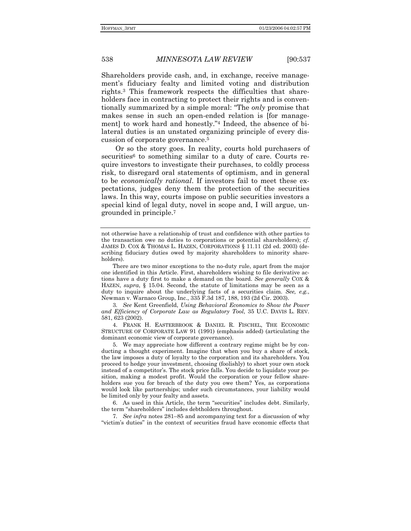Shareholders provide cash, and, in exchange, receive managementís fiduciary fealty and limited voting and distribution rights.3 This framework respects the difficulties that shareholders face in contracting to protect their rights and is conventionally summarized by a simple moral: "The *only* promise that makes sense in such an open-ended relation is [for management] to work hard and honestly."4 Indeed, the absence of bilateral duties is an unstated organizing principle of every discussion of corporate governance.5

Or so the story goes. In reality, courts hold purchasers of securities<sup>6</sup> to something similar to a duty of care. Courts require investors to investigate their purchases, to coldly process risk, to disregard oral statements of optimism, and in general to be *economically rational*. If investors fail to meet these expectations, judges deny them the protection of the securities laws. In this way, courts impose on public securities investors a special kind of legal duty, novel in scope and, I will argue, ungrounded in principle.7

3*. See* Kent Greenfield, *Using Behavioral Economics to Show the Power and Efficiency of Corporate Law as Regulatory Tool*, 35 U.C. DAVIS L. REV. 581, 623 (2002).

 4. FRANK H. EASTERBROOK & DANIEL R. FISCHEL, THE ECONOMIC STRUCTURE OF CORPORATE LAW 91 (1991) (emphasis added) (articulating the dominant economic view of corporate governance).

 5. We may appreciate how different a contrary regime might be by conducting a thought experiment. Imagine that when you buy a share of stock, the law imposes a duty of loyalty to the corporation and its shareholders. You proceed to hedge your investment, choosing (foolishly) to short your own stock instead of a competitor's. The stock price falls. You decide to liquidate your position, making a modest profit. Would the corporation or your fellow shareholders sue you for breach of the duty you owe them? Yes, as corporations would look like partnerships; under such circumstances, your liability would be limited only by your fealty and assets.

6. As used in this Article, the term "securities" includes debt. Similarly, the term "shareholders" includes debtholders throughout.

7. See *infra* notes 281–85 and accompanying text for a discussion of why ìvictimís dutiesî in the context of securities fraud have economic effects that

not otherwise have a relationship of trust and confidence with other parties to the transaction owe no duties to corporations or potential shareholders); *cf.* JAMES D. COX & THOMAS L. HAZEN, CORPORATIONS ß 11.11 (2d ed. 2003) (describing fiduciary duties owed by majority shareholders to minority shareholders).

There are two minor exceptions to the no-duty rule, apart from the major one identified in this Article. First, shareholders wishing to file derivative actions have a duty first to make a demand on the board. *See generally* COX & HAZEN, *supra*, § 15.04. Second, the statute of limitations may be seen as a duty to inquire about the underlying facts of a securities claim. *See, e.g.*, Newman v. Warnaco Group, Inc., 335 F.3d 187, 188, 193 (2d Cir. 2003).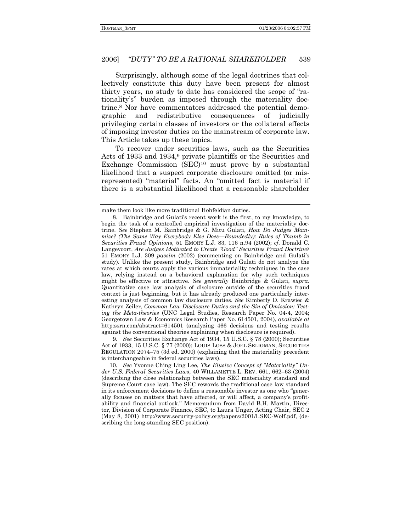Surprisingly, although some of the legal doctrines that collectively constitute this duty have been present for almost thirty years, no study to date has considered the scope of "rationality's" burden as imposed through the materiality doctrine.8 Nor have commentators addressed the potential demographic and redistributive consequences of judicially privileging certain classes of investors or the collateral effects of imposing investor duties on the mainstream of corporate law. This Article takes up these topics.

To recover under securities laws, such as the Securities Acts of 1933 and 1934,<sup>9</sup> private plaintiffs or the Securities and Exchange Commission (SEC)10 must prove by a substantial likelihood that a suspect corporate disclosure omitted (or misrepresented) "material" facts. An "omitted fact is material if there is a substantial likelihood that a reasonable shareholder

9*. See* Securities Exchange Act of 1934, 15 U.S.C. ß 78 (2000); Securities Act of 1933, 15 U.S.C. ß 77 (2000); LOUIS LOSS & JOEL SELIGMAN, SECURITIES REGULATION 2074–75 (3d ed. 2000) (explaining that the materiality precedent is interchangeable in federal securities laws).

10. See Yvonne Ching Ling Lee, *The Elusive Concept of "Materiality" Un*der U.S. Federal Securities Laws, 40 WILLAMETTE L. REV. 661, 662-63 (2004) (describing the close relationship between the SEC materiality standard and Supreme Court case law). The SEC rewords the traditional case law standard in its enforcement decisions to define a reasonable investor as one who "generally focuses on matters that have affected, or will affect, a company's profitability and financial outlook.î Memorandum from David B.H. Martin, Director, Division of Corporate Finance, SEC, to Laura Unger, Acting Chair, SEC 2 (May 8, 2001) http://www.security-policy.org/papers/2001/LSEC-Wolf.pdf, (describing the long-standing SEC position).

make them look like more traditional Hohfeldian duties.

<sup>8.</sup> Bainbridge and Gulati's recent work is the first, to my knowledge, to begin the task of a controlled empirical investigation of the materiality doctrine. *See* Stephen M. Bainbridge & G. Mitu Gulati, *How Do Judges Maximize? (The Same Way Everybody Else Does—Boundedly): Rules of Thumb in Securities Fraud Opinions*, 51 EMORY L.J. 83, 116 n.94 (2002); *cf.* Donald C. Langevoort, *Are Judges Motivated to Create "Good" Securities Fraud Doctrine?* 51 EMORY L.J. 309 *passim* (2002) (commenting on Bainbridge and Gulatiís study). Unlike the present study, Bainbridge and Gulati do not analyze the rates at which courts apply the various immateriality techniques in the case law, relying instead on a behavioral explanation for why such techniques might be effective or attractive. *See generally* Bainbridge & Gulati, *supra*. Quantitative case law analysis of disclosure outside of the securities fraud context is just beginning, but it has already produced one particularly interesting analysis of common law disclosure duties. *See* Kimberly D. Krawiec & Kathryn Zeiler, *Common Law Disclosure Duties and the Sin of Omission: Testing the Meta-theories* (UNC Legal Studies, Research Paper No. 04-4, 2004; Georgetown Law & Economics Research Paper No. 614501, 2004), *available at* http:ssrn.com/abstract=614501 (analyzing 466 decisions and testing results against the conventional theories explaining when disclosure is required).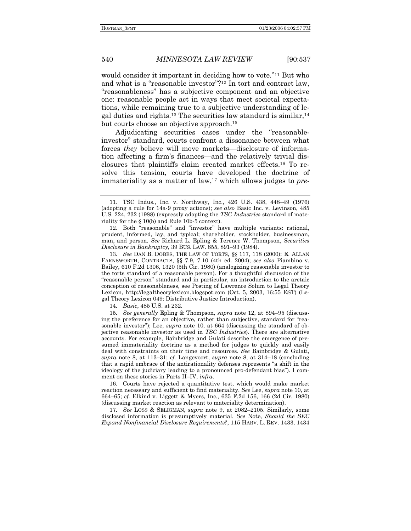540

**MINNESOTA LAW REVIEW** 

 $[90:537]$ 

would consider it important in deciding how to vote."<sup>11</sup> But who and what is a "reasonable investor"?<sup>12</sup> In tort and contract law, "reasonableness" has a subjective component and an objective one: reasonable people act in ways that meet societal expectations, while remaining true to a subjective understanding of legal duties and rights.<sup>13</sup> The securities law standard is similar,<sup>14</sup> but courts choose an objective approach.<sup>15</sup>

Adjudicating securities cases under the "reasonableinvestor" standard, courts confront a dissonance between what forces *they* believe will move markets—disclosure of information affecting a firm's finances—and the relatively trivial disclosures that plaintiffs claim created market effects.<sup>16</sup> To resolve this tension, courts have developed the doctrine of immateriality as a matter of law,<sup>17</sup> which allows judges to pre-

13. See DAN B. DOBBS, THE LAW OF TORTS, §§ 117, 118 (2000); E. ALLAN FARNSWORTH, CONTRACTS, §§ 7.9, 7.10 (4th ed. 2004); see also Piambino v. Bailey, 610 F.2d 1306, 1320 (5th Cir. 1980) (analogizing reasonable investor to the torts standard of a reasonable person). For a thoughtful discussion of the "reasonable person" standard and in particular, an introduction to the aretaic conception of reasonableness, see Posting of Lawrence Solum to Legal Theory Lexicon, http://legaltheorylexicon.blogspot.com (Oct. 5, 2003, 16:55 EST) (Legal Theory Lexicon 049: Distributive Justice Introduction).

14. Basic, 485 U.S. at 232.

15. See generally Epling & Thompson, supra note 12, at 894–95 (discussing the preference for an objective, rather than subjective, standard for "reasonable investor"); Lee, *supra* note 10, at 664 (discussing the standard of objective reasonable investor as used in TSC Industries). There are alternative accounts. For example, Bainbridge and Gulati describe the emergence of presumed immateriality doctrine as a method for judges to quickly and easily deal with constraints on their time and resources. See Bainbridge & Gulati, supra note 8, at 113–31; cf. Langevoort, supra note 8, at  $314-18$  (concluding that a rapid embrace of the antirationality defenses represents "a shift in the ideology of the judiciary leading to a pronounced pro-defendant bias"). I comment on these stories in Parts II-IV, infra.

16. Courts have rejected a quantitative test, which would make market reaction necessary and sufficient to find materiality. See Lee, supra note 10, at 664-65; cf. Elkind v. Liggett & Myers, Inc., 635 F.2d 156, 166 (2d Cir. 1980) (discussing market reaction as relevant to materiality determination).

17. See LOSS & SELIGMAN, supra note 9, at 2082-2105. Similarly, some disclosed information is presumptively material. See Note, Should the SEC Expand Nonfinancial Disclosure Requirements?, 115 HARV. L. REV. 1433, 1434

<sup>11.</sup> TSC Indus., Inc. v. Northway, Inc., 426 U.S. 438, 448-49 (1976) (adopting a rule for 14a-9 proxy actions); see also Basic Inc. v. Levinson, 485 U.S. 224, 232 (1988) (expressly adopting the TSC Industries standard of materiality for the  $\S 10(b)$  and Rule 10b-5 context).

<sup>12.</sup> Both "reasonable" and "investor" have multiple variants: rational, prudent, informed, lay, and typical; shareholder, stockholder, businessman, man, and person. See Richard L. Epling & Terence W. Thompson, Securities Disclosure in Bankruptcy, 39 BUS. LAW. 855, 891-93 (1984).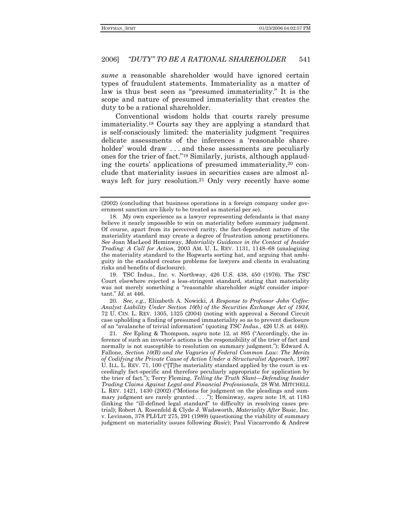*sume* a reasonable shareholder would have ignored certain types of fraudulent statements. Immateriality as a matter of law is thus best seen as "presumed immateriality." It is the scope and nature of presumed immateriality that creates the duty to be a rational shareholder.

Conventional wisdom holds that courts rarely presume immateriality.<sup>18</sup> Courts say they are applying a standard that is self-consciously limited: the materiality judgment "requires" delicate assessments of the inferences a 'reasonable shareholder' would draw ... and these assessments are peculiarly ones for the trier of fact."<sup>19</sup> Similarly, jurists, although applauding the courts' applications of presumed immateriality,<sup>20</sup> conclude that materiality issues in securities cases are almost always left for jury resolution.<sup>21</sup> Only very recently have some

19. TSC Indus., Inc. v. Northway, 426 U.S. 438, 450 (1976). The TSC Court elsewhere rejected a less-stringent standard, stating that materiality was not merely something a "reasonable shareholder *might* consider important."  $Id.$  at 446.

20. See, e.g., Elizabeth A. Nowicki, A Response to Professor John Coffee: Analyst Liability Under Section 10(b) of the Securities Exchange Act of 1934, 72 U. CIN. L. REV. 1305, 1325 (2004) (noting with approval a Second Circuit case upholding a finding of presumed immateriality so as to prevent disclosure of an "avalanche of trivial information" (quoting TSC Indus., 426 U.S. at 448)).

21. See Epling & Thompson, *supra* note 12, at 895 ("Accordingly, the inference of such an investor's actions is the responsibility of the trier of fact and normally is not susceptible to resolution on summary judgment."); Edward A. Fallone, Section 10(B) and the Vagaries of Federal Common Law: The Merits of Codifying the Private Cause of Action Under a Structuralist Approach, 1997 U. ILL. L. REV. 71, 100 ("[T]he materiality standard applied by the court is exceedingly fact-specific and therefore peculiarly appropriate for application by the trier of fact."); Terry Fleming, Telling the Truth Slant—Defending Insider Trading Claims Against Legal and Financial Professionals, 28 WM. MITCHELL L. REV. 1421, 1430 (2002) ("Motions for judgment on the pleadings and summary judgment are rarely granted ...."); Heminway,  $\frac{supra}{18}$  and  $\frac{1183}{183}$  (linking the "ill-defined legal standard" to difficulty in resolving cases pretrial); Robert A. Rosenfeld & Clyde J. Wadsworth, *Materiality After Basic*, Inc. v. Levinson, 378 PLI/LIT 275, 291 (1989) (questioning the viability of summary judgment on materiality issues following Basic); Paul Vizcarrondo & Andrew

<sup>(2002) (</sup>concluding that business operations in a foreign company under government sanction are likely to be treated as material per se).

<sup>18.</sup> My own experience as a lawyer representing defendants is that many believe it nearly impossible to win on materiality before summary judgment. Of course, apart from its perceived rarity, the fact-dependent nature of the materiality standard may create a degree of frustration among practitioners. See Joan MacLeod Heminway, Materiality Guidance in the Context of Insider Trading: A Call for Action, 2003 AM. U. L. REV. 1131, 1148–68 (analogizing the materiality standard to the Hogwarts sorting hat, and arguing that ambiguity in the standard creates problems for lawyers and clients in evaluating risks and benefits of disclosure).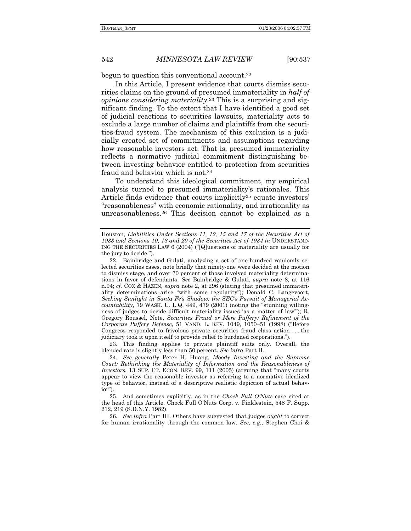begun to question this conventional account.<sup>22</sup>

In this Article, I present evidence that courts dismiss securities claims on the ground of presumed immateriality in *half of opinions considering materiality*.23 This is a surprising and significant finding. To the extent that I have identified a good set of judicial reactions to securities lawsuits, materiality acts to exclude a large number of claims and plaintiffs from the securities-fraud system. The mechanism of this exclusion is a judicially created set of commitments and assumptions regarding how reasonable investors act. That is, presumed immateriality reflects a normative judicial commitment distinguishing between investing behavior entitled to protection from securities fraud and behavior which is not.<sup>24</sup>

To understand this ideological commitment, my empirical analysis turned to presumed immaterialityís rationales. This Article finds evidence that courts implicitly<sup>25</sup> equate investors' ìreasonablenessî with economic rationality, and irrationality as unreasonableness.26 This decision cannot be explained as a

 23. This finding applies to private plaintiff suits only. Overall, the blended rate is slightly less than 50 percent. *See infra* Part II.

24*. See generally* Peter H. Huang, *Moody Investing and the Supreme*  Court: Rethinking the Materiality of Information and the Reasonableness of *Investors*, 13 SUP. CT. ECON. REV. 99, 111 (2005) (arguing that "many courts" appear to view the reasonable investor as referring to a normative idealized type of behavior, instead of a descriptive realistic depiction of actual behav $ior$ ").

 25. And sometimes explicitly, as in the *Chock Full OíNuts* case cited at the head of this Article. Chock Full OíNuts Corp. v. Finklestein, 548 F. Supp. 212, 219 (S.D.N.Y. 1982).

26*. See infra* Part III. Others have suggested that judges *ought* to correct for human irrationality through the common law. *See, e.g.*, Stephen Choi &

Houston, *Liabilities Under Sections 11, 12, 15 and 17 of the Securities Act of 1933 and Sections 10, 18 and 20 of the Securities Act of 1934 in* UNDERSTAND-ING THE SECURITIES LAW 6 (2004) ("[Q]uestions of materiality are usually for the jury to decide.").

 <sup>22.</sup> Bainbridge and Gulati, analyzing a set of one-hundred randomly selected securities cases, note briefly that ninety-one were decided at the motion to dismiss stage, and over 70 percent of those involved materiality determinations in favor of defendants. *See* Bainbridge & Gulati, *supra* note 8, at 116 n.94; *cf.* COX & HAZEN, *supra* note 2, at 296 (stating that presumed immateriality determinations arise "with some regularity"); Donald C. Langevoort, Seeking Sunlight in Santa Fe's Shadow: the SEC's Pursuit of Managerial Ac*countability*, 79 WASH. U. L.Q. 449, 479 (2001) (noting the "stunning willingness of judges to decide difficult materiality issues 'as a matter of law'''); R. Gregory Roussel, Note, *Securities Fraud or Mere Puffery: Refinement of the Corporate Puffery Defense*, 51 VAND. L. REV. 1049, 1050-51 (1998) ("Before Congress responded to frivolous private securities fraud class action . . . the judiciary took it upon itself to provide relief to burdened corporations.").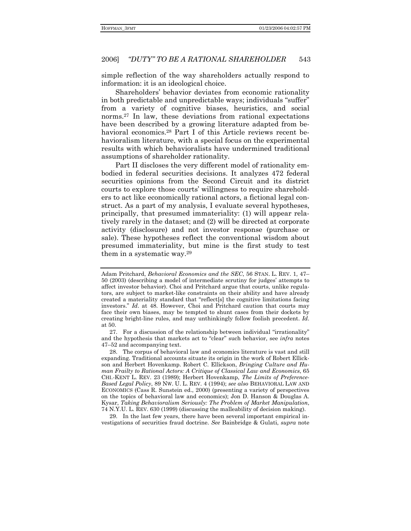simple reflection of the way shareholders actually respond to information: it is an ideological choice.

Shareholders' behavior deviates from economic rationality in both predictable and unpredictable ways; individuals "suffer" from a variety of cognitive biases, heuristics, and social norms.27 In law, these deviations from rational expectations have been described by a growing literature adapted from behavioral economics.<sup>28</sup> Part I of this Article reviews recent behavioralism literature, with a special focus on the experimental results with which behavioralists have undermined traditional assumptions of shareholder rationality.

Part II discloses the very different model of rationality embodied in federal securities decisions. It analyzes 472 federal securities opinions from the Second Circuit and its district courts to explore those courtsí willingness to require shareholders to act like economically rational actors, a fictional legal construct. As a part of my analysis, I evaluate several hypotheses, principally, that presumed immateriality: (1) will appear relatively rarely in the dataset; and (2) will be directed at corporate activity (disclosure) and not investor response (purchase or sale). These hypotheses reflect the conventional wisdom about presumed immateriality, but mine is the first study to test them in a systematic way.29

 29. In the last few years, there have been several important empirical investigations of securities fraud doctrine. *See* Bainbridge & Gulati, *supra* note

Adam Pritchard, *Behavioral Economics and the SEC*, 56 STAN. L. REV. 1, 47– 50 (2003) (describing a model of intermediate scrutiny for judges' attempts to affect investor behavior). Choi and Pritchard argue that courts, unlike regulators, are subject to market-like constraints on their ability and have already created a materiality standard that "reflect[s] the cognitive limitations facing investors.î *Id*. at 48. However, Choi and Pritchard caution that courts may face their own biases, may be tempted to shunt cases from their dockets by creating bright-line rules, and may unthinkingly follow foolish precedent. *Id*. at 50.

<sup>27.</sup> For a discussion of the relationship between individual "irrationality" and the hypothesis that markets act to "clear" such behavior, see *infra* notes 47–52 and accompanying text.

 <sup>28.</sup> The corpus of behavioral law and economics literature is vast and still expanding. Traditional accounts situate its origin in the work of Robert Ellickson and Herbert Hovenkamp. Robert C. Ellickson, *Bringing Culture and Human Frailty to Rational Actors: A Critique of Classical Law and Economics*, 65 CHI.-KENT L. REV. 23 (1989); Herbert Hovenkamp, *The Limits of Preference-Based Legal Policy*, 89 NW. U. L. REV. 4 (1994); *see also* BEHAVIORAL LAW AND ECONOMICS (Cass R. Sunstein ed., 2000) (presenting a variety of perspectives on the topics of behavioral law and economics); Jon D. Hanson & Douglas A. Kysar, *Taking Behavioralism Seriously: The Problem of Market Manipulation*, 74 N.Y.U. L. REV. 630 (1999) (discussing the malleability of decision making).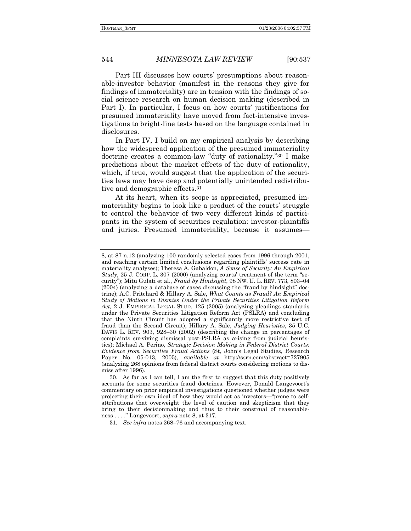Part III discusses how courts' presumptions about reasonable-investor behavior (manifest in the reasons they give for findings of immateriality) are in tension with the findings of social science research on human decision making (described in Part I). In particular, I focus on how courts' justifications for presumed immateriality have moved from fact-intensive investigations to bright-line tests based on the language contained in disclosures.

In Part IV, I build on my empirical analysis by describing how the widespread application of the presumed immateriality doctrine creates a common-law "duty of rationality."<sup>30</sup> I make predictions about the market effects of the duty of rationality, which, if true, would suggest that the application of the securities laws may have deep and potentially unintended redistributive and demographic effects.31

At its heart, when its scope is appreciated, presumed immateriality begins to look like a product of the courts' struggle to control the behavior of two very different kinds of participants in the system of securities regulation: investor-plaintiffs and juries. Presumed immateriality, because it assumes—

31. See infra notes 268–76 and accompanying text.

<sup>8,</sup> at 87 n.12 (analyzing 100 randomly selected cases from 1996 through 2001, and reaching certain limited conclusions regarding plaintiffsí success rate in materiality analyses); Theresa A. Gabaldon, *A Sense of Security: An Empirical Study*, 25 J. CORP. L. 307 (2000) (analyzing courts' treatment of the term "security"); Mitu Gulati et al., *Fraud by Hindsight*, 98 NW. U. L. REV. 773, 803–04  $(2004)$  (analyzing a database of cases discussing the "fraud by hindsight" doctrine); A.C. Pritchard & Hillary A. Sale, *What Counts as Fraud? An Empirical Study of Motions to Dismiss Under the Private Securities Litigation Reform Act,* 2 J. EMPIRICAL LEGAL STUD. 125 (2005) (analyzing pleadings standards under the Private Securities Litigation Reform Act (PSLRA) and concluding that the Ninth Circuit has adopted a significantly more restrictive test of fraud than the Second Circuit); Hillary A. Sale, *Judging Heuristics*, 35 U.C. DAVIS L. REV. 903, 928–30 (2002) (describing the change in percentages of complaints surviving dismissal post-PSLRA as arising from judicial heuristics); Michael A. Perino, *Strategic Decision Making in Federal District Courts: Evidence from Securities Fraud Actions* (St, Johnís Legal Studies, Research Paper No. 05-013, 2005), *available at* http://ssrn.com/abstract=727905 (analyzing 268 opinions from federal district courts considering motions to dismiss after 1996).

 <sup>30.</sup> As far as I can tell, I am the first to suggest that this duty positively accounts for some securities fraud doctrines. However, Donald Langevoort's commentary on prior empirical investigations questioned whether judges were projecting their own ideal of how they would act as investors—"prone to selfattributions that overweight the level of caution and skepticism that they bring to their decisionmaking and thus to their construal of reasonableness . . . .î Langevoort, *supra* note 8, at 317.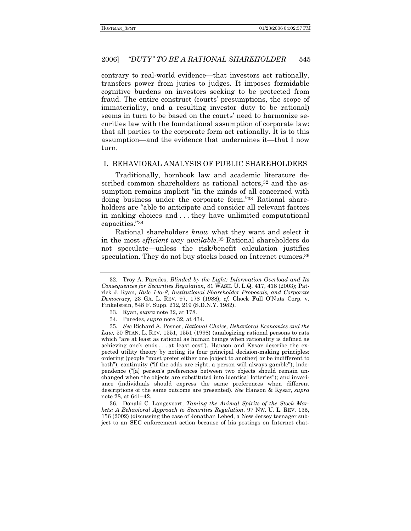contrary to real-world evidence—that investors act rationally, transfers power from juries to judges. It imposes formidable cognitive burdens on investors seeking to be protected from fraud. The entire construct (courts' presumptions, the scope of immateriality, and a resulting investor duty to be rational) seems in turn to be based on the courts' need to harmonize securities law with the foundational assumption of corporate law: that all parties to the corporate form act rationally. It is to this assumption—and the evidence that undermines it—that I now turn.

#### I. BEHAVIORAL ANALYSIS OF PUBLIC SHAREHOLDERS

Traditionally, hornbook law and academic literature described common shareholders as rational actors,<sup>32</sup> and the assumption remains implicit "in the minds of all concerned with doing business under the corporate form."33 Rational shareholders are "able to anticipate and consider all relevant factors in making choices and ... they have unlimited computational capacities."34

Rational shareholders know what they want and select it in the most *efficient way available*.<sup>35</sup> Rational shareholders do not speculate—unless the risk/benefit calculation justifies speculation. They do not buy stocks based on Internet rumors.<sup>36</sup>

36. Donald C. Langevoort, Taming the Animal Spirits of the Stock Markets: A Behavioral Approach to Securities Regulation, 97 NW. U. L. REV. 135, 156 (2002) (discussing the case of Jonathan Lebed, a New Jersey teenager subject to an SEC enforcement action because of his postings on Internet chat-

<sup>32.</sup> Troy A. Paredes, Blinded by the Light: Information Overload and Its Consequences for Securities Regulation, 81 WASH. U. L.Q. 417, 418 (2003); Patrick J. Ryan, Rule 14a-8, Institutional Shareholder Proposals, and Corporate Democracy, 23 GA. L. REV. 97, 178 (1988); cf. Chock Full O'Nuts Corp. v. Finkelstein, 548 F. Supp. 212, 219 (S.D.N.Y. 1982).

<sup>33.</sup> Ryan, *supra* note 32, at 178.

<sup>34.</sup> Paredes, *supra* note 32, at 434.

<sup>35.</sup> See Richard A. Posner, Rational Choice, Behavioral Economics and the  $Law$ , 50 STAN. L. REV. 1551, 1551 (1998) (analogizing rational persons to rats which "are at least as rational as human beings when rationality is defined as achieving one's ends . . . at least cost"). Hanson and Kysar describe the expected utility theory by noting its four principal decision-making principles: ordering (people "must prefer either one [object to another] or be indifferent to both"); continuity ("if the odds are right, a person will always gamble"); independence ("[a] person's preferences between two objects should remain unchanged when the objects are substituted into identical lotteries"); and invariance (individuals should express the same preferences when different descriptions of the same outcome are presented). See Hanson & Kysar, supra note 28, at 641–42.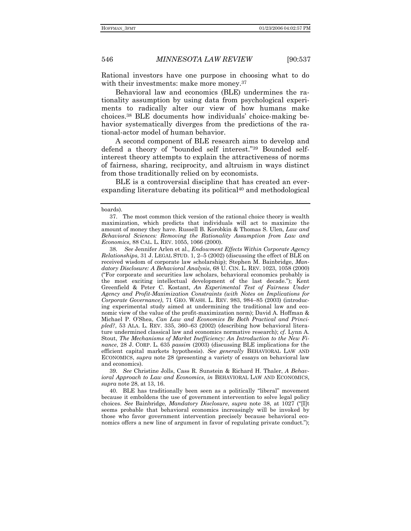Rational investors have one purpose in choosing what to do with their investments: make more money.<sup>37</sup>

Behavioral law and economics (BLE) undermines the rationality assumption by using data from psychological experiments to radically alter our view of how humans make choices.<sup>38</sup> BLE documents how individuals' choice-making behavior systematically diverges from the predictions of the rational-actor model of human behavior.

A second component of BLE research aims to develop and defend a theory of "bounded self interest."<sup>39</sup> Bounded selfinterest theory attempts to explain the attractiveness of norms of fairness, sharing, reciprocity, and altruism in ways distinct from those traditionally relied on by economists.

BLE is a controversial discipline that has created an everexpanding literature debating its political<sup>40</sup> and methodological

39*. See* Christine Jolls, Cass R. Sunstein & Richard H. Thaler, *A Behavioral Approach to Law and Economics*, *in* BEHAVIORAL LAW AND ECONOMICS, *supra* note 28, at 13, 16.

40. BLE has traditionally been seen as a politically "liberal" movement because it emboldens the use of government intervention to solve legal policy choices. *See* Bainbridge, *Mandatory Disclosure*, *supra* note 38, at 1027 ("[I]t seems probable that behavioral economics increasingly will be invoked by those who favor government intervention precisely because behavioral economics offers a new line of argument in favor of regulating private conduct.");

boards).

 <sup>37.</sup> The most common thick version of the rational choice theory is wealth maximization, which predicts that individuals will act to maximize the amount of money they have. Russell B. Korobkin & Thomas S. Ulen, *Law and Behavioral Sciences: Removing the Rationality Assumption from Law and Economics,* 88 CAL. L. REV. 1055, 1066 (2000).

<sup>38</sup>*. See* Jennifer Arlen et al., *Endowment Effects Within Corporate Agency Relationships*, 31 J. LEGAL STUD. 1, 2-5 (2002) (discussing the effect of BLE on received wisdom of corporate law scholarship); Stephen M. Bainbridge, *Mandatory Disclosure: A Behavioral Analysis*, 68 U. CIN. L. REV. 1023, 1058 (2000) (ìFor corporate and securities law scholars, behavioral economics probably is the most exciting intellectual development of the last decade.î); Kent Greenfield & Peter C. Kostant, *An Experimental Test of Fairness Under Agency and Profit-Maximization Constraints (with Notes on Implications for Corporate Governance*), 71 GEO. WASH. L. REV. 983, 984–85 (2003) (introducing experimental study aimed at undermining the traditional law and economic view of the value of the profit-maximization norm); David A. Hoffman & Michael P. OíShea, *Can Law and Economics Be Both Practical and Princi* $pled$ <sup>2</sup>, 53 ALA. L. REV. 335, 360–63 (2002) (describing how behavioral literature undermined classical law and economics normative research); *cf.* Lynn A. Stout, *The Mechanisms of Market Inefficiency: An Introduction to the New Finance*, 28 J. CORP. L. 635 *passim* (2003) (discussing BLE implications for the efficient capital markets hypothesis). *See generally* BEHAVIORAL LAW AND ECONOMICS, *supra* note 28 (presenting a variety of essays on behavioral law and economics).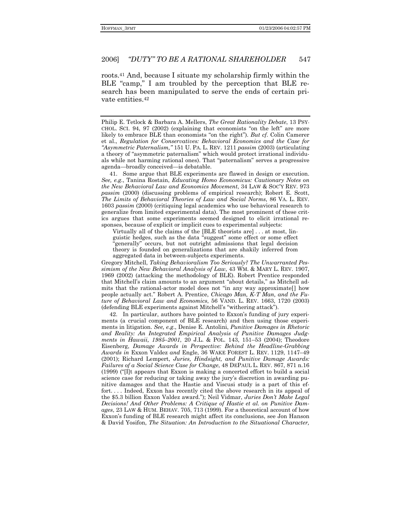roots.<sup>41</sup> And, because I situate my scholarship firmly within the BLE "camp," I am troubled by the perception that BLE research has been manipulated to serve the ends of certain private entities.<sup>42</sup>

41. Some argue that BLE experiments are flawed in design or execution. See, e.g., Tanina Rostain, Educating Homo Economicus: Cautionary Notes on the New Behavioral Law and Economics Movement, 34 LAW & SOC'Y REV. 973 *passim* (2000) (discussing problems of empirical research); Robert E. Scott, The Limits of Behavioral Theories of Law and Social Norms, 86 VA. L. REV. 1603 passim (2000) (critiquing legal academics who use behavioral research to generalize from limited experimental data). The most prominent of these critics argues that some experiments seemed designed to elicit irrational responses, because of explicit or implicit cues to experimental subjects:

Virtually all of the claims of the [BLE theorists are]... at most, linguistic hedges, such as the data "suggest" some effect or some effect generally" occurs, but not outright admissions that legal decision theory is founded on generalizations that are shakily inferred from aggregated data in between-subjects experiments.

Gregory Mitchell, Taking Behavioralism Too Seriously? The Unwarranted Pessimism of the New Behavioral Analysis of Law, 43 WM. & MARY L. REV. 1907, 1969 (2002) (attacking the methodology of BLE). Robert Prentice responded that Mitchell's claim amounts to an argument "about details," as Mitchell admits that the rational-actor model does not "in any way approximate[] how people actually act." Robert A. Prentice, Chicago Man, K-T Man, and the Future of Behavioral Law and Economics, 56 VAND. L. REV. 1663, 1720 (2003) (defending BLE experiments against Mitchell's "withering attack").

42. In particular, authors have pointed to Exxon's funding of jury experiments (a crucial component of BLE research) and then using those experiments in litigation. See, e.g., Denise E. Antolini, Punitive Damages in Rhetoric and Reality: An Integrated Empirical Analysis of Punitive Damages Judgments in Hawaii, 1985-2001, 20 J.L. & POL. 143, 151-53 (2004); Theodore Eisenberg, Damage Awards in Perspective: Behind the Headline-Grabbing Awards in Exxon Valdez and Engle, 36 WAKE FOREST L. REV. 1129, 1147-49 (2001); Richard Lempert, Juries, Hindsight, and Punitive Damage Awards: Failures of a Social Science Case for Change, 48 DEPAUL L. REV. 867, 871 n.16 (1999) ("Ill appears that Exxon is making a concerted effort to build a social science case for reducing or taking away the jury's discretion in awarding punitive damages and that the Hastie and Viscusi study is a part of this effort.... Indeed, Exxon has recently cited the above research in its appeal of the \$5.3 billion Exxon Valdez award."); Neil Vidmar, Juries Don't Make Legal Decisions! And Other Problems: A Critique of Hastie et al. on Punitive Damages, 23 LAW & HUM. BEHAV. 705, 713 (1999). For a theoretical account of how Exxon's funding of BLE research might affect its conclusions, see Jon Hanson & David Yosifon, The Situation: An Introduction to the Situational Character,

Philip E. Tetlock & Barbara A. Mellers, The Great Rationality Debate, 13 PSY-CHOL. SCI. 94, 97 (2002) (explaining that economists "on the left" are more likely to embrace BLE than economists "on the right"). But cf. Colin Camerer et al., Regulation for Conservatives: Behavioral Economics and the Case for "Asymmetric Paternalism," 151 U. PA. L. REV. 1211 passim (2003) (articulating a theory of "asymmetric paternalism" which would protect irrational individuals while not harming rational ones). That "paternalism" serves a progressive agenda—broadly conceived—is debatable.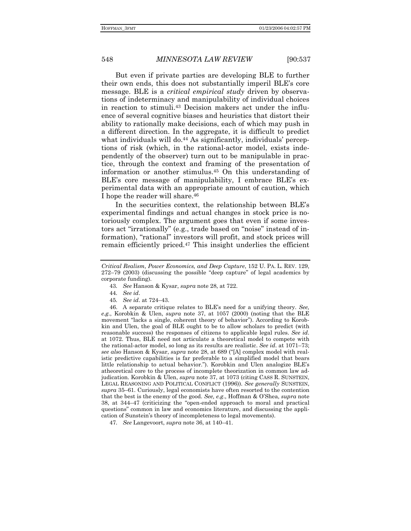But even if private parties are developing BLE to further their own ends, this does not substantially imperil BLEís core message. BLE is a *critical empirical study* driven by observations of indeterminacy and manipulability of individual choices in reaction to stimuli.43 Decision makers act under the influence of several cognitive biases and heuristics that distort their ability to rationally make decisions, each of which may push in a different direction. In the aggregate, it is difficult to predict what individuals will do.<sup>44</sup> As significantly, individuals' perceptions of risk (which, in the rational-actor model, exists independently of the observer) turn out to be manipulable in practice, through the context and framing of the presentation of information or another stimulus.45 On this understanding of BLE's core message of manipulability, I embrace BLE's experimental data with an appropriate amount of caution, which I hope the reader will share.46

In the securities context, the relationship between BLE's experimental findings and actual changes in stock price is notoriously complex. The argument goes that even if some investors act "irrationally" (e.g., trade based on "noise" instead of information), "rational" investors will profit, and stock prices will remain efficiently priced.47 This insight underlies the efficient

- 43*. See* Hanson & Kysar, *supra* note 28, at 722.
- 44*. See id*.
- 45. See *id*. at 724–43.

 46. A separate critique relates to BLEís need for a unifying theory. *See, e.g.*, Korobkin & Ulen, *supra* note 37, at 1057 (2000) (noting that the BLE movement "lacks a single, coherent theory of behavior"). According to Korobkin and Ulen, the goal of BLE ought to be to allow scholars to predict (with reasonable success) the responses of citizens to applicable legal rules. *See id*. at 1072. Thus, BLE need not articulate a theoretical model to compete with the rational-actor model, so long as its results are realistic. *See id.* at 1071–73; *see also* Hanson & Kysar, *supra* note 28, at 689 (ì[A] complex model with realistic predictive capabilities is far preferable to a simplified model that bears little relationship to actual behavior."). Korobkin and Ulen analogize BLE's atheoretical core to the process of incomplete theorization in common law adjudication. Korobkin & Ulen, *supra* note 37, at 1073 (citing CASS R. SUNSTEIN, LEGAL REASONING AND POLITICAL CONFLICT (1996)). *See generally* SUNSTEIN, supra 35–61. Curiously, legal economists have often resorted to the contention that the best is the enemy of the good. *See, e.g*., Hoffman & OíShea, *supra* note 38, at  $344-47$  (criticizing the "open-ended approach to moral and practical questionsî common in law and economics literature, and discussing the application of Sunstein's theory of incompleteness to legal movements).

47. *See* Langevoort, *supra* note 36, at 140–41.

*Critical Realism, Power Economics, and Deep Capture*, 152 U. PA. L. REV. 129,  $272-79$  (2003) (discussing the possible "deep capture" of legal academics by corporate funding).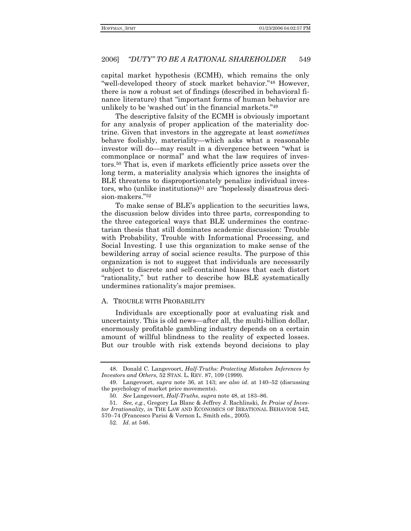capital market hypothesis (ECMH), which remains the only "well-developed theory of stock market behavior."<sup>48</sup> However, there is now a robust set of findings (described in behavioral finance literature) that "important forms of human behavior are unlikely to be 'washed out' in the financial markets."49

The descriptive falsity of the ECMH is obviously important for any analysis of proper application of the materiality doctrine. Given that investors in the aggregate at least *sometimes* behave foolishly, materiality-which asks what a reasonable investor will do—may result in a divergence between "what is commonplace or normal" and what the law requires of investors.<sup>50</sup> That is, even if markets efficiently price assets over the long term, a materiality analysis which ignores the insights of BLE threatens to disproportionately penalize individual investors, who (unlike institutions)<sup>51</sup> are "hopelessly disastrous decision-makers."<sup>52</sup>

To make sense of BLE's application to the securities laws. the discussion below divides into three parts, corresponding to the three categorical ways that BLE undermines the contractarian thesis that still dominates academic discussion: Trouble with Probability, Trouble with Informational Processing, and Social Investing. I use this organization to make sense of the bewildering array of social science results. The purpose of this organization is not to suggest that individuals are necessarily subject to discrete and self-contained biases that each distort "rationality," but rather to describe how BLE systematically undermines rationality's major premises.

#### A. TROUBLE WITH PROBABILITY

Individuals are exceptionally poor at evaluating risk and uncertainty. This is old news—after all, the multi-billion dollar, enormously profitable gambling industry depends on a certain amount of willful blindness to the reality of expected losses. But our trouble with risk extends beyond decisions to play

<sup>48.</sup> Donald C. Langevoort, Half-Truths: Protecting Mistaken Inferences by Investors and Others, 52 STAN. L. REV. 87, 109 (1999).

<sup>49.</sup> Langevoort, *supra* note 36, at 143; *see also id.* at 140–52 (discussing the psychology of market price movements).

<sup>50.</sup> See Langevoort, *Half-Truths*, *supra* note 48, at 183–86.

<sup>51.</sup> See, e.g., Gregory La Blanc & Jeffrey J. Rachlinski, In Praise of Investor Irrationality, in THE LAW AND ECONOMICS OF IRRATIONAL BEHAVIOR 542, 570-74 (Francesco Parisi & Vernon L. Smith eds., 2005).

<sup>52.</sup>  $Id.$  at 546.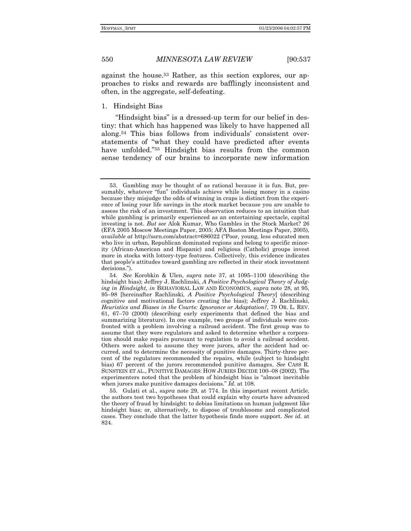against the house.53 Rather, as this section explores, our approaches to risks and rewards are bafflingly inconsistent and often, in the aggregate, self-defeating.

1. Hindsight Bias

"Hindsight bias" is a dressed-up term for our belief in destiny: that which has happened was likely to have happened all along.<sup>54</sup> This bias follows from individuals' consistent overstatements of "what they could have predicted after events have unfolded.<sup>"55</sup> Hindsight bias results from the common sense tendency of our brains to incorporate new information

 55. Gulati et al., *supra* note 29, at 774. In this important recent Article, the authors test two hypotheses that could explain why courts have advanced the theory of fraud by hindsight: to debias limitations on human judgment like hindsight bias; or, alternatively, to dispose of troublesome and complicated cases. They conclude that the latter hypothesis finds more support. *See id*. at 824.

 <sup>53.</sup> Gambling may be thought of as rational because it is fun. But, presumably, whatever "fun" individuals achieve while losing money in a casino because they misjudge the odds of winning in craps is distinct from the experience of losing your life savings in the stock market because you are unable to assess the risk of an investment. This observation reduces to an intuition that while gambling is primarily experienced as an entertaining spectacle, capital investing is not. *But see* Alok Kumar, Who Gambles in the Stock Market? 26 (EFA 2005 Moscow Meetings Paper, 2005; AFA Boston Meetings Paper, 2005), *available at http://ssrn.com/abstract=686022 ("Poor, young, less educated men* who live in urban, Republican dominated regions and belong to specific minority (African-American and Hispanic) and religious (Catholic) groups invest more in stocks with lottery-type features. Collectively, this evidence indicates that peopleís attitudes toward gambling are reflected in their stock investment decisions.").

<sup>54.</sup> See Korobkin & Ulen, *supra* note 37, at 1095–1100 (describing the hindsight bias); Jeffrey J. Rachlinski, *A Positive Psychological Theory of Judging in Hindsight*, *in* BEHAVIORAL LAW AND ECONOMICS, *supra* note 28, at 95, 95-98 [hereinafter Rachlinski, *A Positive Psychological Theory*] (describing cognitive and motivational factors creating the bias); Jeffrey J. Rachlinski, *Heuristics and Biases in the Courts: Ignorance or Adaptation?*, 79 OR. L. REV. 61, 67-70 (2000) (describing early experiments that defined the bias and summarizing literature). In one example, two groups of individuals were confronted with a problem involving a railroad accident. The first group was to assume that they were regulators and asked to determine whether a corporation should make repairs pursuant to regulation to avoid a railroad accident. Others were asked to assume they were jurors, after the accident had occurred, and to determine the necessity of punitive damages. Thirty-three percent of the regulators recommended the repairs, while (subject to hindsight bias) 67 percent of the jurors recommended punitive damages. *See* CASS R. SUNSTEIN ET AL., PUNITIVE DAMAGES: HOW JURIES DECIDE 100-08 (2002). The experimenters noted that the problem of hindsight bias is "almost inevitable when jurors make punitive damages decisions." *Id.* at 108.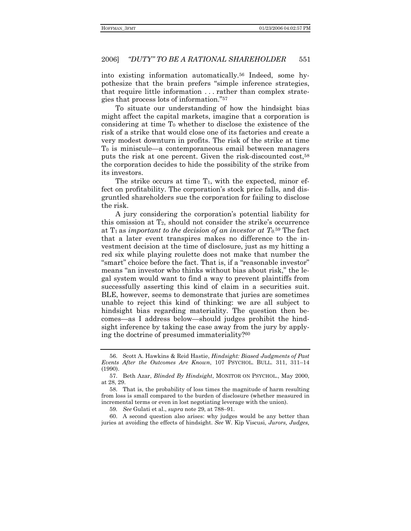into existing information automatically.<sup>56</sup> Indeed, some hypothesize that the brain prefers "simple inference strategies, that require little information ... rather than complex strategies that process lots of information."57

To situate our understanding of how the hindsight bias might affect the capital markets, imagine that a corporation is considering at time T<sub>0</sub> whether to disclose the existence of the risk of a strike that would close one of its factories and create a very modest downturn in profits. The risk of the strike at time T<sub>0</sub> is miniscule—a contemporaneous email between managers puts the risk at one percent. Given the risk-discounted cost,<sup>58</sup> the corporation decides to hide the possibility of the strike from its investors.

The strike occurs at time  $T_1$ , with the expected, minor effect on profitability. The corporation's stock price falls, and disgruntled shareholders sue the corporation for failing to disclose the risk.

A jury considering the corporation's potential liability for this omission at  $T_2$ , should not consider the strike's occurrence at  $T_1$  as important to the decision of an investor at  $T_0$ <sup>59</sup> The fact that a later event transpires makes no difference to the investment decision at the time of disclosure, just as my hitting a red six while playing roulette does not make that number the "smart" choice before the fact. That is, if a "reasonable investor" means "an investor who thinks without bias about risk," the legal system would want to find a way to prevent plaintiffs from successfully asserting this kind of claim in a securities suit. BLE, however, seems to demonstrate that juries are sometimes unable to reject this kind of thinking: we are all subject to hindsight bias regarding materiality. The question then becomes—as I address below—should judges prohibit the hindsight inference by taking the case away from the jury by applying the doctrine of presumed immateriality?60

60. A second question also arises: why judges would be any better than juries at avoiding the effects of hindsight. See W. Kip Viscusi, Jurors, Judges,

<sup>56.</sup> Scott A. Hawkins & Reid Hastie. *Hindsight: Biased Judgments of Past* Events After the Outcomes Are Known, 107 PSYCHOL. BULL. 311, 311-14  $(1990).$ 

<sup>57.</sup> Beth Azar, Blinded By Hindsight, MONITOR ON PSYCHOL., May 2000, at 28, 29.

<sup>58.</sup> That is, the probability of loss times the magnitude of harm resulting from loss is small compared to the burden of disclosure (whether measured in incremental terms or even in lost negotiating leverage with the union).

<sup>59.</sup> See Gulati et al., supra note 29, at 788-91.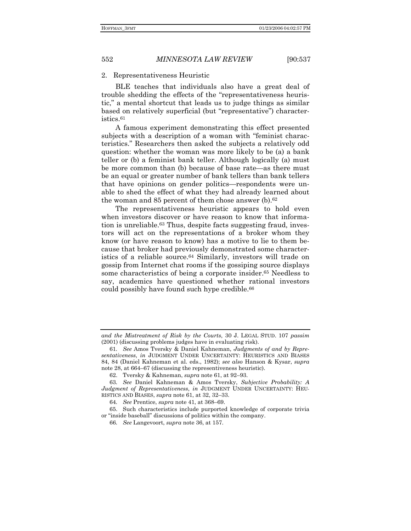#### 2. Representativeness Heuristic

BLE teaches that individuals also have a great deal of trouble shedding the effects of the "representativeness heuristic," a mental shortcut that leads us to judge things as similar based on relatively superficial (but "representative") characteristics.61

A famous experiment demonstrating this effect presented subjects with a description of a woman with "feminist characteristics.î Researchers then asked the subjects a relatively odd question: whether the woman was more likely to be (a) a bank teller or (b) a feminist bank teller. Although logically (a) must be more common than (b) because of base rate—as there must be an equal or greater number of bank tellers than bank tellers that have opinions on gender politics—respondents were unable to shed the effect of what they had already learned about the woman and 85 percent of them chose answer (b).62

The representativeness heuristic appears to hold even when investors discover or have reason to know that information is unreliable.63 Thus, despite facts suggesting fraud, investors will act on the representations of a broker whom they know (or have reason to know) has a motive to lie to them because that broker had previously demonstrated some characteristics of a reliable source.64 Similarly, investors will trade on gossip from Internet chat rooms if the gossiping source displays some characteristics of being a corporate insider.<sup>65</sup> Needless to say, academics have questioned whether rational investors could possibly have found such hype credible.66

*and the Mistreatment of Risk by the Courts*, 30 J. LEGAL STUD. 107 *passim*  (2001) (discussing problems judges have in evaluating risk).

<sup>61</sup>*. See* Amos Tversky & Daniel Kahneman, *Judgments of and by Representativeness*, *in* JUDGMENT UNDER UNCERTAINTY: HEURISTICS AND BIASES 84, 84 (Daniel Kahneman et al. eds., 1982); *see also* Hanson & Kysar, *supra* note 28, at  $664–67$  (discussing the representiveness heuristic).

<sup>62.</sup> Tversky & Kahneman, *supra* note 61, at 92–93.

<sup>63</sup>*. See* Daniel Kahneman & Amos Tversky, *Subjective Probability: A Judgment of Representativeness*, *in* JUDGMENT UNDER UNCERTAINTY: HEU-RISTICS AND BIASES, *supra* note 61, at 32, 32–33.

<sup>64.</sup> See Prentice, *supra* note 41, at 368–69.

 <sup>65.</sup> Such characteristics include purported knowledge of corporate trivia or "inside baseball" discussions of politics within the company.

<sup>66</sup>*. See* Langevoort, *supra* note 36, at 157.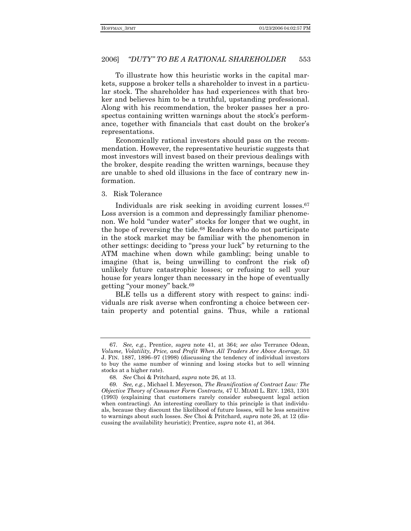To illustrate how this heuristic works in the capital markets, suppose a broker tells a shareholder to invest in a particular stock. The shareholder has had experiences with that broker and believes him to be a truthful, upstanding professional. Along with his recommendation, the broker passes her a prospectus containing written warnings about the stock's performance, together with financials that cast doubt on the broker's representations.

Economically rational investors should pass on the recommendation. However, the representative heuristic suggests that most investors will invest based on their previous dealings with the broker, despite reading the written warnings, because they are unable to shed old illusions in the face of contrary new information.

#### 3. Risk Tolerance

Individuals are risk seeking in avoiding current losses.<sup>67</sup> Loss aversion is a common and depressingly familiar phenomenon. We hold "under water" stocks for longer that we ought, in the hope of reversing the tide.68 Readers who do not participate in the stock market may be familiar with the phenomenon in other settings: deciding to "press your luck" by returning to the ATM machine when down while gambling; being unable to imagine (that is, being unwilling to confront the risk of) unlikely future catastrophic losses; or refusing to sell your house for years longer than necessary in the hope of eventually getting "your money" back.<sup>69</sup>

BLE tells us a different story with respect to gains: individuals are risk averse when confronting a choice between certain property and potential gains. Thus, while a rational

<sup>67</sup>*. See, e.g*., Prentice, *supra* note 41, at 364; *see also* Terrance Odean, *Volume, Volatility, Price, and Profit When All Traders Are Above Average*, 53 J. FIN. 1887, 1896–97 (1998) (discussing the tendency of individual investors to buy the same number of winning and losing stocks but to sell winning stocks at a higher rate).

<sup>68</sup>*. See* Choi & Pritchard, *supra* note 26, at 13.

<sup>69</sup>*. See, e.g.*, Michael I. Meyerson, *The Reunification of Contract Law: The Objective Theory of Consumer Form Contracts,* 47 U. MIAMI L. REV. 1263, 1301 (1993) (explaining that customers rarely consider subsequent legal action when contracting). An interesting corollary to this principle is that individuals, because they discount the likelihood of future losses, will be less sensitive to warnings about such losses. *See* Choi & Pritchard, *supra* note 26, at 12 (discussing the availability heuristic); Prentice, *supra* note 41, at 364.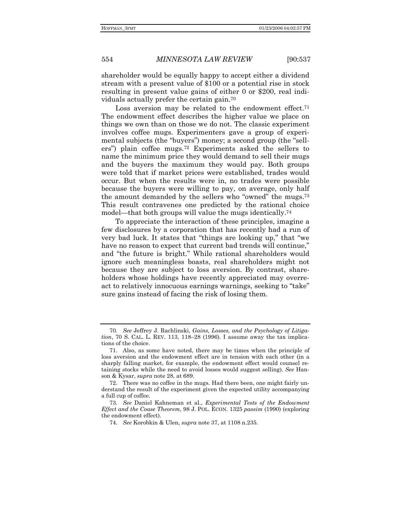shareholder would be equally happy to accept either a dividend stream with a present value of \$100 or a potential rise in stock resulting in present value gains of either 0 or \$200, real individuals actually prefer the certain gain.70

Loss aversion may be related to the endowment effect.<sup>71</sup> The endowment effect describes the higher value we place on things we own than on those we do not. The classic experiment involves coffee mugs. Experimenters gave a group of experimental subjects (the "buyers") money; a second group (the "sellersî) plain coffee mugs.72 Experiments asked the sellers to name the minimum price they would demand to sell their mugs and the buyers the maximum they would pay. Both groups were told that if market prices were established, trades would occur. But when the results were in, no trades were possible because the buyers were willing to pay, on average, only half the amount demanded by the sellers who "owned" the mugs.<sup>73</sup> This result contravenes one predicted by the rational choice model—that both groups will value the mugs identically.<sup>74</sup>

To appreciate the interaction of these principles, imagine a few disclosures by a corporation that has recently had a run of very bad luck. It states that "things are looking up," that "we have no reason to expect that current bad trends will continue," and "the future is bright." While rational shareholders would ignore such meaningless boasts, real shareholders might not because they are subject to loss aversion. By contrast, shareholders whose holdings have recently appreciated may overreact to relatively innocuous earnings warnings, seeking to "take" sure gains instead of facing the risk of losing them.

<sup>70</sup>*. See* Jeffrey J. Rachlinski, *Gains, Losses, and the Psychology of Litigation*, 70 S. CAL. L. REV. 113, 118–28 (1996). I assume away the tax implications of the choice.

 <sup>71.</sup> Also, as some have noted, there may be times when the principle of loss aversion and the endowment effect are in tension with each other (in a sharply falling market, for example, the endowment effect would counsel retaining stocks while the need to avoid losses would suggest selling). *See* Hanson & Kysar, *supra* note 28, at 689.

 <sup>72.</sup> There was no coffee in the mugs. Had there been, one might fairly understand the result of the experiment given the expected utility accompanying a full cup of coffee.

<sup>73</sup>*. See* Daniel Kahneman et al., *Experimental Tests of the Endowment Effect and the Coase Theorem*, 98 J. POL. ECON. 1325 *passim* (1990) (exploring the endowment effect).

<sup>74</sup>*. See* Korobkin & Ulen, *supra* note 37, at 1108 n.235.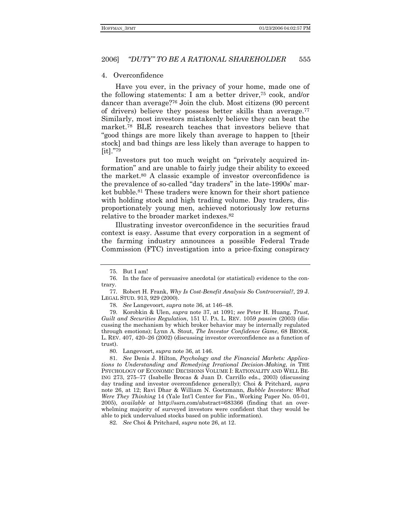#### 4. Overconfidence

Have you ever, in the privacy of your home, made one of the following statements: I am a better driver,75 cook, and/or dancer than average?76 Join the club. Most citizens (90 percent of drivers) believe they possess better skills than average.77 Similarly, most investors mistakenly believe they can beat the market.78 BLE research teaches that investors believe that ìgood things are more likely than average to happen to [their stock] and bad things are less likely than average to happen to  $[it]."^{79}$ 

Investors put too much weight on "privately acquired informationî and are unable to fairly judge their ability to exceed the market.80 A classic example of investor overconfidence is the prevalence of so-called "day traders" in the late-1990s' market bubble.81 These traders were known for their short patience with holding stock and high trading volume. Day traders, disproportionately young men, achieved notoriously low returns relative to the broader market indexes.82

Illustrating investor overconfidence in the securities fraud context is easy. Assume that every corporation in a segment of the farming industry announces a possible Federal Trade Commission (FTC) investigation into a price-fixing conspiracy

 79. Korobkin & Ulen, *supra* note 37, at 1091; *see* Peter H. Huang, *Trust, Guilt and Securities Regulation*, 151 U. PA. L. REV. 1059 *passim* (2003) (discussing the mechanism by which broker behavior may be internally regulated through emotions); Lynn A. Stout, *The Investor Confidence Game*, 68 BROOK. L. REV.  $407, 420-26$  (2002) (discussing investor overconfidence as a function of trust).

80*.* Langevoort, *supra* note 36, at 146.

 81. *See* Denis J. Hilton, *Psychology and the Financial Markets: Applications to Understanding and Remedying Irrational Decision-Making*, *in* THE PSYCHOLOGY OF ECONOMIC DECISIONS VOLUME I: RATIONALITY AND WELL BE-ING 273, 275–77 (Isabelle Brocas & Juan D. Carrillo eds., 2003) (discussing day trading and investor overconfidence generally); Choi & Pritchard, *supra* note 26, at 12; Ravi Dhar & William N. Goetzmann, *Bubble Investors: What Were They Thinking* 14 (Yale Intíl Center for Fin., Working Paper No. 05-01, 2005), *available at* http://ssrn.com/abstract=683366 (finding that an overwhelming majority of surveyed investors were confident that they would be able to pick undervalued stocks based on public information).

82*. See* Choi & Pritchard, *supra* note 26, at 12.

 <sup>75.</sup> But I am!

 <sup>76.</sup> In the face of persuasive anecdotal (or statistical) evidence to the contrary.

<sup>77</sup>*.* Robert H. Frank, *Why Is Cost-Benefit Analysis So Controversial?*, 29 J. LEGAL STUD. 913, 929 (2000).

<sup>78.</sup> See Langevoort, *supra* note 36, at 146–48.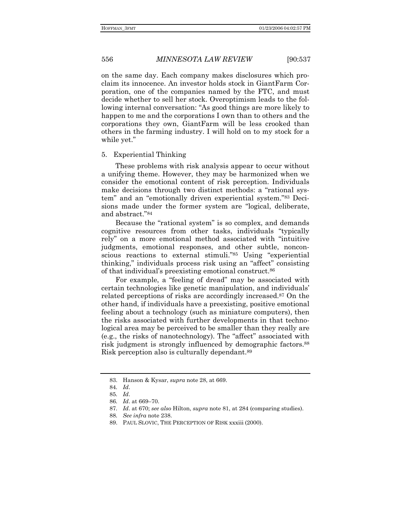on the same day. Each company makes disclosures which proclaim its innocence. An investor holds stock in GiantFarm Corporation, one of the companies named by the FTC, and must decide whether to sell her stock. Overoptimism leads to the following internal conversation: "As good things are more likely to happen to me and the corporations I own than to others and the corporations they own, GiantFarm will be less crooked than others in the farming industry. I will hold on to my stock for a while yet."

#### 5. Experiential Thinking

These problems with risk analysis appear to occur without a unifying theme. However, they may be harmonized when we consider the emotional content of risk perception. Individuals make decisions through two distinct methods: a "rational system" and an "emotionally driven experiential system."83 Decisions made under the former system are "logical, deliberate, and abstract."84

Because the "rational system" is so complex, and demands cognitive resources from other tasks, individuals "typically rely" on a more emotional method associated with "intuitive judgments, emotional responses, and other subtle, nonconscious reactions to external stimuli."85 Using "experiential thinking," individuals process risk using an "affect" consisting of that individual's preexisting emotional construct.<sup>86</sup>

For example, a "feeling of dread" may be associated with certain technologies like genetic manipulation, and individuals' related perceptions of risks are accordingly increased.87 On the other hand, if individuals have a preexisting, positive emotional feeling about a technology (such as miniature computers), then the risks associated with further developments in that technological area may be perceived to be smaller than they really are  $(e.g., the risks of nanotechnology).$  The "affect" associated with risk judgment is strongly influenced by demographic factors.<sup>88</sup> Risk perception also is culturally dependant.89

 <sup>83.</sup> Hanson & Kysar, *supra* note 28, at 669.

<sup>84</sup>*. Id*.

<sup>85</sup>*. Id*.

<sup>86.</sup> *Id.* at 669-70.

<sup>87</sup>*. Id*. at 670; *see also* Hilton, *supra* note 81, at 284 (comparing studies).

<sup>88</sup>*. See infra* note 238.

 <sup>89.</sup> PAUL SLOVIC, THE PERCEPTION OF RISK xxxiii (2000).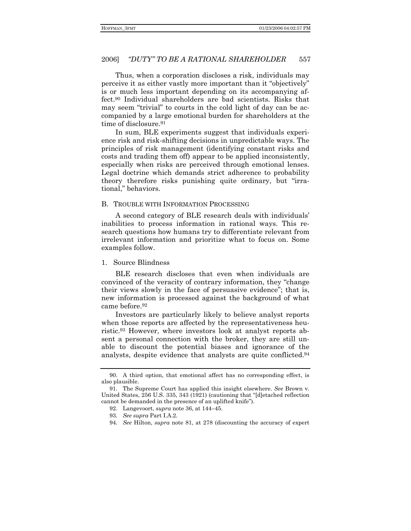Thus, when a corporation discloses a risk, individuals may perceive it as either vastly more important than it "objectively" is or much less important depending on its accompanying affect.<sup>90</sup> Individual shareholders are bad scientists. Risks that may seem "trivial" to courts in the cold light of day can be accompanied by a large emotional burden for shareholders at the time of disclosure.<sup>91</sup>

In sum, BLE experiments suggest that individuals experience risk and risk-shifting decisions in unpredictable ways. The principles of risk management (identifying constant risks and costs and trading them off) appear to be applied inconsistently. especially when risks are perceived through emotional lenses. Legal doctrine which demands strict adherence to probability theory therefore risks punishing quite ordinary, but "irrational," behaviors.

#### B. TROUBLE WITH INFORMATION PROCESSING

A second category of BLE research deals with individuals' inabilities to process information in rational ways. This research questions how humans try to differentiate relevant from irrelevant information and prioritize what to focus on. Some examples follow.

1. Source Blindness

BLE research discloses that even when individuals are convinced of the veracity of contrary information, they "change" their views slowly in the face of persuasive evidence"; that is, new information is processed against the background of what came before.<sup>92</sup>

Investors are particularly likely to believe analyst reports when those reports are affected by the representativeness heuristic.<sup>93</sup> However, where investors look at analyst reports absent a personal connection with the broker, they are still unable to discount the potential biases and ignorance of the analysts, despite evidence that analysts are quite conflicted.<sup>94</sup>

<sup>90.</sup> A third option, that emotional affect has no corresponding effect, is also plausible.

<sup>91.</sup> The Supreme Court has applied this insight elsewhere. See Brown v. United States, 256 U.S. 335, 343 (1921) (cautioning that "[d]etached reflection cannot be demanded in the presence of an uplifted knife").

<sup>92.</sup> Langevoort, supra note 36, at 144-45.

<sup>93.</sup> See supra Part I.A.2.

<sup>94.</sup> See Hilton, *supra* note 81, at 278 (discounting the accuracy of expert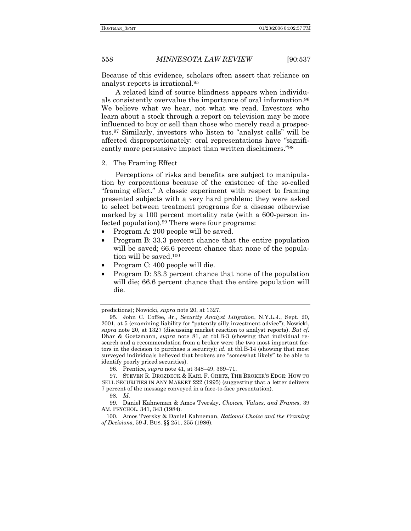Because of this evidence, scholars often assert that reliance on analyst reports is irrational.95

A related kind of source blindness appears when individuals consistently overvalue the importance of oral information.96 We believe what we hear, not what we read. Investors who learn about a stock through a report on television may be more influenced to buy or sell than those who merely read a prospectus.<sup>97</sup> Similarly, investors who listen to "analyst calls" will be affected disproportionately: oral representations have "significantly more persuasive impact than written disclaimers.<sup>"98</sup>

### 2. The Framing Effect

Perceptions of risks and benefits are subject to manipulation by corporations because of the existence of the so-called ìframing effect.î A classic experiment with respect to framing presented subjects with a very hard problem: they were asked to select between treatment programs for a disease otherwise marked by a 100 percent mortality rate (with a 600-person infected population).99 There were four programs:

- Program A: 200 people will be saved.
- Program B: 33.3 percent chance that the entire population will be saved; 66.6 percent chance that none of the population will be saved.100
- Program C: 400 people will die.
- Program D: 33.3 percent chance that none of the population will die; 66.6 percent chance that the entire population will die.

predictions); Nowicki, *supra* note 20, at 1327.

 <sup>95.</sup> John C. Coffee, Jr., *Security Analyst Litigation*, N.Y.L.J., Sept. 20, 2001, at 5 (examining liability for "patently silly investment advice"); Nowicki, *supra* note 20, at 1327 (discussing market reaction to analyst reports). *But cf.* Dhar & Goetzmann, *supra* note 81, at tbl.B-3 (showing that individual research and a recommendation from a broker were the two most important factors in the decision to purchase a security); *id.* at tbl.B-14 (showing that most surveyed individuals believed that brokers are "somewhat likely" to be able to identify poorly priced securities).

<sup>96.</sup> Prentice, *supra* note 41, at 348–49, 369–71.

 <sup>97.</sup> STEVEN R. DROZDECK & KARL F. GRETZ, THE BROKERíS EDGE: HOW TO SELL SECURITIES IN ANY MARKET 222 (1995) (suggesting that a letter delivers 7 percent of the message conveyed in a face-to-face presentation).

<sup>98</sup>*. Id.*

 <sup>99.</sup> Daniel Kahneman & Amos Tversky, *Choices, Values, and Frames*, 39 AM. PSYCHOL. 341, 343 (1984).

 <sup>100.</sup> Amos Tversky & Daniel Kahneman, *Rational Choice and the Framing of Decisions*, 59 J. BUS. ßß 251, 255 (1986).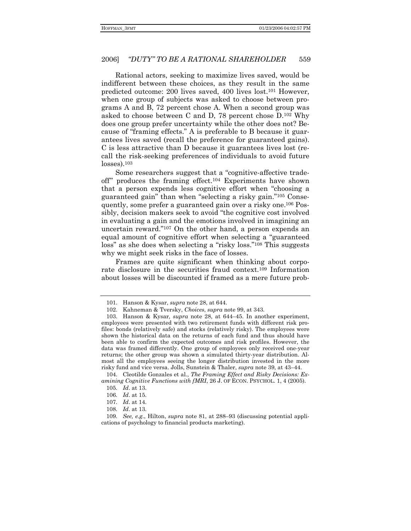Rational actors, seeking to maximize lives saved, would be indifferent between these choices, as they result in the same predicted outcome: 200 lives saved, 400 lives lost.101 However, when one group of subjects was asked to choose between programs A and B, 72 percent chose A. When a second group was asked to choose between C and D, 78 percent chose D.102 Why does one group prefer uncertainty while the other does not? Because of "framing effects." A is preferable to B because it guarantees lives saved (recall the preference for guaranteed gains). C is less attractive than D because it guarantees lives lost (recall the risk-seeking preferences of individuals to avoid future  $losses$ ).<sup>103</sup>

Some researchers suggest that a "cognitive-affective tradeoff" produces the framing effect.<sup>104</sup> Experiments have shown that a person expends less cognitive effort when "choosing a guaranteed gain" than when "selecting a risky gain."<sup>105</sup> Consequently, some prefer a guaranteed gain over a risky one.106 Possibly, decision makers seek to avoid "the cognitive cost involved in evaluating a gain and the emotions involved in imagining an uncertain reward." $107$  On the other hand, a person expends an equal amount of cognitive effort when selecting a "guaranteed loss" as she does when selecting a "risky loss."<sup>108</sup> This suggests why we might seek risks in the face of losses.

Frames are quite significant when thinking about corporate disclosure in the securities fraud context.109 Information about losses will be discounted if framed as a mere future prob-

 <sup>101.</sup> Hanson & Kysar, *supra* note 28, at 644.

 <sup>102.</sup> Kahneman & Tversky, *Choices*, *supra* note 99, at 343.

<sup>103.</sup> Hanson & Kysar, *supra* note 28, at 644-45. In another experiment, employees were presented with two retirement funds with different risk profiles: bonds (relatively safe) and stocks (relatively risky). The employees were shown the historical data on the returns of each fund and thus should have been able to confirm the expected outcomes and risk profiles. However, the data was framed differently. One group of employees only received one-year returns; the other group was shown a simulated thirty-year distribution. Almost all the employees seeing the longer distribution invested in the more risky fund and vice versa. Jolls, Sunstein & Thaler, *supra* note 39, at 43-44.

 <sup>104.</sup> Cleotilde Gonzales et al., *The Framing Effect and Risky Decisions: Examining Cognitive Functions with fMRI*, 26 J. OF ECON. PSYCHOL. 1, 4 (2005).

<sup>105</sup>*. Id*. at 13.

<sup>106</sup>*. Id*. at 15.

<sup>107</sup>*. Id*. at 14.

<sup>108</sup>*. Id*. at 13.

<sup>109.</sup> See, e.g., Hilton, *supra* note 81, at 288-93 (discussing potential applications of psychology to financial products marketing).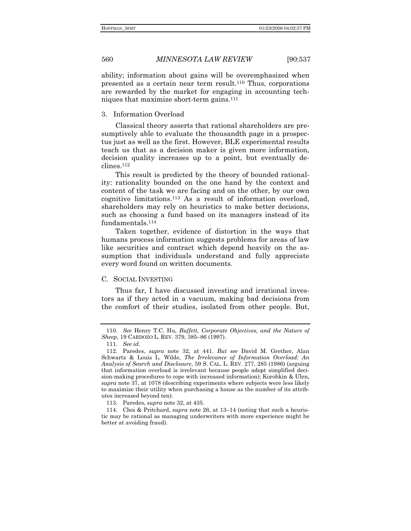ability; information about gains will be overemphasized when presented as a certain near term result.110 Thus, corporations are rewarded by the market for engaging in accounting techniques that maximize short-term gains.111

### 3. Information Overload

Classical theory asserts that rational shareholders are presumptively able to evaluate the thousandth page in a prospectus just as well as the first. However, BLE experimental results teach us that as a decision maker is given more information, decision quality increases up to a point, but eventually declines.112

This result is predicted by the theory of bounded rationality: rationality bounded on the one hand by the context and content of the task we are facing and on the other, by our own cognitive limitations.113 As a result of information overload, shareholders may rely on heuristics to make better decisions, such as choosing a fund based on its managers instead of its fundamentals.114

Taken together, evidence of distortion in the ways that humans process information suggests problems for areas of law like securities and contract which depend heavily on the assumption that individuals understand and fully appreciate every word found on written documents.

#### C. SOCIAL INVESTING

Thus far, I have discussed investing and irrational investors as if they acted in a vacuum, making bad decisions from the comfort of their studies, isolated from other people. But,

<sup>110</sup>*. See* Henry T.C. Hu*, Buffett, Corporate Objectives, and the Nature of Sheep*, 19 CARDOZO L. REV. 379, 385–86 (1997).

<sup>111</sup>*. See id*.

 <sup>112.</sup> Paredes, *supra* note 32, at 441. *But see* David M. Grether, Alan Schwartz & Louis L. Wilde, *The Irrelevance of Information Overload: An Analysis of Search and Disclosure*, 59 S. CAL. L. REV. 277, 285 (1986) (arguing that information overload is irrelevant because people adopt simplified decision-making procedures to cope with increased information); Korobkin & Ulen, *supra* note 37, at 1078 (describing experiments where subjects were less likely to maximize their utility when purchasing a house as the number of its attributes increased beyond ten).

 <sup>113.</sup> Paredes, *supra* note 32, at 435.

<sup>114.</sup> Choi & Pritchard, *supra* note 26, at 13–14 (noting that such a heuristic may be rational as managing underwriters with more experience might be better at avoiding fraud).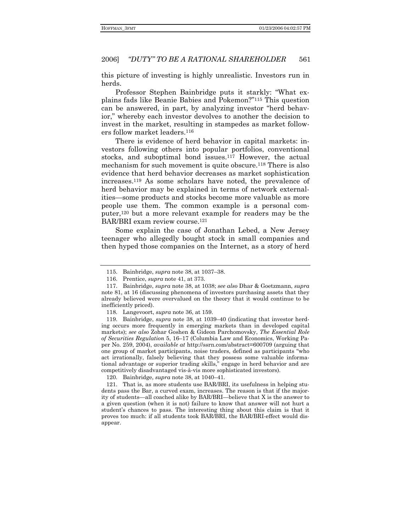this picture of investing is highly unrealistic. Investors run in herds.

Professor Stephen Bainbridge puts it starkly: "What explains fads like Beanie Babies and Pokemon?"<sup>115</sup> This question can be answered, in part, by analyzing investor "herd behavior," whereby each investor devolves to another the decision to invest in the market, resulting in stampedes as market followers follow market leaders.116

There is evidence of herd behavior in capital markets: investors following others into popular portfolios, conventional stocks, and suboptimal bond issues.<sup>117</sup> However, the actual mechanism for such movement is quite obscure.118 There is also evidence that herd behavior decreases as market sophistication increases.119 As some scholars have noted, the prevalence of herd behavior may be explained in terms of network externalities—some products and stocks become more valuable as more people use them. The common example is a personal computer,120 but a more relevant example for readers may be the BAR/BRI exam review course.121

Some explain the case of Jonathan Lebed, a New Jersey teenager who allegedly bought stock in small companies and then hyped those companies on the Internet, as a story of herd

119. Bainbridge, *supra* note 38, at 1039-40 (indicating that investor herding occurs more frequently in emerging markets than in developed capital markets); *see also* Zohar Goshen & Gideon Parchomovsky, *The Essential Role*  of Securities Regulation 5, 16-17 (Columbia Law and Economics, Working Paper No. 259, 2004), *available at* http://ssrn.com/abstract=600709 (arguing that one group of market participants, noise traders, defined as participants "who act irrationally, falsely believing that they possess some valuable informational advantage or superior trading skills," engage in herd behavior and are competitively disadvantaged vis-à-vis more sophisticated investors).

120. Bainbridge, *supra* note 38, at 1040–41.

 121. That is, as more students use BAR/BRI, its usefulness in helping students pass the Bar, a curved exam, increases. The reason is that if the majority of students—all coached alike by BAR/BRI—believe that X is the answer to a given question (when it is not) failure to know that answer will not hurt a student's chances to pass. The interesting thing about this claim is that it proves too much: if all students took BAR/BRI, the BAR/BRI-effect would disappear.

<sup>115.</sup> Bainbridge, *supra* note 38, at 1037-38.

 <sup>116.</sup> Prentice, *supra* note 41, at 373.

 <sup>117.</sup> Bainbridge, *supra* note 38, at 1038; *see also* Dhar & Goetzmann, *supra*  note 81, at 16 (discussing phenomena of investors purchasing assets that they already believed were overvalued on the theory that it would continue to be inefficiently priced).

 <sup>118.</sup> Langevoort, *supra* note 36, at 159.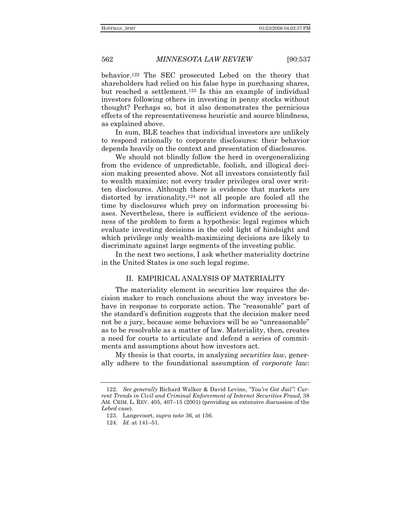behavior.122 The SEC prosecuted Lebed on the theory that shareholders had relied on his false hype in purchasing shares, but reached a settlement.123 Is this an example of individual investors following others in investing in penny stocks without thought? Perhaps so, but it also demonstrates the pernicious effects of the representativeness heuristic and source blindness, as explained above.

In sum, BLE teaches that individual investors are unlikely to respond rationally to corporate disclosures: their behavior depends heavily on the context and presentation of disclosures.

We should not blindly follow the herd in overgeneralizing from the evidence of unpredictable, foolish, and illogical decision making presented above. Not all investors consistently fail to wealth maximize; not every trader privileges oral over written disclosures. Although there is evidence that markets are distorted by irrationality,<sup>124</sup> not all people are fooled all the time by disclosures which prey on information processing biases. Nevertheless, there is sufficient evidence of the seriousness of the problem to form a hypothesis: legal regimes which evaluate investing decisions in the cold light of hindsight and which privilege only wealth-maximizing decisions are likely to discriminate against large segments of the investing public.

In the next two sections, I ask whether materiality doctrine in the United States is one such legal regime.

#### II. EMPIRICAL ANALYSIS OF MATERIALITY

The materiality element in securities law requires the decision maker to reach conclusions about the way investors behave in response to corporate action. The "reasonable" part of the standard's definition suggests that the decision maker need not be a jury, because some behaviors will be so "unreasonable" as to be resolvable as a matter of law. Materiality, then, creates a need for courts to articulate and defend a series of commitments and assumptions about how investors act.

My thesis is that courts, in analyzing *securities law*, generally adhere to the foundational assumption of *corporate law*:

<sup>122</sup>*. See generally* Richard Walker & David Levine, *ìYouíve Got Jailî: Current Trends in Civil and Criminal Enforcement of Internet Securities Fraud*, 38 AM. CRIM. L. REV.  $405$ ,  $407-15$  (2001) (providing an extensive discussion of the *Lebed* case).

 <sup>123.</sup> Langevoort, *supra* note 36, at 156.

<sup>124.</sup> *Id.* at 141–51.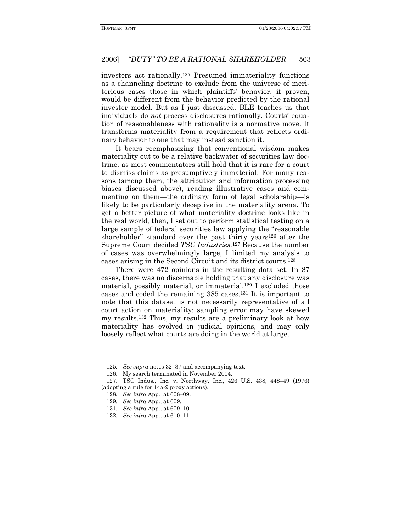investors act rationally.125 Presumed immateriality functions as a channeling doctrine to exclude from the universe of meritorious cases those in which plaintiffsí behavior, if proven, would be different from the behavior predicted by the rational investor model. But as I just discussed, BLE teaches us that individuals do *not* process disclosures rationally. Courts' equation of reasonableness with rationality is a normative move. It transforms materiality from a requirement that reflects ordinary behavior to one that may instead sanction it.

It bears reemphasizing that conventional wisdom makes materiality out to be a relative backwater of securities law doctrine, as most commentators still hold that it is rare for a court to dismiss claims as presumptively immaterial. For many reasons (among them, the attribution and information processing biases discussed above), reading illustrative cases and commenting on them—the ordinary form of legal scholarship—is likely to be particularly deceptive in the materiality arena. To get a better picture of what materiality doctrine looks like in the real world, then, I set out to perform statistical testing on a large sample of federal securities law applying the "reasonable shareholder" standard over the past thirty years<sup>126</sup> after the Supreme Court decided *TSC Industries.*127 Because the number of cases was overwhelmingly large, I limited my analysis to cases arising in the Second Circuit and its district courts.128

There were 472 opinions in the resulting data set. In 87 cases, there was no discernable holding that any disclosure was material, possibly material, or immaterial.129 I excluded those cases and coded the remaining 385 cases.131 It is important to note that this dataset is not necessarily representative of all court action on materiality: sampling error may have skewed my results.132 Thus, my results are a preliminary look at how materiality has evolved in judicial opinions, and may only loosely reflect what courts are doing in the world at large.

<sup>125.</sup> See supra notes 32–37 and accompanying text.

 <sup>126.</sup> My search terminated in November 2004.

<sup>127.</sup> TSC Indus., Inc. v. Northway, Inc., 426 U.S. 438, 448-49 (1976) (adopting a rule for 14a-9 proxy actions).

<sup>128.</sup> *See infra App.*, at 608–09.

 <sup>129.</sup> *See infra* App., at 609.

<sup>131.</sup> *See infra App.*, at 609–10.

<sup>132.</sup> *See infra App.*, at 610–11.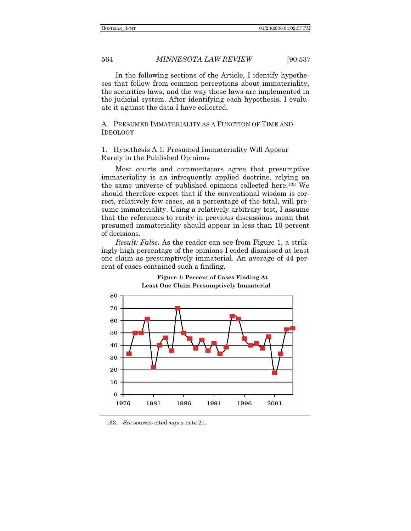In the following sections of the Article, I identify hypotheses that follow from common perceptions about immateriality, the securities laws, and the way those laws are implemented in the judicial system. After identifying each hypothesis, I evaluate it against the data I have collected.

A. PRESUMED IMMATERIALITY AS A FUNCTION OF TIME AND IDEOLOGY

1. Hypothesis A.1: Presumed Immateriality Will Appear Rarely in the Published Opinions

Most courts and commentators agree that presumptive immateriality is an infrequently applied doctrine, relying on the same universe of published opinions collected here.133 We should therefore expect that if the conventional wisdom is correct, relatively few cases, as a percentage of the total, will presume immateriality. Using a relatively arbitrary test, I assume that the references to rarity in previous discussions mean that presumed immateriality should appear in less than 10 percent of decisions.

*Result: False*. As the reader can see from Figure 1, a strikingly high percentage of the opinions I coded dismissed at least one claim as presumptively immaterial. An average of 44 percent of cases contained such a finding.



**Figure 1: Percent of Cases Finding At Least One Claim Presumptively Immaterial** 

 <sup>133.</sup> *See* sources cited *supra* note 21.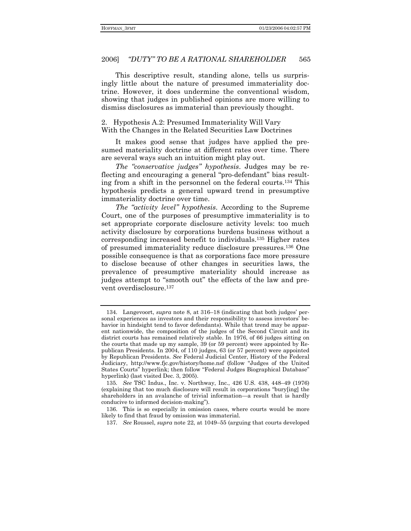This descriptive result, standing alone, tells us surprisingly little about the nature of presumed immateriality doctrine. However, it does undermine the conventional wisdom, showing that judges in published opinions are more willing to dismiss disclosures as immaterial than previously thought.

2. Hypothesis A.2: Presumed Immateriality Will Vary With the Changes in the Related Securities Law Doctrines

It makes good sense that judges have applied the presumed materiality doctrine at different rates over time. There are several ways such an intuition might play out.

The "conservative judges" hypothesis. Judges may be reflecting and encouraging a general "pro-defendant" bias resulting from a shift in the personnel on the federal courts.<sup>134</sup> This hypothesis predicts a general upward trend in presumptive immateriality doctrine over time.

*The "activity level" hypothesis.* According to the Supreme Court, one of the purposes of presumptive immateriality is to set appropriate corporate disclosure activity levels: too much activity disclosure by corporations burdens business without a corresponding increased benefit to individuals.<sup>135</sup> Higher rates of presumed immateriality reduce disclosure pressures.<sup>136</sup> One possible consequence is that as corporations face more pressure to disclose because of other changes in securities laws, the prevalence of presumptive materiality should increase as judges attempt to "smooth out" the effects of the law and prevent overdisclosure.<sup>137</sup>

137. See Roussel, *supra* note 22, at 1049–55 (arguing that courts developed

<sup>134.</sup> Langevoort, *supra* note 8, at 316–18 (indicating that both judges' personal experiences as investors and their responsibility to assess investors' behavior in hindsight tend to favor defendants). While that trend may be apparent nationwide, the composition of the judges of the Second Circuit and its district courts has remained relatively stable. In 1976, of 66 judges sitting on the courts that made up my sample, 39 (or 59 percent) were appointed by Republican Presidents. In 2004, of 110 judges, 63 (or 57 percent) were appointed by Republican Presidents. See Federal Judicial Center, History of the Federal Judiciary, http://www.fjc.gov/history/home.nsf (follow "Judges of the United States Courts" hyperlink; then follow "Federal Judges Biographical Database" hyperlink) (last visited Dec. 3, 2005).

<sup>135.</sup> See TSC Indus., Inc. v. Northway, Inc., 426 U.S. 438, 448-49 (1976) (explaining that too much disclosure will result in corporations "bury[ing] the shareholders in an avalanche of trivial information—a result that is hardly conducive to informed decision-making").

<sup>136.</sup> This is so especially in omission cases, where courts would be more likely to find that fraud by omission was immaterial.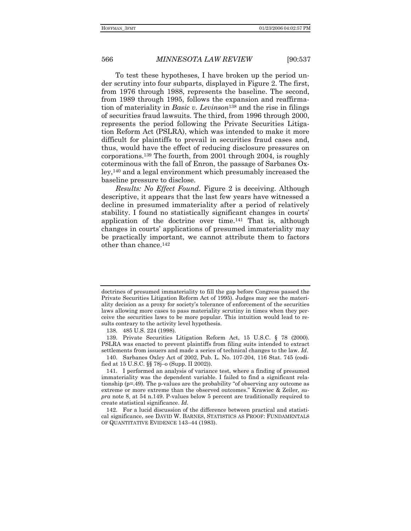To test these hypotheses, I have broken up the period under scrutiny into four subparts, displayed in Figure 2. The first, from 1976 through 1988, represents the baseline. The second, from 1989 through 1995, follows the expansion and reaffirmation of materiality in *Basic v. Levinson*138 and the rise in filings of securities fraud lawsuits. The third, from 1996 through 2000, represents the period following the Private Securities Litigation Reform Act (PSLRA), which was intended to make it more difficult for plaintiffs to prevail in securities fraud cases and, thus, would have the effect of reducing disclosure pressures on corporations.139 The fourth, from 2001 through 2004, is roughly coterminous with the fall of Enron, the passage of Sarbanes Oxley,140 and a legal environment which presumably increased the baseline pressure to disclose.

*Results: No Effect Found*. Figure 2 is deceiving. Although descriptive, it appears that the last few years have witnessed a decline in presumed immateriality after a period of relatively stability. I found no statistically significant changes in courts' application of the doctrine over time.141 That is, although changes in courts' applications of presumed immateriality may be practically important, we cannot attribute them to factors other than chance.142

doctrines of presumed immateriality to fill the gap before Congress passed the Private Securities Litigation Reform Act of 1995). Judges may see the materiality decision as a proxy for societyís tolerance of enforcement of the securities laws allowing more cases to pass materiality scrutiny in times when they perceive the securities laws to be more popular. This intuition would lead to results contrary to the activity level hypothesis.

 <sup>138. 485</sup> U.S. 224 (1998).

 <sup>139.</sup> Private Securities Litigation Reform Act, 15 U.S.C. ß 78 (2000). PSLRA was enacted to prevent plaintiffs from filing suits intended to extract settlements from issuers and made a series of technical changes to the law. *Id*.

 <sup>140.</sup> Sarbanes Oxley Act of 2002, Pub. L. No. 107-204, 116 Stat. 745 (codified at 15 U.S.C. §§ 78j-o (Supp. II 2002)).

 <sup>141.</sup> I performed an analysis of variance test, where a finding of presumed immateriality was the dependent variable. I failed to find a significant relationship ( $p=49$ ). The p-values are the probability "of observing any outcome as extreme or more extreme than the observed outcomes.î Krawiec & Zeiler*, supra* note 8, at 54 n.149. P-values below 5 percent are traditionally required to create statistical significance. *Id.*

 <sup>142.</sup> For a lucid discussion of the difference between practical and statistical significance, see DAVID W. BARNES, STATISTICS AS PROOF: FUNDAMENTALS OF QUANTITATIVE EVIDENCE 143-44 (1983).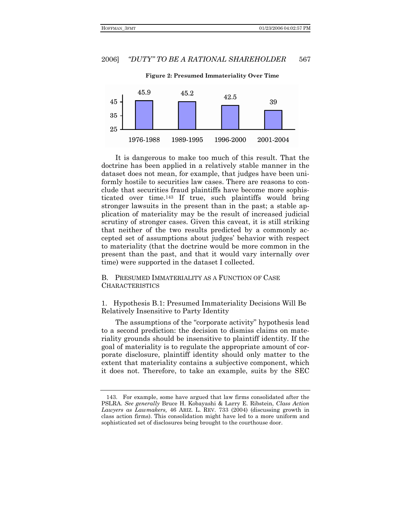

**Figure 2: Presumed Immateriality Over Time** 

It is dangerous to make too much of this result. That the doctrine has been applied in a relatively stable manner in the dataset does not mean, for example, that judges have been uniformly hostile to securities law cases. There are reasons to conclude that securities fraud plaintiffs have become more sophisticated over time.143 If true, such plaintiffs would bring stronger lawsuits in the present than in the past; a stable application of materiality may be the result of increased judicial scrutiny of stronger cases. Given this caveat, it is still striking that neither of the two results predicted by a commonly accepted set of assumptions about judges' behavior with respect to materiality (that the doctrine would be more common in the present than the past, and that it would vary internally over time) were supported in the dataset I collected.

B. PRESUMED IMMATERIALITY AS A FUNCTION OF CASE CHARACTERISTICS

1. Hypothesis B.1: Presumed Immateriality Decisions Will Be Relatively Insensitive to Party Identity

The assumptions of the "corporate activity" hypothesis lead to a second prediction: the decision to dismiss claims on materiality grounds should be insensitive to plaintiff identity. If the goal of materiality is to regulate the appropriate amount of corporate disclosure, plaintiff identity should only matter to the extent that materiality contains a subjective component, which it does not. Therefore, to take an example, suits by the SEC

 <sup>143.</sup> For example, some have argued that law firms consolidated after the PSLRA. *See generally* Bruce H. Kobayashi & Larry E. Ribstein, *Class Action Lawyers as Lawmakers,* 46 ARIZ. L. REV. 733 (2004) (discussing growth in class action firms). This consolidation might have led to a more uniform and sophisticated set of disclosures being brought to the courthouse door.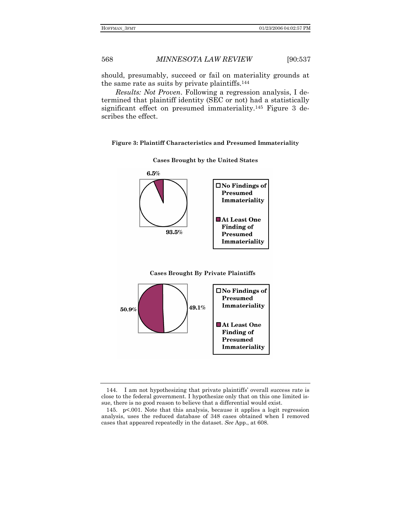should, presumably, succeed or fail on materiality grounds at the same rate as suits by private plaintiffs.144

*Results: Not Proven*. Following a regression analysis, I determined that plaintiff identity (SEC or not) had a statistically significant effect on presumed immateriality.<sup>145</sup> Figure 3 describes the effect.

#### **Figure 3: Plaintiff Characteristics and Presumed Immateriality**

**Cases Brought by the United States** 





 <sup>144.</sup> I am not hypothesizing that private plaintiffsí overall success rate is close to the federal government. I hypothesize only that on this one limited issue, there is no good reason to believe that a differential would exist.

 <sup>145.</sup> p<.001. Note that this analysis, because it applies a logit regression analysis, uses the reduced database of 348 cases obtained when I removed cases that appeared repeatedly in the dataset. *See* App., at 608.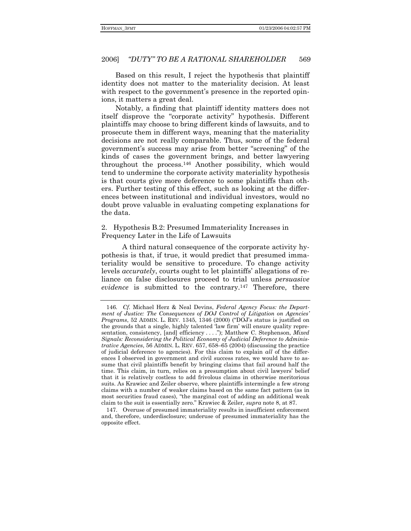Based on this result, I reject the hypothesis that plaintiff identity does not matter to the materiality decision. At least with respect to the government's presence in the reported opinions, it matters a great deal.

Notably, a finding that plaintiff identity matters does not itself disprove the "corporate activity" hypothesis. Different plaintiffs may choose to bring different kinds of lawsuits, and to prosecute them in different ways, meaning that the materiality decisions are not really comparable. Thus, some of the federal government's success may arise from better "screening" of the kinds of cases the government brings, and better lawyering throughout the process.146 Another possibility, which would tend to undermine the corporate activity materiality hypothesis is that courts give more deference to some plaintiffs than others. Further testing of this effect, such as looking at the differences between institutional and individual investors, would no doubt prove valuable in evaluating competing explanations for the data.

### 2. Hypothesis B.2: Presumed Immateriality Increases in Frequency Later in the Life of Lawsuits

A third natural consequence of the corporate activity hypothesis is that, if true, it would predict that presumed immateriality would be sensitive to procedure. To change activity levels *accurately*, courts ought to let plaintiffs' allegations of reliance on false disclosures proceed to trial unless *persuasive evidence* is submitted to the contrary.147 Therefore, there

<sup>146</sup>*. Cf.* Michael Herz & Neal Devins, *Federal Agency Focus: the Department of Justice: The Consequences of DOJ Control of Litigation on Agencies Programs*, 52 ADMIN. L. REV. 1345, 1346 (2000) ("DOJ's status is justified on the grounds that a single, highly talented 'law firm' will ensure quality representation, consistency, [and] efficiency . . . .î); Matthew C. Stephenson, *Mixed Signals: Reconsidering the Political Economy of Judicial Deference to Administrative Agencies*, 56 ADMIN. L. REV. 657, 658–65 (2004) (discussing the practice of judicial deference to agencies). For this claim to explain *all* of the differences I observed in government and civil success rates, we would have to assume that civil plaintiffs benefit by bringing claims that fail around half the time. This claim, in turn, relies on a presumption about civil lawyers' belief that it is relatively costless to add frivolous claims in otherwise meritorious suits. As Krawiec and Zeiler observe, where plaintiffs intermingle a few strong claims with a number of weaker claims based on the same fact pattern (as in most securities fraud cases), "the marginal cost of adding an additional weak claim to the suit is essentially zero.î Krawiec & Zeiler*, supra* note 8, at 87.

 <sup>147.</sup> Overuse of presumed immateriality results in insufficient enforcement and, therefore, underdisclosure; underuse of presumed immateriality has the opposite effect.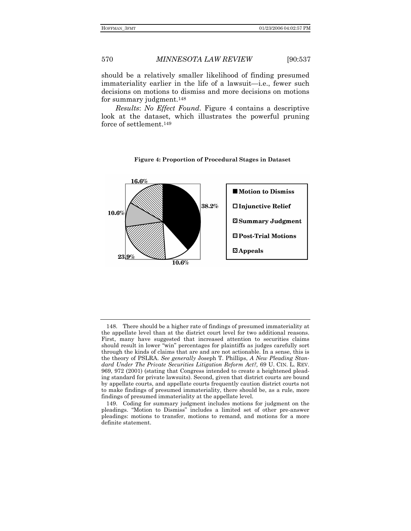should be a relatively smaller likelihood of finding presumed immateriality earlier in the life of a lawsuit—i.e., fewer such decisions on motions to dismiss and more decisions on motions for summary judgment.148

*Results*: *No Effect Found*. Figure 4 contains a descriptive look at the dataset, which illustrates the powerful pruning force of settlement.149

## $\boldsymbol{16.6\%}$ Motion to Dismiss  $38.2%$ □Injunctive Relief 10.6% **Z** Summary Judgment **ID** Post-Trial Motions  $\mathbf{\mathbf{\mathbf{\Xi} }\mathbf{Appe}\mathbf{als}}$  $23!9\%$  $\overline{10.6\%}$

## **Figure 4: Proportion of Procedural Stages in Dataset**

 <sup>148.</sup> There should be a higher rate of findings of presumed immateriality at the appellate level than at the district court level for two additional reasons. First, many have suggested that increased attention to securities claims should result in lower "win" percentages for plaintiffs as judges carefully sort through the kinds of claims that are and are not actionable. In a sense, this is the theory of PSLRA. *See generally* Joseph T. Phillips, *A New Pleading Standard Under The Private Securities Litigation Reform Act?,* 69 U. CIN. L. REV. 969, 972 (2001) (stating that Congress intended to create a heightened pleading standard for private lawsuits). Second, given that district courts are bound by appellate courts, and appellate courts frequently caution district courts not to make findings of presumed immateriality, there should be, as a rule, more findings of presumed immateriality at the appellate level.

 <sup>149.</sup> Coding for summary judgment includes motions for judgment on the pleadings. "Motion to Dismiss" includes a limited set of other pre-answer pleadings: motions to transfer, motions to remand, and motions for a more definite statement.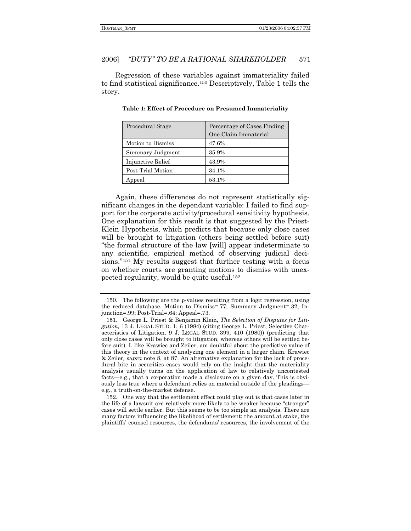Regression of these variables against immateriality failed to find statistical significance.<sup>150</sup> Descriptively, Table 1 tells the story.

| Procedural Stage  | Percentage of Cases Finding |
|-------------------|-----------------------------|
|                   | One Claim Immaterial        |
| Motion to Dismiss | 47.6%                       |
| Summary Judgment  | 35.9%                       |
| Injunctive Relief | 43.9%                       |
| Post-Trial Motion | 34.1%                       |
| Appeal            | 53.1%                       |

Table 1: Effect of Procedure on Presumed Immateriality

Again, these differences do not represent statistically significant changes in the dependant variable: I failed to find support for the corporate activity/procedural sensitivity hypothesis. One explanation for this result is that suggested by the Priest-Klein Hypothesis, which predicts that because only close cases will be brought to litigation (others being settled before suit) "the formal structure of the law will appear indeterminate to any scientific, empirical method of observing judicial decisions."<sup>151</sup> My results suggest that further testing with a focus on whether courts are granting motions to dismiss with unexpected regularity, would be quite useful.<sup>152</sup>

<sup>150.</sup> The following are the p-values resulting from a logit regression, using the reduced database. Motion to Dismiss=.77; Summary Judgment=.32; Injunction=.99; Post-Trial=.64; Appeal=.73.

<sup>151.</sup> George L. Priest & Benjamin Klein, The Selection of Disputes for Litigation, 13 J. LEGAL STUD. 1, 6 (1984) (citing George L. Priest, Selective Characteristics of Litigation, 9 J. LEGAL STUD. 399, 410 (1980)) (predicting that only close cases will be brought to litigation, whereas others will be settled before suit). I, like Krawiec and Zeiler, am doubtful about the predictive value of this theory in the context of analyzing one element in a larger claim. Krawiec & Zeiler, supra note 8, at 87. An alternative explanation for the lack of procedural bite in securities cases would rely on the insight that the materiality analysis usually turns on the application of law to relatively uncontested facts—e.g., that a corporation made a disclosure on a given day. This is obviously less true where a defendant relies on material outside of the pleadingse.g., a truth-on-the-market defense.

<sup>152.</sup> One way that the settlement effect could play out is that cases later in the life of a lawsuit are relatively more likely to be weaker because "stronger" cases will settle earlier. But this seems to be too simple an analysis. There are many factors influencing the likelihood of settlement: the amount at stake, the plaintiffs' counsel resources, the defendants' resources, the involvement of the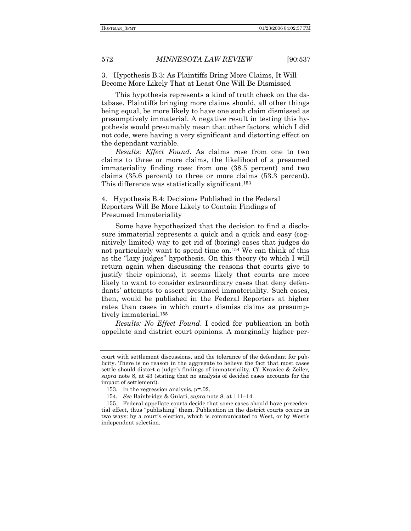3. Hypothesis B.3: As Plaintiffs Bring More Claims, It Will Become More Likely That at Least One Will Be Dismissed

This hypothesis represents a kind of truth check on the database. Plaintiffs bringing more claims should, all other things being equal, be more likely to have one such claim dismissed as presumptively immaterial. A negative result in testing this hypothesis would presumably mean that other factors, which I did not code, were having a very significant and distorting effect on the dependant variable.

*Results*: *Effect Found*. As claims rose from one to two claims to three or more claims, the likelihood of a presumed immateriality finding rose: from one (38.5 percent) and two claims (35.6 percent) to three or more claims (53.3 percent). This difference was statistically significant.153

4. Hypothesis B.4: Decisions Published in the Federal Reporters Will Be More Likely to Contain Findings of Presumed Immateriality

Some have hypothesized that the decision to find a disclosure immaterial represents a quick and a quick and easy (cognitively limited) way to get rid of (boring) cases that judges do not particularly want to spend time on.154 We can think of this as the "lazy judges" hypothesis. On this theory (to which I will return again when discussing the reasons that courts give to justify their opinions), it seems likely that courts are more likely to want to consider extraordinary cases that deny defendants' attempts to assert presumed immateriality. Such cases, then, would be published in the Federal Reporters at higher rates than cases in which courts dismiss claims as presumptively immaterial.155

*Results: No Effect Found*. I coded for publication in both appellate and district court opinions. A marginally higher per-

court with settlement discussions, and the tolerance of the defendant for publicity. There is no reason in the aggregate to believe the fact that most cases settle should distort a judgeís findings of immateriality. *Cf.* Krawiec & Zeiler*, supra* note 8, at 43 (stating that no analysis of decided cases accounts for the impact of settlement).

 <sup>153.</sup> In the regression analysis, p=.02.

<sup>154.</sup> See Bainbridge & Gulati, *supra* note 8, at 111–14.

 <sup>155.</sup> Federal appellate courts decide that some cases should have precedential effect, thus "publishing" them. Publication in the district courts occurs in two ways: by a court's election, which is communicated to West, or by West's independent selection.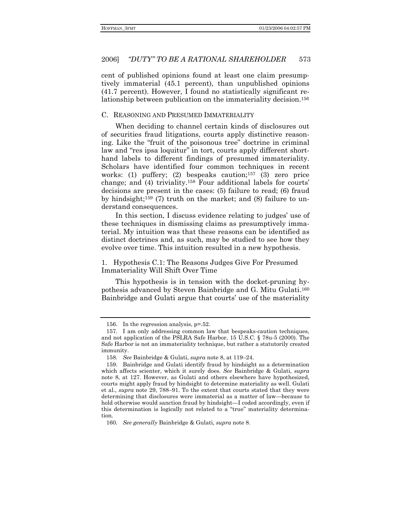#### "DUTY" TO BE A RATIONAL SHAREHOLDER 573 2006]

cent of published opinions found at least one claim presumptively immaterial (45.1 percent), than unpublished opinions (41.7 percent). However, I found no statistically significant relationship between publication on the immateriality decision.<sup>156</sup>

### C. REASONING AND PRESUMED IMMATERIALITY

When deciding to channel certain kinds of disclosures out of securities fraud litigations, courts apply distinctive reasoning. Like the "fruit of the poisonous tree" doctrine in criminal law and "res ipsa loquitur" in tort, courts apply different shorthand labels to different findings of presumed immateriality. Scholars have identified four common techniques in recent works: (1) puffery; (2) bespeaks caution;<sup>157</sup> (3) zero price change; and (4) triviality.<sup>158</sup> Four additional labels for courts' decisions are present in the cases: (5) failure to read; (6) fraud by hindsight; $159$  (7) truth on the market; and (8) failure to understand consequences.

In this section, I discuss evidence relating to judges' use of these techniques in dismissing claims as presumptively immaterial. My intuition was that these reasons can be identified as distinct doctrines and, as such, may be studied to see how they evolve over time. This intuition resulted in a new hypothesis.

1. Hypothesis C.1: The Reasons Judges Give For Presumed Immateriality Will Shift Over Time

This hypothesis is in tension with the docket-pruning hypothesis advanced by Steven Bainbridge and G. Mitu Gulati.<sup>160</sup> Bainbridge and Gulati argue that courts' use of the materiality

<sup>156.</sup> In the regression analysis, p=.52.

<sup>157.</sup> I am only addressing common law that bespeaks-caution techniques, and not application of the PSLRA Safe Harbor, 15 U.S.C. § 78u-5 (2000). The Safe Harbor is not an immateriality technique, but rather a statutorily created immunity.

<sup>158.</sup> See Bainbridge & Gulati, *supra* note 8, at 119–24.

<sup>159.</sup> Bainbridge and Gulati identify fraud by hindsight as a determination which affects scienter, which it surely does. See Bainbridge & Gulati, supra note 8, at 127. However, as Gulati and others elsewhere have hypothesized, courts might apply fraud by hindsight to determine materiality as well. Gulati et al., *supra* note 29, 788-91. To the extent that courts stated that they were determining that disclosures were immaterial as a matter of law—because to hold otherwise would sanction fraud by hindsight—I coded accordingly, even if this determination is logically not related to a "true" materiality determination.

<sup>160.</sup> See generally Bainbridge & Gulati, supra note 8.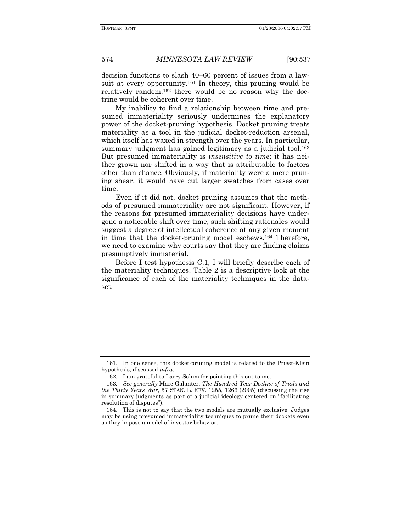decision functions to slash 40–60 percent of issues from a lawsuit at every opportunity.<sup>161</sup> In theory, this pruning would be relatively random:162 there would be no reason why the doctrine would be coherent over time.

My inability to find a relationship between time and presumed immateriality seriously undermines the explanatory power of the docket-pruning hypothesis. Docket pruning treats materiality as a tool in the judicial docket-reduction arsenal, which itself has waxed in strength over the years. In particular, summary judgment has gained legitimacy as a judicial tool.<sup>163</sup> But presumed immateriality is *insensitive to time*; it has neither grown nor shifted in a way that is attributable to factors other than chance. Obviously, if materiality were a mere pruning shear, it would have cut larger swatches from cases over time.

Even if it did not, docket pruning assumes that the methods of presumed immateriality are not significant. However, if the reasons for presumed immateriality decisions have undergone a noticeable shift over time, such shifting rationales would suggest a degree of intellectual coherence at any given moment in time that the docket-pruning model eschews.164 Therefore, we need to examine why courts say that they are finding claims presumptively immaterial.

Before I test hypothesis C.1, I will briefly describe each of the materiality techniques. Table 2 is a descriptive look at the significance of each of the materiality techniques in the dataset.

 <sup>161.</sup> In one sense, this docket-pruning model is related to the Priest-Klein hypothesis, discussed *infra*.

 <sup>162.</sup> I am grateful to Larry Solum for pointing this out to me.

<sup>163</sup>*. See generally* Marc Galanter, *The Hundred-Year Decline of Trials and the Thirty Years War*, 57 STAN. L. REV. 1255, 1266 (2005) (discussing the rise in summary judgments as part of a judicial ideology centered on "facilitating" resolution of disputes").

 <sup>164.</sup> This is not to say that the two models are mutually exclusive. Judges may be using presumed immateriality techniques to prune their dockets even as they impose a model of investor behavior.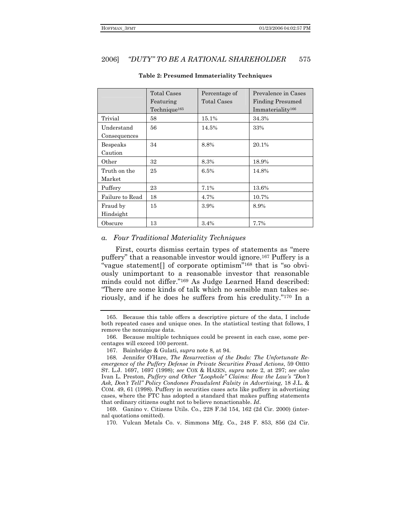#### "DUTY" TO BE A RATIONAL SHAREHOLDER 2006] 575

|                            | <b>Total Cases</b><br>Featuring<br>Technique <sup>165</sup> | Percentage of<br>Total Cases | Prevalence in Cases<br><b>Finding Presumed</b><br>Immateriality <sup>166</sup> |
|----------------------------|-------------------------------------------------------------|------------------------------|--------------------------------------------------------------------------------|
| Trivial                    | 58                                                          | 15.1%                        | 34.3%                                                                          |
| Understand<br>Consequences | 56                                                          | 14.5%                        | 33%                                                                            |
| Bespeaks<br>Caution        | 34                                                          | 8.8%                         | 20.1%                                                                          |
| Other                      | 32                                                          | 8.3%                         | 18.9%                                                                          |
| Truth on the<br>Market     | 25                                                          | 6.5%                         | 14.8%                                                                          |
| Puffery                    | 23                                                          | 7.1%                         | 13.6%                                                                          |
| Failure to Read            | 18                                                          | 4.7%                         | 10.7%                                                                          |
| Fraud by<br>Hindsight      | 15                                                          | 3.9%                         | 8.9%                                                                           |
| Obscure                    | 13                                                          | 3.4%                         | 7.7%                                                                           |

#### **Table 2: Presumed Immateriality Techniques**

#### a. Four Traditional Materiality Techniques

First, courts dismiss certain types of statements as "mere" puffery" that a reasonable investor would ignore.<sup>167</sup> Puffery is a "vague statement[] of corporate optimism"<sup>168</sup> that is "so obviously unimportant to a reasonable investor that reasonable minds could not differ."169 As Judge Learned Hand described: "There are some kinds of talk which no sensible man takes seriously, and if he does he suffers from his credulity."170 In a

<sup>165.</sup> Because this table offers a descriptive picture of the data, I include both repeated cases and unique ones. In the statistical testing that follows, I remove the nonunique data.

<sup>166.</sup> Because multiple techniques could be present in each case, some percentages will exceed 100 percent.

<sup>167.</sup> Bainbridge & Gulati, *supra* note 8, at 94.

Jennifer O'Hare, The Resurrection of the Dodo: The Unfortunate Re-168. emergence of the Puffery Defense in Private Securities Fraud Actions, 59 OHIO ST. L.J. 1697, 1697 (1998); see COX & HAZEN, supra note 2, at 297; see also Ivan L. Preston, Puffery and Other "Loophole" Claims: How the Law's "Don't Ask, Don't Tell" Policy Condones Fraudulent Falsity in Advertising, 18 J.L. & COM. 49, 61 (1998). Puffery in securities cases acts like puffery in advertising cases, where the FTC has adopted a standard that makes puffing statements that ordinary citizens ought not to believe nonactionable. Id.

<sup>169.</sup> Ganino v. Citizens Utils. Co., 228 F.3d 154, 162 (2d Cir. 2000) (internal quotations omitted).

<sup>170.</sup> Vulcan Metals Co. v. Simmons Mfg. Co., 248 F. 853, 856 (2d Cir.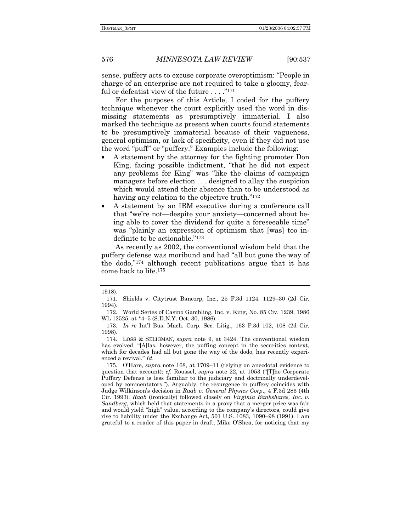576

*MINNESOTA LAW REVIEW* 

 $[90:537]$ 

sense, puffery acts to excuse corporate overoptimism: "People in charge of an enterprise are not required to take a gloomy, fearful or defeatist view of the future  $\dots$ ."<sup>171</sup>

For the purposes of this Article, I coded for the puffery technique whenever the court explicitly used the word in dismissing statements as presumptively immaterial. I also marked the technique as present when courts found statements to be presumptively immaterial because of their vagueness, general optimism, or lack of specificity, even if they did not use the word "puff" or "puffery." Examples include the following:

- A statement by the attorney for the fighting promoter Don King, facing possible indictment, "that he did not expect any problems for King" was "like the claims of campaign managers before election . . . designed to allay the suspicion which would attend their absence than to be understood as having any relation to the objective truth."<sup>172</sup>
- A statement by an IBM executive during a conference call that "we're not—despite your anxiety—concerned about being able to cover the dividend for quite a foreseeable time" was "plainly an expression of optimism that [was] too indefinite to be actionable."173

As recently as 2002, the conventional wisdom held that the puffery defense was moribund and had "all but gone the way of the dodo,"<sup>174</sup> although recent publications argue that it has come back to life.<sup>175</sup>

<sup>1918).</sup> 

<sup>171.</sup> Shields v. Citytrust Bancorp, Inc., 25 F.3d 1124, 1129-30 (2d Cir. 1994).

<sup>172.</sup> World Series of Casino Gambling, Inc. v. King, No. 85 Civ. 1239, 1986 WL 12525, at \*4-5 (S.D.N.Y. Oct. 30, 1986).

<sup>173.</sup> In re Int'l Bus. Mach. Corp. Sec. Litig., 163 F.3d 102, 108 (2d Cir. 1998).

<sup>174.</sup> LOSS & SELIGMAN, *supra* note 9, at 3424. The conventional wisdom has evolved. "[A]las, however, the puffing concept in the securities context, which for decades had all but gone the way of the dodo, has recently experienced a revival." Id.

<sup>175.</sup> O'Hare, *supra* note 168, at 1709–11 (relying on anecdotal evidence to question that account); cf. Roussel, *supra* note 22, at 1053 ("The Corporate" Puffery Defense is less familiar to the judiciary and doctrinally underdeveloped by commentators."). Arguably, the resurgence in puffery coincides with Judge Wilkinson's decision in Raab v. General Physics Corp., 4 F.3d 286 (4th Cir. 1993). Raab (ironically) followed closely on Virginia Bankshares, Inc. v. Sandberg, which held that statements in a proxy that a merger price was fair and would yield "high" value, according to the company's directors, could give rise to liability under the Exchange Act, 501 U.S. 1083, 1090-98 (1991). I am grateful to a reader of this paper in draft, Mike O'Shea, for noticing that my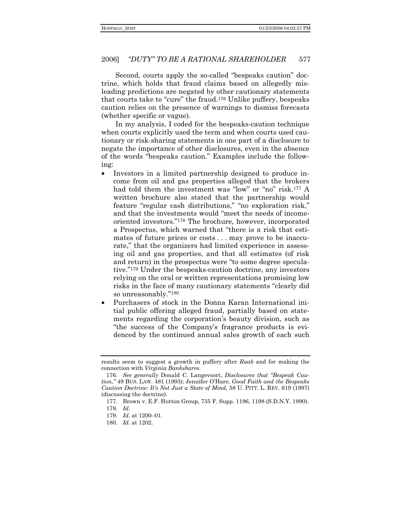Second, courts apply the so-called "bespeaks caution" doctrine, which holds that fraud claims based on allegedly misleading predictions are negated by other cautionary statements that courts take to "cure" the fraud.<sup>176</sup> Unlike puffery, bespeaks caution relies on the presence of warnings to dismiss forecasts (whether specific or vague).

In my analysis, I coded for the bespeaks-caution technique when courts explicitly used the term and when courts used cautionary or risk-sharing statements in one part of a disclosure to negate the importance of other disclosures, even in the absence of the words "bespeaks caution." Examples include the following:

- Investors in a limited partnership designed to produce income from oil and gas properties alleged that the brokers had told them the investment was "low" or "no" risk.<sup>177</sup> A written brochure also stated that the partnership would feature "regular cash distributions," "no exploration risk," and that the investments would "meet the needs of incomeoriented investors."<sup>178</sup> The brochure, however, incorporated a Prospectus, which warned that "there is a risk that estimates of future prices or costs . . . may prove to be inaccurate," that the organizers had limited experience in assessing oil and gas properties, and that all estimates (of risk and return) in the prospectus were "to some degree speculative.<sup>"179</sup> Under the bespeaks-caution doctrine, any investors relying on the oral or written representations promising low risks in the face of many cautionary statements "clearly did so unreasonably."<sup>180</sup>
- Purchasers of stock in the Donna Karan International initial public offering alleged fraud, partially based on statements regarding the corporation's beauty division, such as "the success of the Company's fragrance products is evidenced by the continued annual sales growth of each such

results seem to suggest a growth in puffery after *Raab* and for making the connection with *Virginia Bankshares*.

<sup>176.</sup> See generally Donald C. Langevoort, *Disclosures that "Bespeak Caution,î* 49 BUS. LAW. 481 (1993); Jennifer OíHare*, Good Faith and the Bespeaks Caution Doctrine: Itís Not Just a State of Mind,* 58 U. PITT. L. REV. 619 (1997) (discussing the doctrine).

 <sup>177.</sup> Brown v. E.F. Hutton Group, 735 F. Supp. 1196, 1198 (S.D.N.Y. 1990). 178. *Id*.

<sup>179.</sup> *Id.* at 1200-01.

<sup>180</sup>*. Id*. at 1202.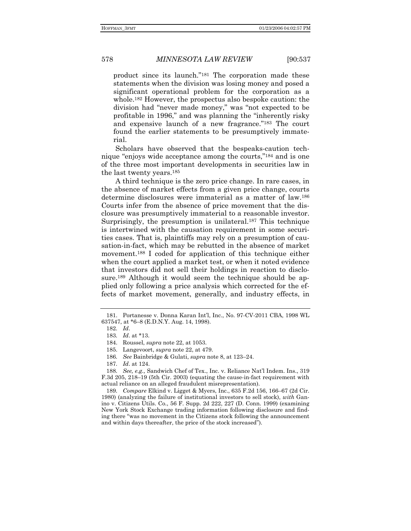product since its launch."<sup>181</sup> The corporation made these statements when the division was losing money and posed a significant operational problem for the corporation as a whole.182 However, the prospectus also bespoke caution: the division had "never made money," was "not expected to be profitable in 1996," and was planning the "inherently risky and expensive launch of a new fragrance."<sup>183</sup> The court found the earlier statements to be presumptively immaterial.

Scholars have observed that the bespeaks-caution technique "enjoys wide acceptance among the courts,"<sup>184</sup> and is one of the three most important developments in securities law in the last twenty years.185

A third technique is the zero price change. In rare cases, in the absence of market effects from a given price change, courts determine disclosures were immaterial as a matter of law.186 Courts infer from the absence of price movement that the disclosure was presumptively immaterial to a reasonable investor. Surprisingly, the presumption is unilateral.<sup>187</sup> This technique is intertwined with the causation requirement in some securities cases. That is, plaintiffs may rely on a presumption of causation-in-fact, which may be rebutted in the absence of market movement.188 I coded for application of this technique either when the court applied a market test, or when it noted evidence that investors did not sell their holdings in reaction to disclosure.<sup>189</sup> Although it would seem the technique should be applied only following a price analysis which corrected for the effects of market movement, generally, and industry effects, in

 <sup>181.</sup> Portanesse v. Donna Karan Intíl, Inc., No. 97-CV-2011 CBA, 1998 WL 637547, at \*6–8 (E.D.N.Y. Aug. 14, 1998).

 <sup>182.</sup> *Id*.

<sup>183</sup>*. Id*. at \*13.

 <sup>184.</sup> Roussel, *supra* note 22, at 1053.

 <sup>185.</sup> Langevoort, *supra* note 22, at 479.

<sup>186.</sup> See Bainbridge & Gulati, *supra* note 8, at 123–24.

<sup>187</sup>*. Id*. at 124.

<sup>188</sup>*. See, e.g.,* Sandwich Chef of Tex., Inc. v. Reliance Natíl Indem. Ins., 319 F.3d 205, 218–19 (5th Cir. 2003) (equating the cause-in-fact requirement with actual reliance on an alleged fraudulent misrepresentation).

<sup>189.</sup> Compare Elkind v. Ligget & Myers, Inc., 635 F.2d 156, 166-67 (2d Cir. 1980) (analyzing the failure of institutional investors to sell stock), *with* Ganino v. Citizens Utils. Co., 56 F. Supp. 2d 222, 227 (D. Conn. 1999) (examining New York Stock Exchange trading information following disclosure and finding there "was no movement in the Citizens stock following the announcement and within days thereafter, the price of the stock increased".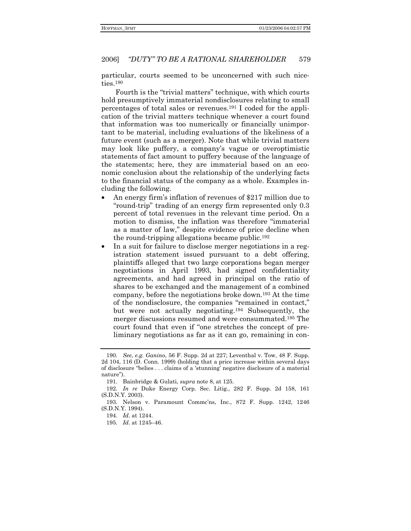#### "DUTY" TO BE A RATIONAL SHAREHOLDER 579 2006]

particular, courts seemed to be unconcerned with such niceties.<sup>190</sup>

Fourth is the "trivial matters" technique, with which courts hold presumptively immaterial nondisclosures relating to small percentages of total sales or revenues.<sup>191</sup> I coded for the application of the trivial matters technique whenever a court found that information was too numerically or financially unimportant to be material, including evaluations of the likeliness of a future event (such as a merger). Note that while trivial matters may look like puffery, a company's vague or overoptimistic statements of fact amount to puffery because of the language of the statements; here, they are immaterial based on an economic conclusion about the relationship of the underlying facts to the financial status of the company as a whole. Examples including the following.

- An energy firm's inflation of revenues of \$217 million due to "round-trip" trading of an energy firm represented only 0.3 percent of total revenues in the relevant time period. On a motion to dismiss, the inflation was therefore "immaterial as a matter of law," despite evidence of price decline when the round-tripping allegations became public.<sup>192</sup>
- In a suit for failure to disclose merger negotiations in a registration statement issued pursuant to a debt offering, plaintiffs alleged that two large corporations began merger negotiations in April 1993, had signed confidentiality agreements, and had agreed in principal on the ratio of shares to be exchanged and the management of a combined company, before the negotiations broke down.<sup>193</sup> At the time of the nondisclosure, the companies "remained in contact," but were not actually negotiating.<sup>194</sup> Subsequently, the merger discussions resumed and were consummated.<sup>195</sup> The court found that even if "one stretches the concept of preliminary negotiations as far as it can go, remaining in con-

<sup>190.</sup> See, e.g. Ganino, 56 F. Supp. 2d at 227; Leventhal v. Tow, 48 F. Supp. 2d 104, 116 (D. Conn. 1999) (holding that a price increase within several days of disclosure "belies . . . claims of a 'stunning' negative disclosure of a material nature").

<sup>191.</sup> Bainbridge & Gulati, *supra* note 8, at 125.

<sup>192.</sup> In re Duke Energy Corp. Sec. Litig., 282 F. Supp. 2d 158, 161 (S.D.N.Y. 2003).

<sup>193.</sup> Nelson v. Paramount Commc'ns, Inc., 872 F. Supp. 1242, 1246 (S.D.N.Y. 1994).

<sup>194.</sup> Id. at 1244.

<sup>195.</sup> *Id.* at  $1245-46$ .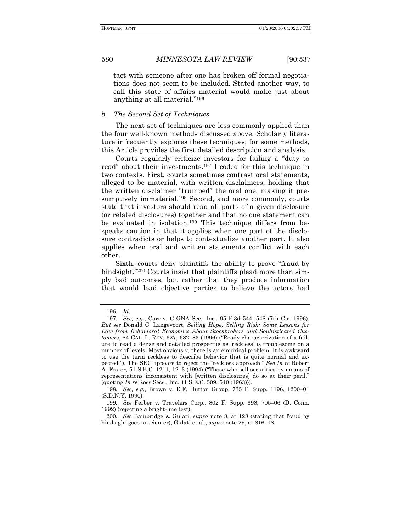tact with someone after one has broken off formal negotiations does not seem to be included. Stated another way, to call this state of affairs material would make just about anything at all material."<sup>196</sup>

### *b. The Second Set of Techniques*

The next set of techniques are less commonly applied than the four well-known methods discussed above. Scholarly literature infrequently explores these techniques; for some methods, this Article provides the first detailed description and analysis.

Courts regularly criticize investors for failing a "duty to read" about their investments.<sup>197</sup> I coded for this technique in two contexts. First, courts sometimes contrast oral statements, alleged to be material, with written disclaimers, holding that the written disclaimer "trumped" the oral one, making it presumptively immaterial.<sup>198</sup> Second, and more commonly, courts state that investors should read all parts of a given disclosure (or related disclosures) together and that no one statement can be evaluated in isolation.199 This technique differs from bespeaks caution in that it applies when one part of the disclosure contradicts or helps to contextualize another part. It also applies when oral and written statements conflict with each other.

Sixth, courts deny plaintiffs the ability to prove "fraud by" hindsight.<sup>"200</sup> Courts insist that plaintiffs plead more than simply bad outcomes, but rather that they produce information that would lead objective parties to believe the actors had

 <sup>196.</sup> *Id*.

<sup>197</sup>*. See, e.g.*, Carr v. CIGNA Sec., Inc., 95 F.3d 544, 548 (7th Cir. 1996). *But see* Donald C. Langevoort, *Selling Hope, Selling Risk: Some Lessons for Law from Behavioral Economics About Stockbrokers and Sophisticated Customers*, 84 CAL. L. REV. 627, 682–83 (1996) ("Ready characterization of a failure to read a dense and detailed prospectus as ërecklessí is troublesome on a number of levels. Most obviously, there is an empirical problem. It is awkward to use the term reckless to describe behavior that is quite normal and expected."). The SEC appears to reject the "reckless approach." *See In re* Robert A. Foster,  $51$  S.E.C. 1211, 1213 (1994) ("Those who sell securities by means of representations inconsistent with [written disclosures] do so at their peril.<sup>n</sup> (quoting *In re* Ross Secs., Inc. 41 S.E.C. 509, 510 (1963))).

<sup>198.</sup> See, e.g., Brown v. E.F. Hutton Group, 735 F. Supp. 1196, 1200–01 (S.D.N.Y. 1990).

<sup>199.</sup> See Ferber v. Travelers Corp., 802 F. Supp. 698, 705-06 (D. Conn. 1992) (rejecting a bright-line test).

<sup>200</sup>*. See* Bainbridge & Gulati, *supra* note 8, at 128 (stating that fraud by hindsight goes to scienter); Gulati et al., *supra* note 29, at 816–18.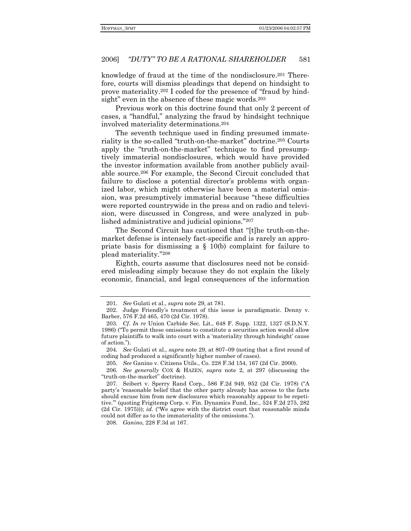#### "DUTY" TO BE A RATIONAL SHAREHOLDER 2006] 581

knowledge of fraud at the time of the nondisclosure.<sup>201</sup> Therefore, courts will dismiss pleadings that depend on hindsight to prove materiality.<sup>202</sup> I coded for the presence of "fraud by hindsight" even in the absence of these magic words.<sup>203</sup>

Previous work on this doctrine found that only 2 percent of cases, a "handful," analyzing the fraud by hindsight technique involved materiality determinations.<sup>204</sup>

The seventh technique used in finding presumed immateriality is the so-called "truth-on-the-market" doctrine.<sup>205</sup> Courts apply the "truth-on-the-market" technique to find presumptively immaterial nondisclosures, which would have provided the investor information available from another publicly available source.<sup>206</sup> For example, the Second Circuit concluded that failure to disclose a potential director's problems with organized labor, which might otherwise have been a material omission, was presumptively immaterial because "these difficulties" were reported countrywide in the press and on radio and television, were discussed in Congress, and were analyzed in published administrative and judicial opinions."207

The Second Circuit has cautioned that "[t] he truth-on-themarket defense is intensely fact-specific and is rarely an appropriate basis for dismissing a  $\S$  10(b) complaint for failure to plead materiality."208

Eighth, courts assume that disclosures need not be considered misleading simply because they do not explain the likely economic, financial, and legal consequences of the information

208. *Ganino*, 228 F.3d at 167.

<sup>201.</sup> See Gulati et al., supra note 29, at 781.

<sup>202.</sup> Judge Friendly's treatment of this issue is paradigmatic. Denny v. Barber, 576 F.2d 465, 470 (2d Cir. 1978).

<sup>203.</sup> Cf. In re Union Carbide Sec. Lit., 648 F. Supp. 1322, 1327 (S.D.N.Y. 1986) ("To permit these omissions to constitute a securities action would allow future plaintiffs to walk into court with a 'materiality through hindsight' cause of action.").

<sup>204.</sup> See Gulati et al., *supra* note 29, at 807-09 (noting that a first round of coding had produced a significantly higher number of cases).

<sup>205.</sup> See Ganino v. Citizens Utils., Co. 228 F.3d 154, 167 (2d Cir. 2000).

<sup>206.</sup> See generally COX & HAZEN, supra note 2, at 297 (discussing the "truth-on-the-market" doctrine).

<sup>207.</sup> Seibert v. Sperry Rand Corp., 586 F.2d 949, 952 (2d Cir. 1978) ("A party's 'reasonable belief that the other party already has access to the facts should excuse him from new disclosures which reasonably appear to be repetitive." (quoting Frigitemp Corp. v. Fin. Dynamics Fund, Inc., 524 F.2d 275, 282 (2d Cir. 1975))); id. ("We agree with the district court that reasonable minds could not differ as to the immateriality of the omissions.").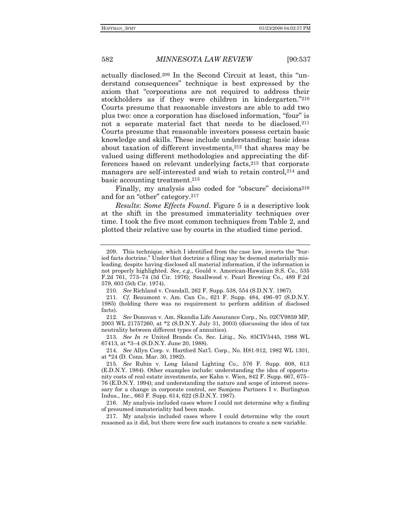actually disclosed.<sup>209</sup> In the Second Circuit at least, this "understand consequences" technique is best expressed by the axiom that "corporations are not required to address their stockholders as if they were children in kindergarten."210 Courts presume that reasonable investors are able to add two plus two: once a corporation has disclosed information, "four" is not a separate material fact that needs to be disclosed.<sup>211</sup> Courts presume that reasonable investors possess certain basic knowledge and skills. These include understanding: basic ideas about taxation of different investments,212 that shares may be valued using different methodologies and appreciating the differences based on relevant underlying facts,213 that corporate managers are self-interested and wish to retain control,<sup>214</sup> and basic accounting treatment.215

Finally, my analysis also coded for "obscure" decisions $216$ and for an "other" category. $217$ 

*Results*: *Some Effects Found*. Figure 5 is a descriptive look at the shift in the presumed immateriality techniques over time. I took the five most common techniques from Table 2, and plotted their relative use by courts in the studied time period.

213*. See In re* United Brands Co. Sec. Litig., No. 85CIV5445, 1988 WL 67413, at \*3-4 (S.D.N.Y. June 20, 1988).

214*. See* Allyn Corp. v. Hartford Natíl. Corp., No. H81-912, 1982 WL 1301, at \*24 (D. Conn. Mar. 30, 1982).

 217. My analysis included cases where I could determine why the court reasoned as it did, but there were few such instances to create a new variable.

<sup>209.</sup> This technique, which I identified from the case law, inverts the "buried facts doctrine." Under that doctrine a filing may be deemed materially misleading, despite having disclosed all material information, if the information is not properly highlighted. *See*, *e.g*., Gould v. American-Hawaiian S.S. Co., 535 F.2d 761, 773-74 (3d Cir. 1976); Smallwood v. Pearl Brewing Co., 489 F.2d 579, 603 (5th Cir. 1974).

 <sup>210.</sup> *See* Richland v. Crandall, 262 F. Supp. 538, 554 (S.D.N.Y. 1967).

<sup>211</sup>*. Cf.* Beaumont v. Am. Can Co., 621 F. Supp. 484, 496–97 (S.D.N.Y. 1985) (holding there was no requirement to perform addition of disclosed facts).

<sup>212</sup>*. See* Donovan v. Am. Skandia Life Assurance Corp., No. 02CV9859 MP, 2003 WL 21757260, at \*2 (S.D.N.Y. July 31, 2003) (discussing the idea of tax neutrality between different types of annuities).

<sup>215</sup>*. See* Rubin v. Long Island Lighting Co., 576 F. Supp. 608, 613 (E.D.N.Y. 1984). Other examples include: understanding the idea of opportunity costs of real estate investments, see Kahn v. Wien, 842 F. Supp. 667, 675-76 (E.D.N.Y. 1994); and understanding the nature and scope of interest necessary for a change in corporate control, *see* Samjens Partners I v. Burlington Indus., Inc., 663 F. Supp. 614, 622 (S.D.N.Y. 1987).

 <sup>216.</sup> My analysis included cases where I could not determine why a finding of presumed immateriality had been made.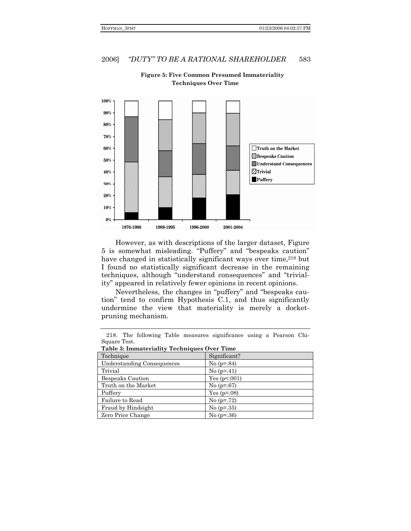

**Figure 5: Five Common Presumed Immateriality Techniques Over Time** 

However, as with descriptions of the larger dataset, Figure 5 is somewhat misleading. "Puffery" and "bespeaks caution" have changed in statistically significant ways over time,<sup>218</sup> but I found no statistically significant decrease in the remaining techniques, although "understand consequences" and "triviality" appeared in relatively fewer opinions in recent opinions.

Nevertheless, the changes in "puffery" and "bespeaks cautionî tend to confirm Hypothesis C.1, and thus significantly undermine the view that materiality is merely a docketpruning mechanism.

 218. The following Table measures significance using a Pearson Chi-Square Test.

| Table 3: Immateriality Techniques Over Time |  |  |  |  |  |
|---------------------------------------------|--|--|--|--|--|
|---------------------------------------------|--|--|--|--|--|

| Table of Infinatellation Techniques Over Thine |                |  |  |  |
|------------------------------------------------|----------------|--|--|--|
| Technique                                      | Significant?   |  |  |  |
| <b>Understanding Consequences</b>              | No $(p=.84)$   |  |  |  |
| Trivial                                        | No $(p=41)$    |  |  |  |
| Bespeaks Caution                               | Yes $(p<.001)$ |  |  |  |
| Truth on the Market                            | No $(p=.67)$   |  |  |  |
| Puffery                                        | Yes $(p=.08)$  |  |  |  |
| Failure to Read                                | No $(p=.72)$   |  |  |  |
| Fraud by Hindsight                             | No $(p=.35)$   |  |  |  |
| Zero Price Change                              | No $(p=.36)$   |  |  |  |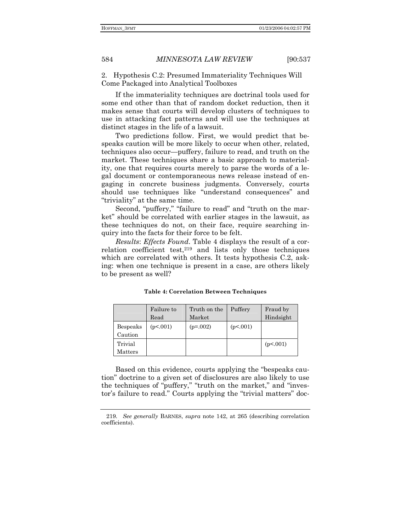2. Hypothesis C.2: Presumed Immateriality Techniques Will Come Packaged into Analytical Toolboxes

If the immateriality techniques are doctrinal tools used for some end other than that of random docket reduction, then it makes sense that courts will develop clusters of techniques to use in attacking fact patterns and will use the techniques at distinct stages in the life of a lawsuit.

Two predictions follow. First, we would predict that bespeaks caution will be more likely to occur when other, related, techniques also occur—puffery, failure to read, and truth on the market. These techniques share a basic approach to materiality, one that requires courts merely to parse the words of a legal document or contemporaneous news release instead of engaging in concrete business judgments. Conversely, courts should use techniques like "understand consequences" and "triviality" at the same time.

Second, "puffery," "failure to read" and "truth on the market" should be correlated with earlier stages in the lawsuit, as these techniques do not, on their face, require searching inquiry into the facts for their force to be felt.

*Results*: *Effects Found*. Table 4 displays the result of a correlation coefficient test,<sup>219</sup> and lists only those techniques which are correlated with others. It tests hypothesis C.2, asking: when one technique is present in a case, are others likely to be present as well?

|                     | Failure to<br>Read | Truth on the<br>Market | Puffery  | Fraud by<br>Hindsight |  |  |
|---------------------|--------------------|------------------------|----------|-----------------------|--|--|
| Bespeaks<br>Caution | (p<.001)           | $(p=.002)$             | (p<.001) |                       |  |  |
| Trivial<br>Matters  |                    |                        |          | (p<.001)              |  |  |

**Table 4: Correlation Between Techniques** 

Based on this evidence, courts applying the "bespeaks cautionî doctrine to a given set of disclosures are also likely to use the techniques of "puffery," "truth on the market," and "investor's failure to read." Courts applying the "trivial matters" doc-

<sup>219</sup>*. See generally* BARNES, *supra* note 142, at 265 (describing correlation coefficients).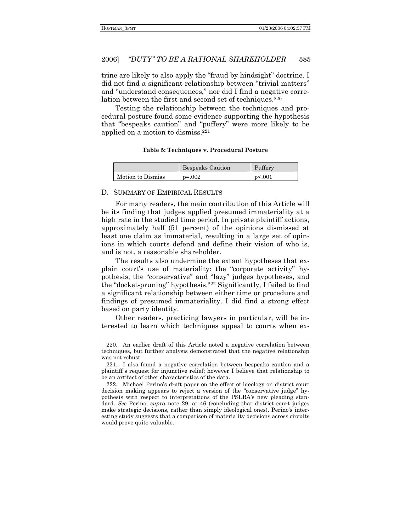trine are likely to also apply the "fraud by hindsight" doctrine. I did not find a significant relationship between "trivial matters" and "understand consequences," nor did I find a negative correlation between the first and second set of techniques.220

Testing the relationship between the techniques and procedural posture found some evidence supporting the hypothesis that "bespeaks caution" and "puffery" were more likely to be applied on a motion to dismiss.221

### **Table 5: Techniques v. Procedural Posture**

|                   | <b>Bespeaks Caution</b> | Puffery |  |  |
|-------------------|-------------------------|---------|--|--|
| Motion to Dismiss | $p = 0.002$             | p<.001  |  |  |

### D. SUMMARY OF EMPIRICAL RESULTS

For many readers, the main contribution of this Article will be its finding that judges applied presumed immateriality at a high rate in the studied time period. In private plaintiff actions, approximately half (51 percent) of the opinions dismissed at least one claim as immaterial, resulting in a large set of opinions in which courts defend and define their vision of who is, and is not, a reasonable shareholder.

The results also undermine the extant hypotheses that explain court's use of materiality: the "corporate activity" hypothesis, the "conservative" and "lazy" judges hypotheses, and the "docket-pruning" hypothesis.<sup>222</sup> Significantly, I failed to find a significant relationship between either time or procedure and findings of presumed immateriality. I did find a strong effect based on party identity.

Other readers, practicing lawyers in particular, will be interested to learn which techniques appeal to courts when ex-

 <sup>220.</sup> An earlier draft of this Article noted a negative correlation between techniques, but further analysis demonstrated that the negative relationship was not robust.

 <sup>221.</sup> I also found a negative correlation between bespeaks caution and a plaintiffís request for injunctive relief; however I believe that relationship to be an artifact of other characteristics of the data.

 <sup>222.</sup> Michael Perinoís draft paper on the effect of ideology on district court decision making appears to reject a version of the "conservative judge" hypothesis with respect to interpretations of the PSLRA's new pleading standard. *See* Perino, *supra* note 29, at 46 (concluding that district court judges make strategic decisions, rather than simply ideological ones). Perino's interesting study suggests that a comparison of materiality decisions across circuits would prove quite valuable.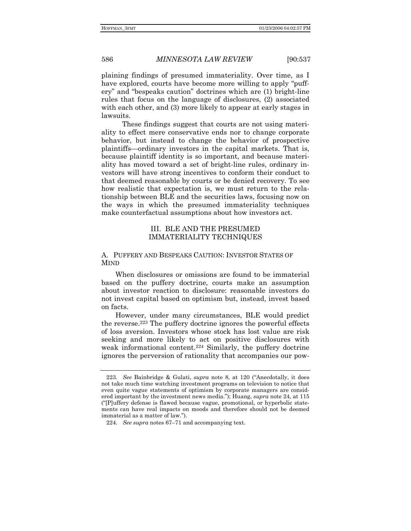plaining findings of presumed immateriality. Over time, as I have explored, courts have become more willing to apply "puffery" and "bespeaks caution" doctrines which are (1) bright-line rules that focus on the language of disclosures, (2) associated with each other, and (3) more likely to appear at early stages in lawsuits.

 These findings suggest that courts are not using materiality to effect mere conservative ends nor to change corporate behavior, but instead to change the behavior of prospective plaintiffs—ordinary investors in the capital markets. That is, because plaintiff identity is so important, and because materiality has moved toward a set of bright-line rules, ordinary investors will have strong incentives to conform their conduct to that deemed reasonable by courts or be denied recovery. To see how realistic that expectation is, we must return to the relationship between BLE and the securities laws, focusing now on the ways in which the presumed immateriality techniques make counterfactual assumptions about how investors act.

## III. BLE AND THE PRESUMED IMMATERIALITY TECHNIQUES

## A. PUFFERY AND BESPEAKS CAUTION: INVESTOR STATES OF MIND

When disclosures or omissions are found to be immaterial based on the puffery doctrine, courts make an assumption about investor reaction to disclosure: reasonable investors do not invest capital based on optimism but, instead, invest based on facts.

However, under many circumstances, BLE would predict the reverse.223 The puffery doctrine ignores the powerful effects of loss aversion. Investors whose stock has lost value are risk seeking and more likely to act on positive disclosures with weak informational content.224 Similarly, the puffery doctrine ignores the perversion of rationality that accompanies our pow-

<sup>223.</sup> See Bainbridge & Gulati, *supra* note 8, at 120 ("Anecdotally, it does not take much time watching investment programs on television to notice that even quite vague statements of optimism by corporate managers are considered important by the investment news media.î); Huang, *supra* note 24, at 115  $\Gamma$ [P]uffery defense is flawed because vague, promotional, or hyperbolic statements can have real impacts on moods and therefore should not be deemed immaterial as a matter of law.").

<sup>224.</sup> See *supra* notes 67–71 and accompanying text.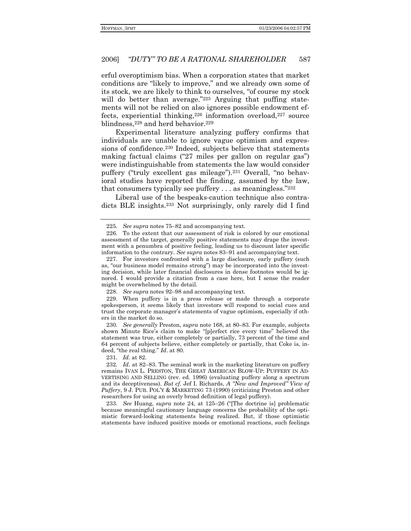erful overoptimism bias. When a corporation states that market conditions are "likely to improve," and we already own some of its stock, we are likely to think to ourselves, "of course my stock" will do better than average."225 Arguing that puffing statements will not be relied on also ignores possible endowment effects, experiential thinking,226 information overload,227 source blindness, 228 and herd behavior. 229

Experimental literature analyzing puffery confirms that individuals are unable to ignore vague optimism and expressions of confidence.<sup>230</sup> Indeed, subjects believe that statements making factual claims  $("27 \nmles per gallon on regular gas")$ were indistinguishable from statements the law would consider puffery ("truly excellent gas mileage").<sup>231</sup> Overall, "no behavioral studies have reported the finding, assumed by the law, that consumers typically see puffery  $\dots$  as meaningless.<sup>"232</sup>

Liberal use of the bespeaks-caution technique also contradicts BLE insights.233 Not surprisingly, only rarely did I find

228. See supra notes 92-98 and accompanying text.

 229. When puffery is in a press release or made through a corporate spokesperson, it seems likely that investors will respond to social cues and trust the corporate managerís statements of vague optimism, especially if others in the market do so.

230. See generally Preston, *supra* note 168, at 80–83. For example, subjects shown Minute Rice's claim to make "[p]erfect rice every time" believed the statement was true, either completely or partially, 73 percent of the time and 64 percent of subjects believe, either completely or partially, that Coke is, indeed, "the real thing." *Id.* at 80.

231*. Id.* at 82.

232. Id. at 82–83. The seminal work in the marketing literature on puffery remains IVAN L. PRESTON, THE GREAT AMERICAN BLOW-UP: PUFFERY IN AD-VERTISING AND SELLING (rev. ed. 1996) (evaluating puffery along a spectrum and its deceptiveness). *But cf.* Jef I. Richards, *A "New and Improved" View of Puffery*, 9 J. PUB. POL'Y & MARKETING 73 (1990) (criticizing Preston and other researchers for using an overly broad definition of legal puffery).

233. See Huang, *supra* note 24, at 125–26 ("The doctrine is) problematic because meaningful cautionary language concerns the probability of the optimistic forward-looking statements being realized. But, if those optimistic statements have induced positive moods or emotional reactions, such feelings

<sup>225.</sup> See *supra* notes 75–82 and accompanying text.

 <sup>226.</sup> To the extent that our assessment of risk is colored by our emotional assessment of the target, generally positive statements may drape the investment with a penumbra of positive feeling, leading us to discount later specific information to the contrary. *See supra* notes 83–91 and accompanying text.

 <sup>227.</sup> For investors confronted with a large disclosure, early puffery (such as, "our business model remains strong") may be incorporated into the investing decision, while later financial disclosures in dense footnotes would be ignored. I would provide a citation from a case here, but I sense the reader might be overwhelmed by the detail.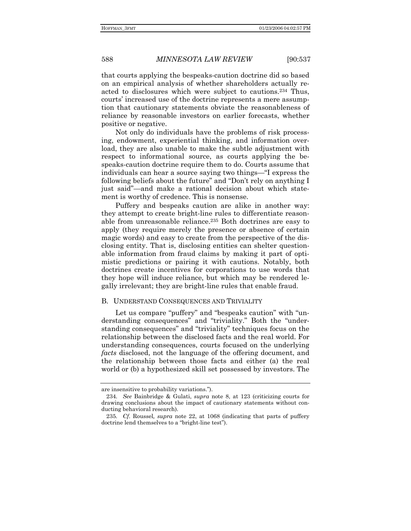that courts applying the bespeaks-caution doctrine did so based on an empirical analysis of whether shareholders actually reacted to disclosures which were subject to cautions.234 Thus, courts' increased use of the doctrine represents a mere assumption that cautionary statements obviate the reasonableness of reliance by reasonable investors on earlier forecasts, whether positive or negative.

Not only do individuals have the problems of risk processing, endowment, experiential thinking, and information overload, they are also unable to make the subtle adjustment with respect to informational source, as courts applying the bespeaks-caution doctrine require them to do. Courts assume that individuals can hear a source saying two things—"I express the following beliefs about the future" and "Don't rely on anything I just said"—and make a rational decision about which statement is worthy of credence. This is nonsense.

Puffery and bespeaks caution are alike in another way: they attempt to create bright-line rules to differentiate reasonable from unreasonable reliance.235 Both doctrines are easy to apply (they require merely the presence or absence of certain magic words) and easy to create from the perspective of the disclosing entity. That is, disclosing entities can shelter questionable information from fraud claims by making it part of optimistic predictions or pairing it with cautions. Notably, both doctrines create incentives for corporations to use words that they hope will induce reliance, but which may be rendered legally irrelevant; they are bright-line rules that enable fraud.

### B. UNDERSTAND CONSEQUENCES AND TRIVIALITY

Let us compare "puffery" and "bespeaks caution" with "understanding consequences" and "triviality." Both the "understanding consequences" and "triviality" techniques focus on the relationship between the disclosed facts and the real world. For understanding consequences, courts focused on the underlying *facts* disclosed, not the language of the offering document, and the relationship between those facts and either (a) the real world or (b) a hypothesized skill set possessed by investors. The

are insensitive to probability variations.").

<sup>234</sup>*. See* Bainbridge & Gulati, *supra* note 8, at 123 (criticizing courts for drawing conclusions about the impact of cautionary statements without conducting behavioral research).

<sup>235</sup>*. Cf*. Roussel*, supra* note 22, at 1068 (indicating that parts of puffery doctrine lend themselves to a "bright-line test".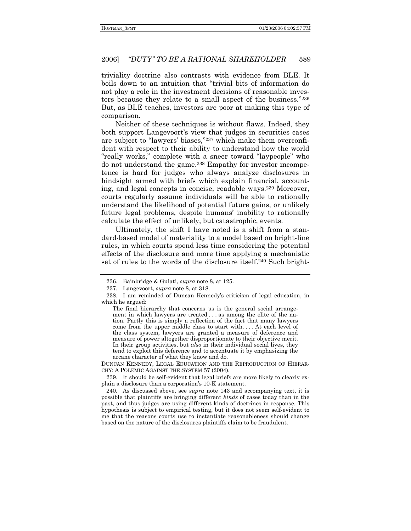triviality doctrine also contrasts with evidence from BLE. It boils down to an intuition that "trivial bits of information do not play a role in the investment decisions of reasonable investors because they relate to a small aspect of the business."236 But, as BLE teaches, investors are poor at making this type of comparison.

Neither of these techniques is without flaws. Indeed, they both support Langevoort's view that judges in securities cases are subject to "lawyers' biases,"237 which make them overconfident with respect to their ability to understand how the world "really works," complete with a sneer toward "laypeople" who do not understand the game.238 Empathy for investor incompetence is hard for judges who always analyze disclosures in hindsight armed with briefs which explain financial, accounting, and legal concepts in concise, readable ways.239 Moreover, courts regularly assume individuals will be able to rationally understand the likelihood of potential future gains, or unlikely future legal problems, despite humans' inability to rationally calculate the effect of unlikely, but catastrophic, events.

Ultimately, the shift I have noted is a shift from a standard-based model of materiality to a model based on bright-line rules, in which courts spend less time considering the potential effects of the disclosure and more time applying a mechanistic set of rules to the words of the disclosure itself.<sup>240</sup> Such bright-

DUNCAN KENNEDY, LEGAL EDUCATION AND THE REPRODUCTION OF HIERAR-CHY: A POLEMIC AGAINST THE SYSTEM 57 (2004).

 <sup>236.</sup> Bainbridge & Gulati, *supra* note 8, at 125.

 <sup>237.</sup> Langevoort, *supra* note 8, at 318.

 <sup>238.</sup> I am reminded of Duncan Kennedyís criticism of legal education, in which he argued:

The final hierarchy that concerns us is the general social arrangement in which lawyers are treated . . . as among the elite of the nation. Partly this is simply a reflection of the fact that many lawyers come from the upper middle class to start with. . . . At each level of the class system, lawyers are granted a measure of deference and measure of power altogether disproportionate to their objective merit. In their group activities, but *also* in their individual social lives, they tend to exploit this deference and to accentuate it by emphasizing the arcane character of what they know and do.

 <sup>239.</sup> It should be self-evident that legal briefs are more likely to clearly explain a disclosure than a corporation's 10-K statement.

 <sup>240.</sup> As discussed above, see *supra* note 143 and accompanying text, it is possible that plaintiffs are bringing different *kinds* of cases today than in the past, and thus judges are using different kinds of doctrines in response. This hypothesis is subject to empirical testing, but it does not seem self-evident to me that the reasons courts use to instantiate reasonableness should change based on the nature of the disclosures plaintiffs claim to be fraudulent.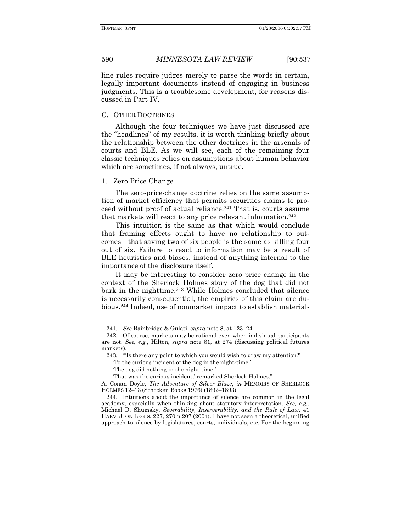line rules require judges merely to parse the words in certain, legally important documents instead of engaging in business judgments. This is a troublesome development, for reasons discussed in Part IV.

### C. OTHER DOCTRINES

Although the four techniques we have just discussed are the "headlines" of my results, it is worth thinking briefly about the relationship between the other doctrines in the arsenals of courts and BLE. As we will see, each of the remaining four classic techniques relies on assumptions about human behavior which are sometimes, if not always, untrue.

### 1. Zero Price Change

The zero-price-change doctrine relies on the same assumption of market efficiency that permits securities claims to proceed without proof of actual reliance.241 That is, courts assume that markets will react to any price relevant information.242

This intuition is the same as that which would conclude that framing effects ought to have no relationship to outcomes—that saving two of six people is the same as killing four out of six. Failure to react to information may be a result of BLE heuristics and biases, instead of anything internal to the importance of the disclosure itself.

It may be interesting to consider zero price change in the context of the Sherlock Holmes story of the dog that did not bark in the nighttime.243 While Holmes concluded that silence is necessarily consequential, the empirics of this claim are dubious.244 Indeed, use of nonmarket impact to establish material-

<sup>241.</sup> See Bainbridge & Gulati, *supra* note 8, at 123-24.

 <sup>242.</sup> Of course, markets may be rational even when individual participants are not. *See, e.g.*, Hilton, *supra* note 81, at 274 (discussing political futures markets).

<sup>243. &</sup>quot;Is there any point to which you would wish to draw my attention?"

To the curious incident of the dog in the night-time.

The dog did nothing in the night-time.

That was the curious incident,' remarked Sherlock Holmes."

A. Conan Doyle, *The Adventure of Silver Blaze*, *in* MEMOIRS OF SHERLOCK HOLMES 12-13 (Schocken Books 1976) (1892-1893).

 <sup>244.</sup> Intuitions about the importance of silence are common in the legal academy, especially when thinking about statutory interpretation. *See*, *e.g.*, Michael D. Shumsky, *Severability, Inserverability, and the Rule of Law*, 41 HARV. J. ON LEGIS. 227, 270 n.207 (2004). I have not seen a theoretical, unified approach to silence by legislatures, courts, individuals, etc. For the beginning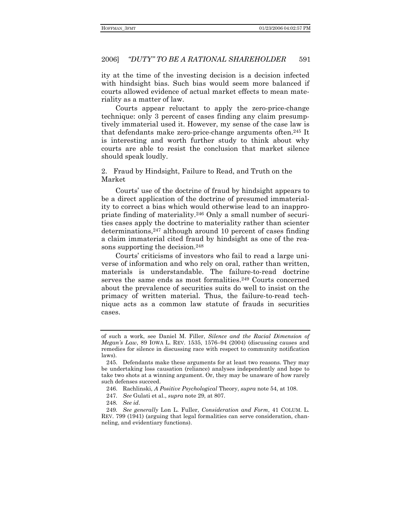ity at the time of the investing decision is a decision infected with hindsight bias. Such bias would seem more balanced if courts allowed evidence of actual market effects to mean materiality as a matter of law.

Courts appear reluctant to apply the zero-price-change technique: only 3 percent of cases finding any claim presumptively immaterial used it. However, my sense of the case law is that defendants make zero-price-change arguments often.245 It is interesting and worth further study to think about why courts are able to resist the conclusion that market silence should speak loudly.

2. Fraud by Hindsight, Failure to Read, and Truth on the Market

Courts' use of the doctrine of fraud by hindsight appears to be a direct application of the doctrine of presumed immateriality to correct a bias which would otherwise lead to an inappropriate finding of materiality.246 Only a small number of securities cases apply the doctrine to materiality rather than scienter determinations,247 although around 10 percent of cases finding a claim immaterial cited fraud by hindsight as one of the reasons supporting the decision.<sup>248</sup>

Courts' criticisms of investors who fail to read a large universe of information and who rely on oral, rather than written, materials is understandable. The failure-to-read doctrine serves the same ends as most formalities.<sup>249</sup> Courts concerned about the prevalence of securities suits do well to insist on the primacy of written material. Thus, the failure-to-read technique acts as a common law statute of frauds in securities cases.

248*. See id*.

of such a work, see Daniel M. Filler, *Silence and the Racial Dimension of Megan's Law*, 89 IOWA L. REV. 1535, 1576-94 (2004) (discussing causes and remedies for silence in discussing race with respect to community notification laws).

 <sup>245.</sup> Defendants make these arguments for at least two reasons. They may be undertaking loss causation (reliance) analyses independently and hope to take two shots at a winning argument. Or, they may be unaware of how rarely such defenses succeed.

 <sup>246.</sup> Rachlinski, *A Positive Psychological* Theory, *supra* note 54, at 108.

<sup>247</sup>*. See* Gulati et al., *supra* note 29, at 807.

<sup>249</sup>*. See generally* Lon L. Fuller, *Consideration and Form*, 41 COLUM. L. REV. 799 (1941) (arguing that legal formalities can serve consideration, channeling, and evidentiary functions).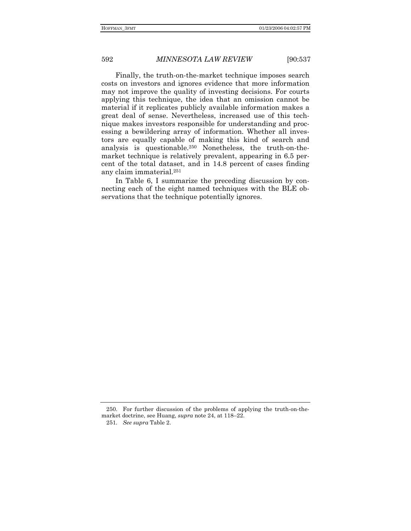Finally, the truth-on-the-market technique imposes search costs on investors and ignores evidence that more information may not improve the quality of investing decisions. For courts applying this technique, the idea that an omission cannot be material if it replicates publicly available information makes a great deal of sense. Nevertheless, increased use of this technique makes investors responsible for understanding and processing a bewildering array of information. Whether all investors are equally capable of making this kind of search and analysis is questionable.250 Nonetheless, the truth-on-themarket technique is relatively prevalent, appearing in 6.5 percent of the total dataset, and in 14.8 percent of cases finding any claim immaterial.251

In Table 6, I summarize the preceding discussion by connecting each of the eight named techniques with the BLE observations that the technique potentially ignores.

 <sup>250.</sup> For further discussion of the problems of applying the truth-on-themarket doctrine, see Huang, *supra* note 24, at 118-22.

<sup>251</sup>*. See supra* Table 2.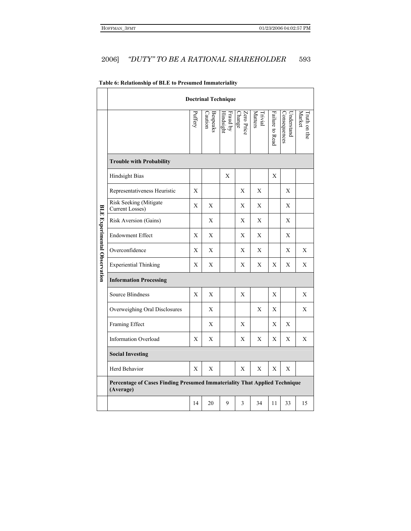#### "DUTY" TO BE A RATIONAL SHAREHOLDER 2006] 593

|                                     | <b>Doctrinal Technique</b>                                                             |        |                            |                       |                             |                                  |                 |                            |                        |
|-------------------------------------|----------------------------------------------------------------------------------------|--------|----------------------------|-----------------------|-----------------------------|----------------------------------|-----------------|----------------------------|------------------------|
|                                     |                                                                                        | uffery | <b>Bespeaks</b><br>Caution | Fraud by<br>Hindsight | Zero Price<br><b>Change</b> | <b>Matters</b><br><b>Trivial</b> | Failure to Read | Consequences<br>Understand | Market<br>Fruth on the |
|                                     | <b>Trouble with Probability</b>                                                        |        |                            |                       |                             |                                  |                 |                            |                        |
|                                     | <b>Hindsight Bias</b>                                                                  |        |                            | X                     |                             |                                  | X               |                            |                        |
|                                     | Representativeness Heuristic                                                           | X      |                            |                       | X                           | X                                |                 | X                          |                        |
|                                     | Risk Seeking (Mitigate<br>Current Losses)                                              | X      | X                          |                       | Χ                           | X                                |                 | X                          |                        |
|                                     | Risk Aversion (Gains)                                                                  |        | X                          |                       | Χ                           | X                                |                 | X                          |                        |
|                                     | <b>Endowment Effect</b>                                                                | X      | X                          |                       | X                           | X                                |                 | X                          |                        |
| <b>BLE Experimental Observation</b> | Overconfidence                                                                         | Χ      | Χ                          |                       | Χ                           | Χ                                |                 | Χ                          | Χ                      |
|                                     | <b>Experiential Thinking</b>                                                           | X      | X                          |                       | X                           | X                                | Х               | Χ                          | X                      |
|                                     | <b>Information Processing</b>                                                          |        |                            |                       |                             |                                  |                 |                            |                        |
|                                     | <b>Source Blindness</b>                                                                | X      | X                          |                       | X                           |                                  | X               |                            | X                      |
|                                     | Overweighing Oral Disclosures                                                          |        | X                          |                       |                             | X                                | X               |                            | X                      |
|                                     | Framing Effect                                                                         |        | X                          |                       | X                           |                                  | X               | X                          |                        |
|                                     | <b>Information Overload</b>                                                            | X      | X                          |                       | X                           | X                                | X               | X                          | X                      |
|                                     | <b>Social Investing</b>                                                                |        |                            |                       |                             |                                  |                 |                            |                        |
|                                     | Herd Behavior                                                                          | X      | X                          |                       | X                           | X                                | X               | X                          |                        |
|                                     | Percentage of Cases Finding Presumed Immateriality That Applied Technique<br>(Average) |        |                            |                       |                             |                                  |                 |                            |                        |
|                                     |                                                                                        | 14     | 20                         | 9                     | 3                           | 34                               | 11              | 33                         | 15                     |

# Table 6: Relationship of BLE to Presumed Immateriality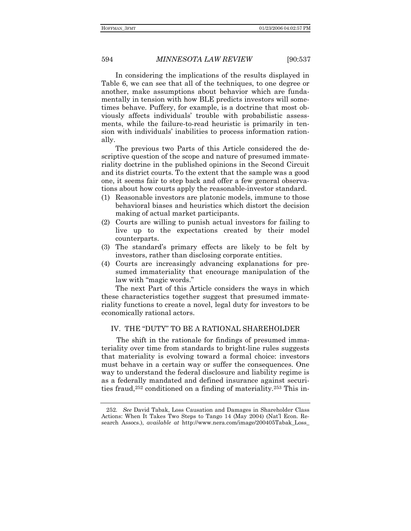In considering the implications of the results displayed in Table 6, we can see that all of the techniques, to one degree or another, make assumptions about behavior which are fundamentally in tension with how BLE predicts investors will sometimes behave. Puffery, for example, is a doctrine that most obviously affects individualsí trouble with probabilistic assessments, while the failure-to-read heuristic is primarily in tension with individuals' inabilities to process information rationally.

The previous two Parts of this Article considered the descriptive question of the scope and nature of presumed immateriality doctrine in the published opinions in the Second Circuit and its district courts. To the extent that the sample was a good one, it seems fair to step back and offer a few general observations about how courts apply the reasonable-investor standard.

- (1) Reasonable investors are platonic models, immune to those behavioral biases and heuristics which distort the decision making of actual market participants.
- (2) Courts are willing to punish actual investors for failing to live up to the expectations created by their model counterparts.
- (3) The standardís primary effects are likely to be felt by investors, rather than disclosing corporate entities.
- (4) Courts are increasingly advancing explanations for pre sumed immateriality that encourage manipulation of the law with "magic words."

The next Part of this Article considers the ways in which these characteristics together suggest that presumed immateriality functions to create a novel, legal duty for investors to be economically rational actors.

## IV. THE "DUTY" TO BE A RATIONAL SHAREHOLDER

The shift in the rationale for findings of presumed immateriality over time from standards to bright-line rules suggests that materiality is evolving toward a formal choice: investors must behave in a certain way or suffer the consequences. One way to understand the federal disclosure and liability regime is as a federally mandated and defined insurance against securities fraud,252 conditioned on a finding of materiality.253 This in-

<sup>252</sup>*. See* David Tabak, Loss Causation and Damages in Shareholder Class Actions: When It Takes Two Steps to Tango 14 (May 2004) (Natíl Econ. Research Assocs.), *available at* http://www.nera.com/image/200405Tabak\_Loss\_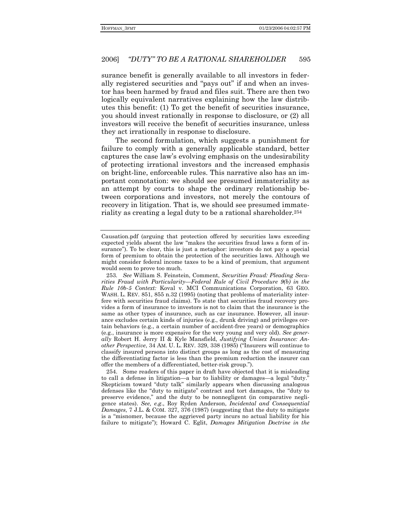surance benefit is generally available to all investors in federally registered securities and "pays out" if and when an investor has been harmed by fraud and files suit. There are then two logically equivalent narratives explaining how the law distributes this benefit: (1) To get the benefit of securities insurance, you should invest rationally in response to disclosure, or (2) all investors will receive the benefit of securities insurance, unless they act irrationally in response to disclosure.

The second formulation, which suggests a punishment for failure to comply with a generally applicable standard, better captures the case lawís evolving emphasis on the undesirability of protecting irrational investors and the increased emphasis on bright-line, enforceable rules. This narrative also has an important connotation: we should see presumed immateriality as an attempt by courts to shape the ordinary relationship between corporations and investors, not merely the contours of recovery in litigation. That is, we should see presumed immateriality as creating a legal duty to be a rational shareholder*.*<sup>254</sup>

 254. Some readers of this paper in draft have objected that it is misleading to call a defense in litigation—a bar to liability or damages—a legal "duty." Skepticism toward "duty talk" similarly appears when discussing analogous defenses like the "duty to mitigate" contract and tort damages, the "duty to preserve evidence," and the duty to be nonnegligent (in comparative negligence states). *See, e.g*., Roy Ryden Anderson, *Incidental and Consequential Damages*, 7 J.L. & COM. 327, 376 (1987) (suggesting that the duty to mitigate is a "misnomer, because the aggrieved party incurs no actual liability for his failure to mitigate"); Howard C. Eglit, *Damages Mitigation Doctrine in the* 

Causation.pdf (arguing that protection offered by securities laws exceeding expected yields absent the law "makes the securities fraud laws a form of insurance"). To be clear, this is just a metaphor: investors do not pay a special form of premium to obtain the protection of the securities laws. Although we might consider federal income taxes to be a kind of premium, that argument would seem to prove too much.

<sup>253</sup>*. See* William S. Feinstein, Comment, *Securities Fraud: Pleading Secu*rities Fraud with Particularity–Federal Rule of Civil Procedure 9(b) in the *Rule 10b-5 Context:* Koval v. MCI Communications Corporation, 63 GEO. WASH. L. REV. 851, 855 n.32 (1995) (noting that problems of materiality interfere with securities fraud claims). To state that securities fraud recovery provides a form of insurance to investors is not to claim that the insurance is the same as other types of insurance, such as car insurance. However, all insurance excludes certain kinds of injuries (e.g., drunk driving) and privileges certain behaviors (e.g., a certain number of accident-free years) or demographics (e.g., insurance is more expensive for the very young and very old). *See generally* Robert H. Jerry II & Kyle Mansfield, *Justifying Unisex Insurance: Another Perspective*, 34 AM. U. L. REV. 329, 338 (1985) ("Insurers will continue to classify insured persons into distinct groups as long as the cost of measuring the differentiating factor is less than the premium reduction the insurer can offer the members of a differentiated, better-risk group.").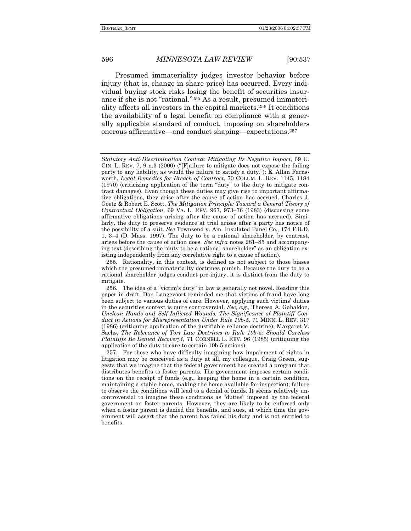596

### **MINNESOTA LAW REVIEW**

 $[90:537]$ 

Presumed immateriality judges investor behavior before injury (that is, change in share price) has occurred. Every individual buying stock risks losing the benefit of securities insurance if she is not "rational."255 As a result, presumed immateriality affects all investors in the capital markets.<sup>256</sup> It conditions the availability of a legal benefit on compliance with a generally applicable standard of conduct, imposing on shareholders onerous affirmative—and conduct shaping—expectations.<sup>257</sup>

Statutory Anti-Discrimination Context: Mitigating Its Negative Impact, 69 U. CIN. L. REV. 7, 9 n.3 (2000) ("[F]ailure to mitigate does not expose the failing party to any liability, as would the failure to satisfy a duty."); E. Allan Farnsworth, Legal Remedies for Breach of Contract, 70 COLUM. L. REV. 1145, 1184 (1970) (criticizing application of the term "duty" to the duty to mitigate contract damages). Even though these duties may give rise to important affirmative obligations, they arise after the cause of action has accrued. Charles J. Goetz & Robert E. Scott, The Mitigation Principle: Toward a General Theory of Contractual Obligation, 69 VA. L. REV. 967, 973-76 (1983) (discussing some affirmative obligations arising after the cause of action has accrued). Similarly, the duty to preserve evidence at trial arises after a party has notice of the possibility of a suit. See Townsend v. Am. Insulated Panel Co., 174 F.R.D. 1, 3-4 (D. Mass. 1997). The duty to be a rational shareholder, by contrast, arises before the cause of action does. See infra notes 281-85 and accompanying text (describing the "duty to be a rational shareholder" as an obligation existing independently from any correlative right to a cause of action).

<sup>255.</sup> Rationality, in this context, is defined as not subject to those biases which the presumed immateriality doctrines punish. Because the duty to be a rational shareholder judges conduct pre-injury, it is distinct from the duty to mitigate.

<sup>256.</sup> The idea of a "victim's duty" in law is generally not novel. Reading this paper in draft, Don Langevoort reminded me that victims of fraud have long been subject to various duties of care. However, applying such victims' duties in the securities context is quite controversial. See, e.g., Theresa A. Gabaldon, Unclean Hands and Self-Inflicted Wounds: The Significance of Plaintiff Conduct in Actions for Misrepresentation Under Rule 10b-5, 71 MINN. L. REV. 317 (1986) (critiquing application of the justifiable reliance doctrine); Margaret V. Sachs, The Relevance of Tort Law Doctrines to Rule 10b-5: Should Careless Plaintiffs Be Denied Recovery?, 71 CORNELL L. REV. 96 (1985) (critiquing the application of the duty to care to certain 10b-5 actions).

<sup>257.</sup> For those who have difficulty imagining how impairment of rights in litigation may be conceived as a duty at all, my colleague, Craig Green, suggests that we imagine that the federal government has created a program that distributes benefits to foster parents. The government imposes certain conditions on the receipt of funds (e.g., keeping the home in a certain condition, maintaining a stable home, making the home available for inspection); failure to observe the conditions will lead to a denial of funds. It seems relatively uncontroversial to imagine these conditions as "duties" imposed by the federal government on foster parents. However, they are likely to be enforced only when a foster parent is denied the benefits, and sues, at which time the government will assert that the parent has failed his duty and is not entitled to benefits.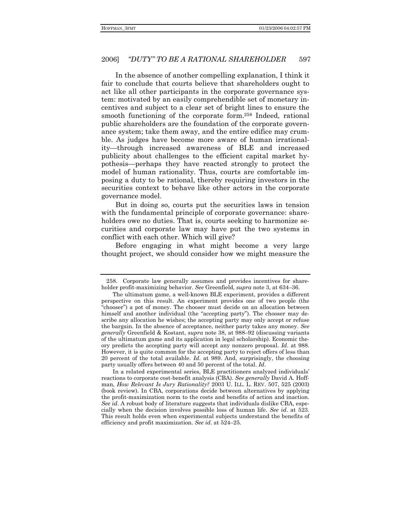In the absence of another compelling explanation, I think it fair to conclude that courts believe that shareholders ought to act like all other participants in the corporate governance system: motivated by an easily comprehendible set of monetary incentives and subject to a clear set of bright lines to ensure the smooth functioning of the corporate form.258 Indeed, rational public shareholders are the foundation of the corporate governance system; take them away, and the entire edifice may crumble. As judges have become more aware of human irrationality—through increased awareness of BLE and increased publicity about challenges to the efficient capital market hypothesis—perhaps they have reacted strongly to protect the model of human rationality. Thus, courts are comfortable imposing a duty to be rational, thereby requiring investors in the securities context to behave like other actors in the corporate governance model.

But in doing so, courts put the securities laws in tension with the fundamental principle of corporate governance: shareholders owe no duties. That is, courts seeking to harmonize securities and corporate law may have put the two systems in conflict with each other. Which will give?

Before engaging in what might become a very large thought project, we should consider how we might measure the

 <sup>258.</sup> Corporate law generally assumes and provides incentives for shareholder profit-maximizing behavior. See Greenfield, *supra* note 3, at 634-36.

The ultimatum game, a well-known BLE experiment, provides a different perspective on this result. An experiment provides one of two people (the ìchooserî) a pot of money. The chooser must decide on an allocation between himself and another individual (the "accepting party"). The chooser may describe any allocation he wishes; the accepting party may only accept or refuse the bargain. In the absence of acceptance, neither party takes any money. *See generally* Greenfield & Kostant, *supra* note 38, at 988–92 (discussing variants of the ultimatum game and its application in legal scholarship). Economic theory predicts the accepting party will accept any nonzero proposal. *Id*. at 988. However, it is quite common for the accepting party to reject offers of less than 20 percent of the total available. *Id*. at 989. And, surprisingly, the choosing party usually offers between 40 and 50 percent of the total. *Id*.

In a related experimental series, BLE practitioners analyzed individuals<sup>7</sup> reactions to corporate cost-benefit analysis (CBA). *See generally* David A. Hoffman, *How Relevant Is Jury Rationality?* 2003 U. ILL. L. REV. 507, 525 (2003) (book review). In CBA, corporations decide between alternatives by applying the profit-maximization norm to the costs and benefits of action and inaction. *See id*. A robust body of literature suggests that individuals dislike CBA, especially when the decision involves possible loss of human life. *See id*. at 523. This result holds even when experimental subjects understand the benefits of efficiency and profit maximization. *See id.* at 524–25.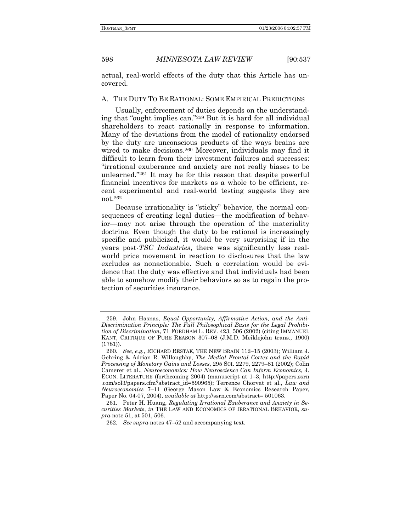actual, real-world effects of the duty that this Article has uncovered.

## A. THE DUTY TO BE RATIONAL: SOME EMPIRICAL PREDICTIONS

Usually, enforcement of duties depends on the understanding that "ought implies can."259 But it is hard for all individual shareholders to react rationally in response to information. Many of the deviations from the model of rationality endorsed by the duty are unconscious products of the ways brains are wired to make decisions.<sup>260</sup> Moreover, individuals may find it difficult to learn from their investment failures and successes: ìirrational exuberance and anxiety are not really biases to be unlearned."261 It may be for this reason that despite powerful financial incentives for markets as a whole to be efficient, recent experimental and real-world testing suggests they are not.262

Because irrationality is "sticky" behavior, the normal consequences of creating legal duties—the modification of behavior—may not arise through the operation of the materiality doctrine. Even though the duty to be rational is increasingly specific and publicized, it would be very surprising if in the years post-*TSC Industries*, there was significantly less realworld price movement in reaction to disclosures that the law excludes as nonactionable. Such a correlation would be evidence that the duty was effective and that individuals had been able to somehow modify their behaviors so as to regain the protection of securities insurance.

 <sup>259.</sup> John Hasnas, *Equal Opportunity, Affirmative Action, and the Anti-Discrimination Principle: The Full Philosophical Basis for the Legal Prohibition of Discrimination*, 71 FORDHAM L. REV. 423, 506 (2002) (citing IMMANUEL KANT, CRITIQUE OF PURE REASON 307-08 (J.M.D. Meiklejohn trans., 1900) (1781)).

<sup>260.</sup> See, e.g., RICHARD RESTAK, THE NEW BRAIN 112-15 (2003); William J. Gehring & Adrian R. Willoughby, *The Medial Frontal Cortex and the Rapid Processing of Monetary Gains and Losses, 295 SCI. 2279, 2279-81 (2002); Colin* Camerer et al., *Neuroeconomics: How Neuroscience Can Inform Economics*, J. ECON. LITERATURE (forthcoming 2004) (manuscript at 1–3, http://papers.ssrn .com/sol3/papers.cfm?abstract\_id=590965); Terrence Chorvat et al., *Law and Neuroeconomics* 7-11 (George Mason Law & Economics Research Paper, Paper No. 04-07, 2004), *available at* http://ssrn.com/abstract= 501063.

 <sup>261.</sup> Peter H. Huang, *Regulating Irrational Exuberance and Anxiety in Securities Markets*, *in* THE LAW AND ECONOMICS OF IRRATIONAL BEHAVIOR, *supra* note 51, at 501, 506.

<sup>262.</sup> See supra notes 47–52 and accompanying text.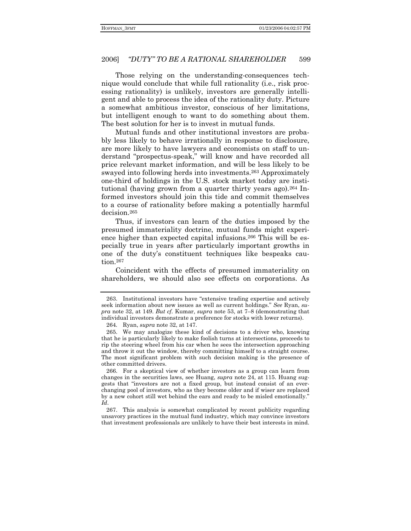#### "DUTY" TO BE A RATIONAL SHAREHOLDER 2006] 599

Those relying on the understanding-consequences technique would conclude that while full rationality (i.e., risk processing rationality) is unlikely, investors are generally intelligent and able to process the idea of the rationality duty. Picture a somewhat ambitious investor, conscious of her limitations, but intelligent enough to want to do something about them. The best solution for her is to invest in mutual funds.

Mutual funds and other institutional investors are probably less likely to behave irrationally in response to disclosure, are more likely to have lawyers and economists on staff to understand "prospectus-speak," will know and have recorded all price relevant market information, and will be less likely to be swayed into following herds into investments.<sup>263</sup> Approximately one-third of holdings in the U.S. stock market today are institutional (having grown from a quarter thirty years ago).<sup>264</sup> Informed investors should join this tide and commit themselves to a course of rationality before making a potentially harmful decision.<sup>265</sup>

Thus, if investors can learn of the duties imposed by the presumed immateriality doctrine, mutual funds might experience higher than expected capital infusions.<sup>266</sup> This will be especially true in years after particularly important growths in one of the duty's constituent techniques like bespeaks cau $tion.<sup>267</sup>$ 

Coincident with the effects of presumed immateriality on shareholders, we should also see effects on corporations. As

267. This analysis is somewhat complicated by recent publicity regarding unsavory practices in the mutual fund industry, which may convince investors that investment professionals are unlikely to have their best interests in mind.

<sup>263.</sup> Institutional investors have "extensive trading expertise and actively seek information about new issues as well as current holdings." See Ryan, supra note 32, at 149. But cf. Kumar, supra note 53, at  $7-8$  (demonstrating that individual investors demonstrate a preference for stocks with lower returns).

<sup>264.</sup> Ryan, *supra* note 32, at 147.

<sup>265.</sup> We may analogize these kind of decisions to a driver who, knowing that he is particularly likely to make foolish turns at intersections, proceeds to rip the steering wheel from his car when he sees the intersection approaching and throw it out the window, thereby committing himself to a straight course. The most significant problem with such decision making is the presence of other committed drivers.

<sup>266.</sup> For a skeptical view of whether investors as a group can learn from changes in the securities laws, see Huang, *supra* note 24, at 115. Huang suggests that "investors are not a fixed group, but instead consist of an everchanging pool of investors, who as they become older and if wiser are replaced by a new cohort still wet behind the ears and ready to be misled emotionally. Id.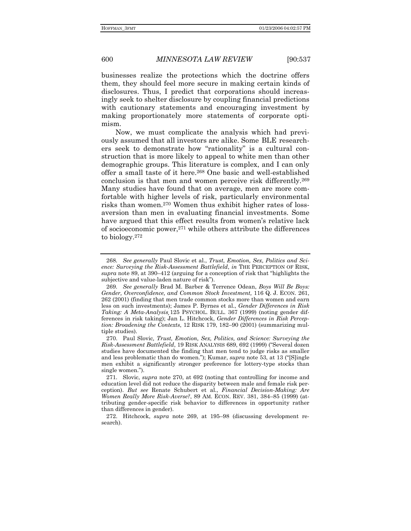businesses realize the protections which the doctrine offers them, they should feel more secure in making certain kinds of disclosures. Thus, I predict that corporations should increasingly seek to shelter disclosure by coupling financial predictions with cautionary statements and encouraging investment by making proportionately more statements of corporate optimism.

Now, we must complicate the analysis which had previously assumed that all investors are alike. Some BLE researchers seek to demonstrate how "rationality" is a cultural construction that is more likely to appeal to white men than other demographic groups. This literature is complex, and I can only offer a small taste of it here.268 One basic and well-established conclusion is that men and women perceive risk differently.269 Many studies have found that on average, men are more comfortable with higher levels of risk, particularly environmental risks than women.270 Women thus exhibit higher rates of lossaversion than men in evaluating financial investments. Some have argued that this effect results from women's relative lack of socioeconomic power,271 while others attribute the differences to biology.272

<sup>268</sup>*. See generally* Paul Slovic et al., *Trust, Emotion, Sex, Politics and Science: Surveying the Risk-Assessment Battlefield*, *in* THE PERCEPTION OF RISK, supra note 89, at 390–412 (arguing for a conception of risk that "highlights the subjective and value-laden nature of risk").

<sup>269</sup>*. See generally* Brad M. Barber & Terrence Odean, *Boys Will Be Boys: Gender, Overconfidence, and Common Stock Investment,* 116 Q. J. ECON. 261, 262 (2001) (finding that men trade common stocks more than women and earn less on such investments); James P. Byrnes et al., *Gender Differences in Risk Taking: A Meta-Analysis¸*125 PSYCHOL. BULL. 367 (1999) (noting gender differences in risk taking); Jan L. Hitchcock, *Gender Differences in Risk Perception: Broadening the Contexts*, 12 RISK 179, 182–90 (2001) (summarizing multiple studies).

 <sup>270.</sup> Paul Slovic*, Trust, Emotion, Sex, Politics, and Science: Surveying the Risk-Assessment Battlefield*, 19 RISK ANALYSIS 689, 692 (1999) ("Several dozen studies have documented the finding that men tend to judge risks as smaller and less problematic than do women."); Kumar, *supra* note 53, at 13 ("[S]ingle men exhibit a significantly stronger preference for lottery-type stocks than single women.").

 <sup>271.</sup> Slovic, *supra* note 270, at 692 (noting that controlling for income and education level did not reduce the disparity between male and female risk perception). *But see* Renate Schubert et al., *Financial Decision-Making: Are Women Really More Risk-Averse?*, 89 AM. ECON. REV. 381, 384–85 (1999) (attributing gender-specific risk behavior to differences in opportunity rather than differences in gender).

<sup>272.</sup> Hitchcock, *supra* note 269, at 195-98 (discussing development research).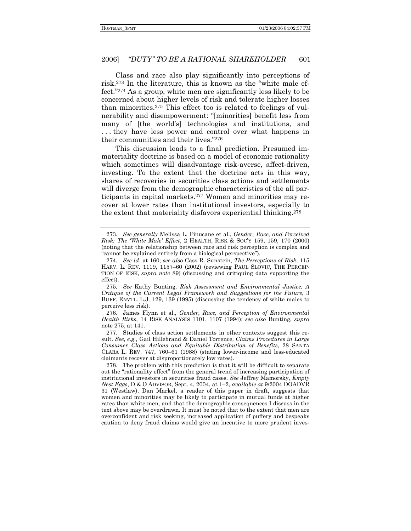Class and race also play significantly into perceptions of risk.<sup>273</sup> In the literature, this is known as the "white male effect."<sup>274</sup> As a group, white men are significantly less likely to be concerned about higher levels of risk and tolerate higher losses than minorities.275 This effect too is related to feelings of vulnerability and disempowerment: "[minorities] benefit less from many of [the world's] technologies and institutions, and . . . they have less power and control over what happens in their communities and their lives."276

This discussion leads to a final prediction. Presumed immateriality doctrine is based on a model of economic rationality which sometimes will disadvantage risk-averse, affect-driven, investing. To the extent that the doctrine acts in this way, shares of recoveries in securities class actions and settlements will diverge from the demographic characteristics of the all participants in capital markets.277 Women and minorities may recover at lower rates than institutional investors, especially to the extent that materiality disfavors experiential thinking.278

 276. James Flynn et al., *Gender, Race, and Perception of Environmental Health Risks*, 14 RISK ANALYSIS 1101, 1107 (1994); *see also* Bunting, *supra* note 275, at 141.

 277. Studies of class action settlements in other contexts suggest this result. *See*, *e.g.,* Gail Hillebrand & Daniel Torrence, *Claims Procedures in Large Consumer Class Actions and Equitable Distribution of Benefits*, 28 SANTA CLARA L. REV.  $747, 760-61$  (1988) (stating lower-income and less-educated claimants recover at disproportionately low rates).

 278. The problem with this prediction is that it will be difficult to separate out the "rationality effect" from the general trend of increasing participation of institutional investors in securities fraud cases. *See* Jeffrey Mamorsky, *Empty Nest Eggs*, D & O ADVISOR, Sept. 4, 2004, at 1-2, *available at 9/2004 DOADVR* 31 (Westlaw). Dan Markel, a reader of this paper in draft, suggests that women and minorities may be likely to participate in mutual funds at higher rates than white men, and that the demographic consequences I discuss in the text above may be overdrawn. It must be noted that to the extent that men are overconfident and risk seeking, increased application of puffery and bespeaks caution to deny fraud claims would give an incentive to more prudent inves-

<sup>273</sup>*. See generally* Melissa L. Finucane et al., *Gender, Race, and Perceived Risk: The White Male' Effect*, 2 HEALTH, RISK & SOC'Y 159, 159, 170 (2000) (noting that the relationship between race and risk perception is complex and "cannot be explained entirely from a biological perspective").

<sup>274</sup>*. See id*. at 160; *see also* Cass R. Sunstein, *The Perceptions of Risk*, 115 HARV. L. REV. 1119, 1157–60 (2002) (reviewing PAUL SLOVIC, THE PERCEP-TION OF RISK, *supra note* 89) (discussing and critiquing data supporting the effect).

<sup>275</sup>*. See* Kathy Bunting, *Risk Assessment and Environmental Justice: A Critique of the Current Legal Framework and Suggestions for the Future*, 3 BUFF. ENVTL. L.J. 129, 139 (1995) (discussing the tendency of white males to perceive less risk).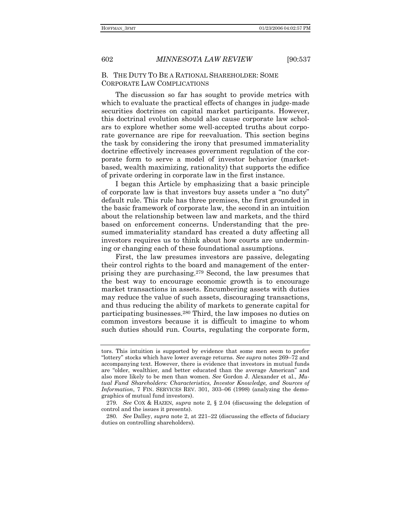## B. THE DUTY TO BE A RATIONAL SHAREHOLDER: SOME CORPORATE LAW COMPLICATIONS

The discussion so far has sought to provide metrics with which to evaluate the practical effects of changes in judge-made securities doctrines on capital market participants. However, this doctrinal evolution should also cause corporate law scholars to explore whether some well-accepted truths about corporate governance are ripe for reevaluation. This section begins the task by considering the irony that presumed immateriality doctrine effectively increases government regulation of the corporate form to serve a model of investor behavior (marketbased, wealth maximizing, rationality) that supports the edifice of private ordering in corporate law in the first instance.

I began this Article by emphasizing that a basic principle of corporate law is that investors buy assets under a "no duty" default rule. This rule has three premises, the first grounded in the basic framework of corporate law, the second in an intuition about the relationship between law and markets, and the third based on enforcement concerns. Understanding that the presumed immateriality standard has created a duty affecting all investors requires us to think about how courts are undermining or changing each of these foundational assumptions.

First, the law presumes investors are passive, delegating their control rights to the board and management of the enterprising they are purchasing.279 Second, the law presumes that the best way to encourage economic growth is to encourage market transactions in assets. Encumbering assets with duties may reduce the value of such assets, discouraging transactions, and thus reducing the ability of markets to generate capital for participating businesses.280 Third, the law imposes no duties on common investors because it is difficult to imagine to whom such duties should run. Courts, regulating the corporate form,

tors. This intuition is supported by evidence that some men seem to prefer "lottery" stocks which have lower average returns. See supra notes 269–72 and accompanying text. However, there is evidence that investors in mutual funds are "older, wealthier, and better educated than the average American" and also more likely to be men than women. *See* Gordon J. Alexander et al., *Mutual Fund Shareholders: Characteristics, Investor Knowledge, and Sources of Information*,  $7$  FIN. SERVICES REV. 301, 303–06 (1998) (analyzing the demographics of mutual fund investors).

<sup>279</sup>*. See* COX & HAZEN, *supra* note 2, ß 2.04 (discussing the delegation of control and the issues it presents).

<sup>280.</sup> See Dalley, *supra* note 2, at 221-22 (discussing the effects of fiduciary duties on controlling shareholders).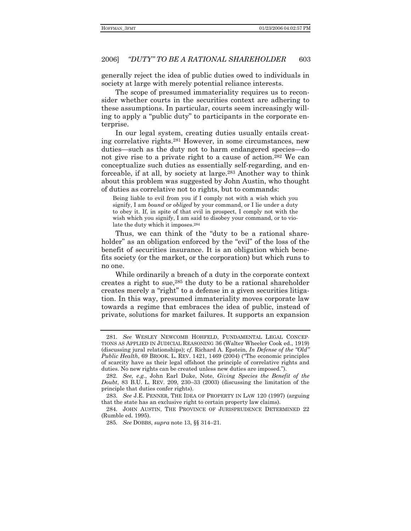generally reject the idea of public duties owed to individuals in society at large with merely potential reliance interests.

The scope of presumed immateriality requires us to reconsider whether courts in the securities context are adhering to these assumptions. In particular, courts seem increasingly willing to apply a "public duty" to participants in the corporate enterprise.

In our legal system, creating duties usually entails creating correlative rights.281 However, in some circumstances, new duties—such as the duty not to harm endangered species—do not give rise to a private right to a cause of action.282 We can conceptualize such duties as essentially self-regarding, and enforceable, if at all, by society at large.283 Another way to think about this problem was suggested by John Austin, who thought of duties as correlative not to rights, but to commands:

Being liable to evil from you if I comply not with a wish which you signify, I am *bound* or *obliged* by your command, or I lie under a duty to obey it. If, in spite of that evil in prospect, I comply not with the wish which you signify, I am said to disobey your command, or to violate the duty which it imposes.284

Thus, we can think of the "duty to be a rational shareholder" as an obligation enforced by the "evil" of the loss of the benefit of securities insurance. It is an obligation which benefits society (or the market, or the corporation) but which runs to no one.

While ordinarily a breach of a duty in the corporate context creates a right to sue,285 the duty to be a rational shareholder creates merely a "right" to a defense in a given securities litigation. In this way, presumed immateriality moves corporate law towards a regime that embraces the idea of public, instead of private, solutions for market failures. It supports an expansion

<sup>281</sup>*. See* WESLEY NEWCOMB HOHFELD, FUNDAMENTAL LEGAL CONCEP-TIONS AS APPLIED IN JUDICIAL REASONING 36 (Walter Wheeler Cook ed., 1919) (discussing jural relationships); cf. Richard A. Epstein, *In Defense of the "Old" Public Health*, 69 BROOK. L. REV. 1421, 1469 (2004) ("The economic principles of scarcity have as their legal offshoot the principle of correlative rights and duties. No new rights can be created unless new duties are imposed.").

<sup>282</sup>*. See, e.g.*, John Earl Duke, Note, *Giving Species the Benefit of the Doubt*, 83 B.U. L. REV. 209, 230–33 (2003) (discussing the limitation of the principle that duties confer rights).

<sup>283</sup>*. See* J.E. PENNER, THE IDEA OF PROPERTY IN LAW 120 (1997) (arguing that the state has an exclusive right to certain property law claims).

 <sup>284.</sup> JOHN AUSTIN, THE PROVINCE OF JURISPRUDENCE DETERMINED 22 (Rumble ed. 1995).

<sup>285.</sup> See DOBBS, *supra* note 13, §§ 314–21.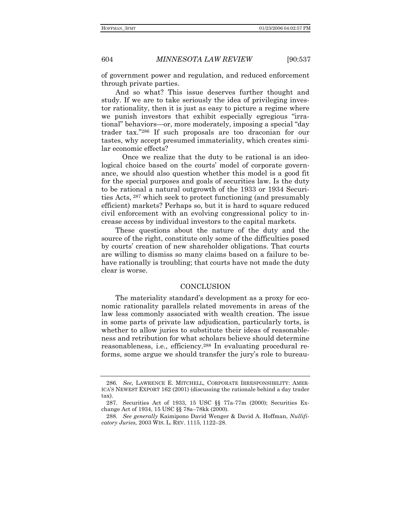604

*MINNESOTA LAW REVIEW* 

 $[90:537]$ 

of government power and regulation, and reduced enforcement through private parties.

And so what? This issue deserves further thought and study. If we are to take seriously the idea of privileging investor rationality, then it is just as easy to picture a regime where we punish investors that exhibit especially egregious "irrational" behaviors—or, more moderately, imposing a special "day trader tax."286 If such proposals are too draconian for our tastes, why accept presumed immateriality, which creates similar economic effects?

Once we realize that the duty to be rational is an ideological choice based on the courts' model of corporate governance, we should also question whether this model is a good fit for the special purposes and goals of securities law. Is the duty to be rational a natural outgrowth of the 1933 or 1934 Securities Acts, <sup>287</sup> which seek to protect functioning (and presumably efficient) markets? Perhaps so, but it is hard to square reduced civil enforcement with an evolving congressional policy to increase access by individual investors to the capital markets.

These questions about the nature of the duty and the source of the right, constitute only some of the difficulties posed by courts' creation of new shareholder obligations. That courts are willing to dismiss so many claims based on a failure to behave rationally is troubling; that courts have not made the duty clear is worse.

## CONCLUSION

The materiality standard's development as a proxy for economic rationality parallels related movements in areas of the law less commonly associated with wealth creation. The issue in some parts of private law adjudication, particularly torts, is whether to allow juries to substitute their ideas of reasonableness and retribution for what scholars believe should determine reasonableness, i.e., efficiency.<sup>288</sup> In evaluating procedural reforms, some argue we should transfer the jury's role to bureau-

<sup>286.</sup> See, LAWRENCE E. MITCHELL, CORPORATE IRRESPONSIBILITY: AMER-ICA'S NEWEST EXPORT 162 (2001) (discussing the rationale behind a day trader tax).

<sup>287.</sup> Securities Act of 1933, 15 USC §§ 77a-77m (2000); Securities Exchange Act of 1934, 15 USC §§ 78a-78kk (2000).

<sup>288.</sup> See generally Kaimipono David Wenger & David A. Hoffman, Nullificatory Juries, 2003 WIS. L. REV. 1115, 1122-28.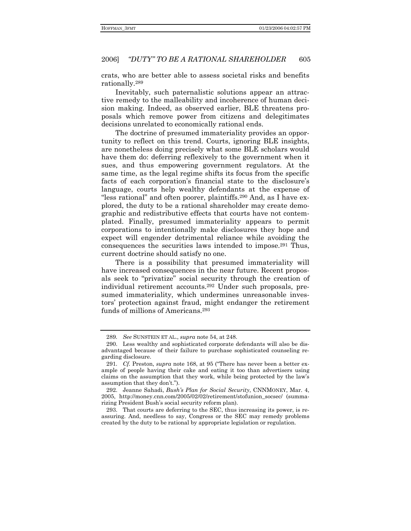#### "DUTY" TO BE A RATIONAL SHAREHOLDER 605 2006]

crats, who are better able to assess societal risks and benefits rationally.<sup>289</sup>

Inevitably, such paternalistic solutions appear an attractive remedy to the malleability and incoherence of human decision making. Indeed, as observed earlier, BLE threatens proposals which remove power from citizens and delegitimates decisions unrelated to economically rational ends.

The doctrine of presumed immateriality provides an opportunity to reflect on this trend. Courts, ignoring BLE insights, are nonetheless doing precisely what some BLE scholars would have them do: deferring reflexively to the government when it sues, and thus empowering government regulators. At the same time, as the legal regime shifts its focus from the specific facts of each corporation's financial state to the disclosure's language, courts help wealthy defendants at the expense of "less rational" and often poorer, plaintiffs.<sup>290</sup> And, as I have explored, the duty to be a rational shareholder may create demographic and redistributive effects that courts have not contemplated. Finally, presumed immateriality appears to permit corporations to intentionally make disclosures they hope and expect will engender detrimental reliance while avoiding the consequences the securities laws intended to impose.<sup>291</sup> Thus, current doctrine should satisfy no one.

There is a possibility that presumed immateriality will have increased consequences in the near future. Recent proposals seek to "privatize" social security through the creation of individual retirement accounts.<sup>292</sup> Under such proposals, presumed immateriality, which undermines unreasonable investors' protection against fraud, might endanger the retirement funds of millions of Americans.<sup>293</sup>

<sup>289.</sup> See SUNSTEIN ET AL., supra note 54, at 248.

<sup>290.</sup> Less wealthy and sophisticated corporate defendants will also be disadvantaged because of their failure to purchase sophisticated counseling regarding disclosure.

<sup>291.</sup> Cf. Preston, supra note 168, at 95 ("There has never been a better example of people having their cake and eating it too than advertisers using claims on the assumption that they work, while being protected by the law's assumption that they don't.").

<sup>292.</sup> Jeanne Sahadi, Bush's Plan for Social Security, CNNMONEY, Mar. 4, 2005, http://money.cnn.com/2005/02/02/retirement/stofunion\_socsec/ (summarizing President Bush's social security reform plan).

<sup>293.</sup> That courts are deferring to the SEC, thus increasing its power, is reassuring. And, needless to say, Congress or the SEC may remedy problems created by the duty to be rational by appropriate legislation or regulation.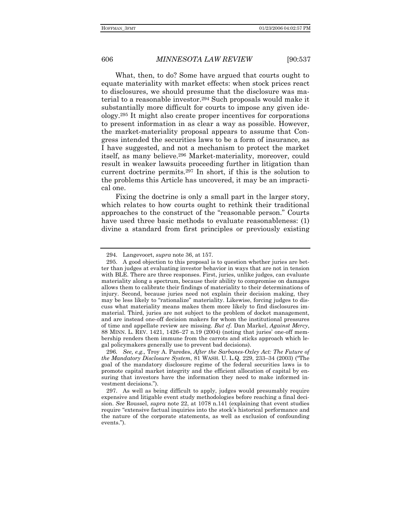What, then, to do? Some have argued that courts ought to equate materiality with market effects: when stock prices react to disclosures, we should presume that the disclosure was material to a reasonable investor.294 Such proposals would make it substantially more difficult for courts to impose any given ideology.295 It might also create proper incentives for corporations to present information in as clear a way as possible. However, the market-materiality proposal appears to assume that Congress intended the securities laws to be a form of insurance, as I have suggested, and not a mechanism to protect the market itself, as many believe.296 Market-materiality, moreover, could result in weaker lawsuits proceeding further in litigation than current doctrine permits.297 In short, if this is the solution to the problems this Article has uncovered, it may be an impractical one.

Fixing the doctrine is only a small part in the larger story, which relates to how courts ought to rethink their traditional approaches to the construct of the "reasonable person." Courts have used three basic methods to evaluate reasonableness: (1) divine a standard from first principles or previously existing

 <sup>294.</sup> Langevoort, *supra* note 36, at 157.

 <sup>295.</sup> A good objection to this proposal is to question whether juries are better than judges at evaluating investor behavior in ways that are not in tension with BLE. There are three responses. First, juries, unlike judges, can evaluate materiality along a spectrum, because their ability to compromise on damages allows them to calibrate their findings of materiality to their determinations of injury. Second, because juries need not explain their decision making, they may be less likely to "rationalize" materiality. Likewise, forcing judges to discuss what materiality means makes them more likely to find disclosures immaterial. Third, juries are not subject to the problem of docket management, and are instead one-off decision makers for whom the institutional pressures of time and appellate review are missing. *But cf.* Dan Markel, *Against Mercy*, 88 MINN. L. REV. 1421, 1426–27 n.19 (2004) (noting that juries' one-off membership renders them immune from the carrots and sticks approach which legal policymakers generally use to prevent bad decisions).

<sup>296</sup>*. See, e.g.,* Troy A. Paredes, *After the Sarbanes-Oxley Act: The Future of the Mandatory Disclosure System*, 81 WASH. U. L.Q. 229, 233-34 (2003) ("The goal of the mandatory disclosure regime of the federal securities laws is to promote capital market integrity and the efficient allocation of capital by ensuring that investors have the information they need to make informed investment decisions.").

 <sup>297.</sup> As well as being difficult to apply, judges would presumably require expensive and litigable event study methodologies before reaching a final decision. *See* Roussel, *supra* note 22, at 1078 n.141 (explaining that event studies require "extensive factual inquiries into the stock's historical performance and the nature of the corporate statements, as well as exclusion of confounding events.").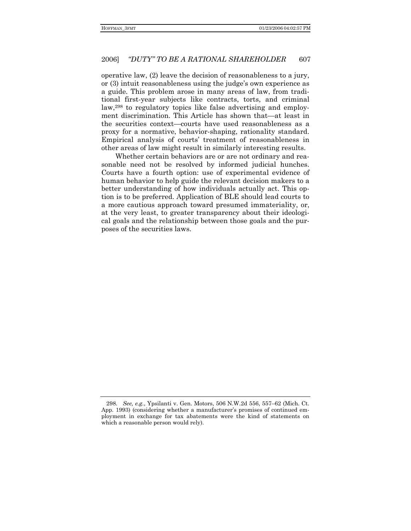#### "DUTY" TO BE A RATIONAL SHAREHOLDER 607 2006]

operative law, (2) leave the decision of reasonableness to a jury, or (3) intuit reasonableness using the judge's own experience as a guide. This problem arose in many areas of law, from traditional first-year subjects like contracts, torts, and criminal law,<sup>298</sup> to regulatory topics like false advertising and employment discrimination. This Article has shown that—at least in the securities context—courts have used reasonableness as a proxy for a normative, behavior-shaping, rationality standard. Empirical analysis of courts' treatment of reasonableness in other areas of law might result in similarly interesting results.

Whether certain behaviors are or are not ordinary and reasonable need not be resolved by informed judicial hunches. Courts have a fourth option: use of experimental evidence of human behavior to help guide the relevant decision makers to a better understanding of how individuals actually act. This option is to be preferred. Application of BLE should lead courts to a more cautious approach toward presumed immateriality, or, at the very least, to greater transparency about their ideological goals and the relationship between those goals and the purposes of the securities laws.

<sup>298.</sup> See, e.g., Ypsilanti v. Gen. Motors, 506 N.W.2d 556, 557–62 (Mich. Ct. App. 1993) (considering whether a manufacturer's promises of continued employment in exchange for tax abatements were the kind of statements on which a reasonable person would rely).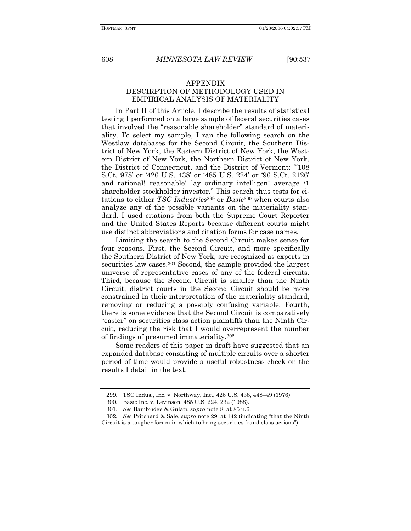## 608 *MINNESOTA LAW REVIEW* [90:537

## APPENDIX DESCIRPTION OF METHODOLOGY USED IN EMPIRICAL ANALYSIS OF MATERIALITY

In Part II of this Article, I describe the results of statistical testing I performed on a large sample of federal securities cases that involved the "reasonable shareholder" standard of materiality. To select my sample, I ran the following search on the Westlaw databases for the Second Circuit, the Southern District of New York, the Eastern District of New York, the Western District of New York, the Northern District of New York, the District of Connecticut, and the District of Vermont: "108 S.Ct. 978′ or '426 U.S. 438′ or '485 U.S. 224′ or '96 S.Ct. 2126' and rational! reasonable! lay ordinary intelligen! average /1 shareholder stockholder investor." This search thus tests for citations to either *TSC Industries*299 or *Basic*300 when courts also analyze any of the possible variants on the materiality standard. I used citations from both the Supreme Court Reporter and the United States Reports because different courts might use distinct abbreviations and citation forms for case names.

Limiting the search to the Second Circuit makes sense for four reasons. First, the Second Circuit, and more specifically the Southern District of New York, are recognized as experts in securities law cases.301 Second, the sample provided the largest universe of representative cases of any of the federal circuits. Third, because the Second Circuit is smaller than the Ninth Circuit, district courts in the Second Circuit should be more constrained in their interpretation of the materiality standard, removing or reducing a possibly confusing variable. Fourth, there is some evidence that the Second Circuit is comparatively "easier" on securities class action plaintiffs than the Ninth Circuit, reducing the risk that I would overrepresent the number of findings of presumed immateriality.302

Some readers of this paper in draft have suggested that an expanded database consisting of multiple circuits over a shorter period of time would provide a useful robustness check on the results I detail in the text.

<sup>299.</sup> TSC Indus., Inc. v. Northway, Inc., 426 U.S. 438, 448-49 (1976).

 <sup>300.</sup> Basic Inc. v. Levinson, 485 U.S. 224, 232 (1988).

 <sup>301.</sup> *See* Bainbridge & Gulati, *supra* note 8, at 85 n.6.

<sup>302.</sup> *See* Pritchard & Sale, *supra* note 29, at 142 (indicating "that the Ninth Circuit is a tougher forum in which to bring securities fraud class actionsî).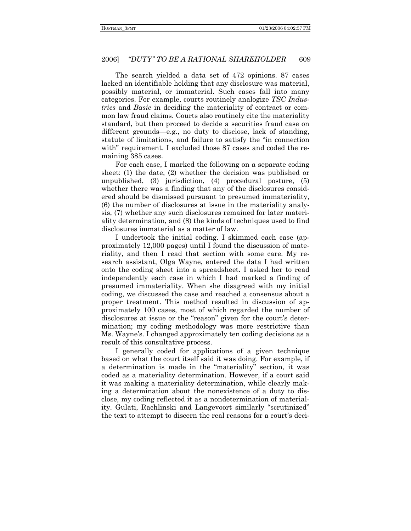## 2006] *ìDUTYî TO BE A RATIONAL SHAREHOLDER* 609

The search yielded a data set of 472 opinions. 87 cases lacked an identifiable holding that any disclosure was material, possibly material, or immaterial. Such cases fall into many categories. For example, courts routinely analogize *TSC Industries* and *Basic* in deciding the materiality of contract or common law fraud claims. Courts also routinely cite the materiality standard, but then proceed to decide a securities fraud case on different grounds—e.g., no duty to disclose, lack of standing, statute of limitations, and failure to satisfy the "in connection with" requirement. I excluded those 87 cases and coded the remaining 385 cases.

For each case, I marked the following on a separate coding sheet: (1) the date, (2) whether the decision was published or unpublished, (3) jurisdiction, (4) procedural posture, (5) whether there was a finding that any of the disclosures considered should be dismissed pursuant to presumed immateriality, (6) the number of disclosures at issue in the materiality analysis, (7) whether any such disclosures remained for later materiality determination, and (8) the kinds of techniques used to find disclosures immaterial as a matter of law.

I undertook the initial coding. I skimmed each case (approximately 12,000 pages) until I found the discussion of materiality, and then I read that section with some care. My research assistant, Olga Wayne, entered the data I had written onto the coding sheet into a spreadsheet. I asked her to read independently each case in which I had marked a finding of presumed immateriality. When she disagreed with my initial coding, we discussed the case and reached a consensus about a proper treatment. This method resulted in discussion of approximately 100 cases, most of which regarded the number of disclosures at issue or the "reason" given for the court's determination; my coding methodology was more restrictive than Ms. Wayneís. I changed approximately ten coding decisions as a result of this consultative process.

I generally coded for applications of a given technique based on what the court itself said it was doing. For example, if a determination is made in the "materiality" section, it was coded as a materiality determination. However, if a court said it was making a materiality determination, while clearly making a determination about the nonexistence of a duty to disclose, my coding reflected it as a nondetermination of materiality. Gulati, Rachlinski and Langevoort similarly "scrutinized" the text to attempt to discern the real reasons for a court's deci-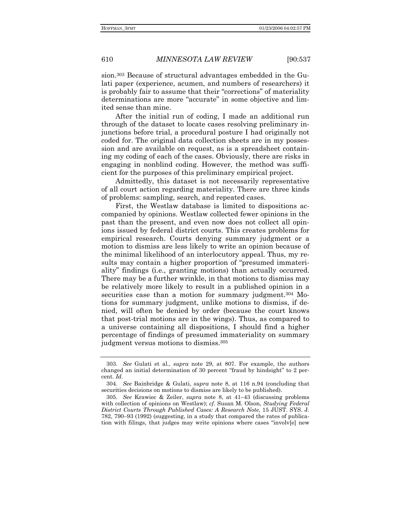610 *MINNESOTA LAW REVIEW* [90:537

sion.303 Because of structural advantages embedded in the Gulati paper (experience, acumen, and numbers of researchers) it is probably fair to assume that their "corrections" of materiality determinations are more "accurate" in some objective and limited sense than mine.

After the initial run of coding, I made an additional run through of the dataset to locate cases resolving preliminary injunctions before trial, a procedural posture I had originally not coded for. The original data collection sheets are in my possession and are available on request, as is a spreadsheet containing my coding of each of the cases. Obviously, there are risks in engaging in nonblind coding. However, the method was sufficient for the purposes of this preliminary empirical project.

Admittedly, this dataset is not necessarily representative of all court action regarding materiality. There are three kinds of problems: sampling, search, and repeated cases.

First, the Westlaw database is limited to dispositions accompanied by opinions. Westlaw collected fewer opinions in the past than the present, and even now does not collect all opinions issued by federal district courts. This creates problems for empirical research. Courts denying summary judgment or a motion to dismiss are less likely to write an opinion because of the minimal likelihood of an interlocutory appeal. Thus, my results may contain a higher proportion of "presumed immaterialityî findings (i.e., granting motions) than actually occurred. There may be a further wrinkle, in that motions to dismiss may be relatively more likely to result in a published opinion in a securities case than a motion for summary judgment.<sup>304</sup> Motions for summary judgment, unlike motions to dismiss, if denied, will often be denied by order (because the court knows that post-trial motions are in the wings). Thus, as compared to a universe containing all dispositions, I should find a higher percentage of findings of presumed immateriality on summary judgment versus motions to dismiss.305

 <sup>303.</sup> *See* Gulati et al., *supra* note 29, at 807. For example, the authors changed an initial determination of 30 percent "fraud by hindsight" to 2 percent. *Id*.

<sup>304.</sup> *See* Bainbridge & Gulati, *supra* note 8, at 116 n.94 (concluding that securities decisions on motions to dismiss are likely to be published).

<sup>305.</sup> See Krawiec & Zeiler, *supra* note 8, at 41-43 (discussing problems with collection of opinions on Westlaw); *cf.* Susan M. Olson, *Studying Federal District Courts Through Published Cases: A Research Note*, 15 JUST. SYS. J. 782, 790-93 (1992) (suggesting, in a study that compared the rates of publication with filings, that judges may write opinions where cases "involv[e] new